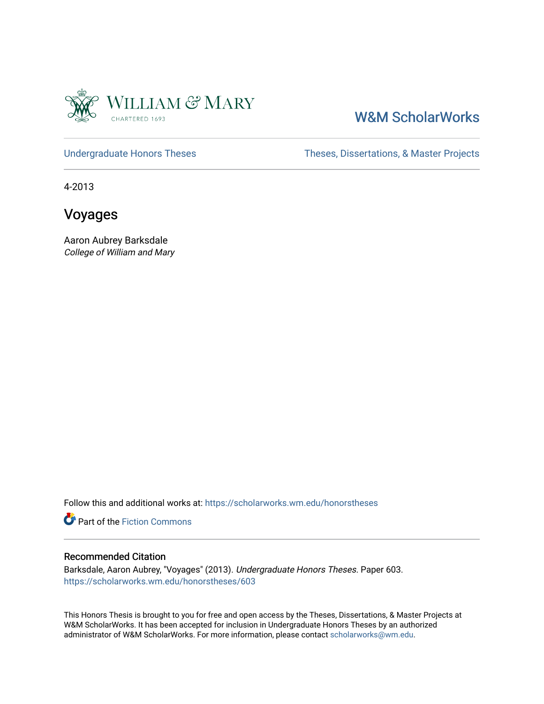

# [W&M ScholarWorks](https://scholarworks.wm.edu/)

[Undergraduate Honors Theses](https://scholarworks.wm.edu/honorstheses) Theses Theses, Dissertations, & Master Projects

4-2013

Voyages

Aaron Aubrey Barksdale College of William and Mary

Follow this and additional works at: [https://scholarworks.wm.edu/honorstheses](https://scholarworks.wm.edu/honorstheses?utm_source=scholarworks.wm.edu%2Fhonorstheses%2F603&utm_medium=PDF&utm_campaign=PDFCoverPages) 

Part of the [Fiction Commons](http://network.bepress.com/hgg/discipline/1151?utm_source=scholarworks.wm.edu%2Fhonorstheses%2F603&utm_medium=PDF&utm_campaign=PDFCoverPages) 

#### Recommended Citation

Barksdale, Aaron Aubrey, "Voyages" (2013). Undergraduate Honors Theses. Paper 603. [https://scholarworks.wm.edu/honorstheses/603](https://scholarworks.wm.edu/honorstheses/603?utm_source=scholarworks.wm.edu%2Fhonorstheses%2F603&utm_medium=PDF&utm_campaign=PDFCoverPages) 

This Honors Thesis is brought to you for free and open access by the Theses, Dissertations, & Master Projects at W&M ScholarWorks. It has been accepted for inclusion in Undergraduate Honors Theses by an authorized administrator of W&M ScholarWorks. For more information, please contact [scholarworks@wm.edu.](mailto:scholarworks@wm.edu)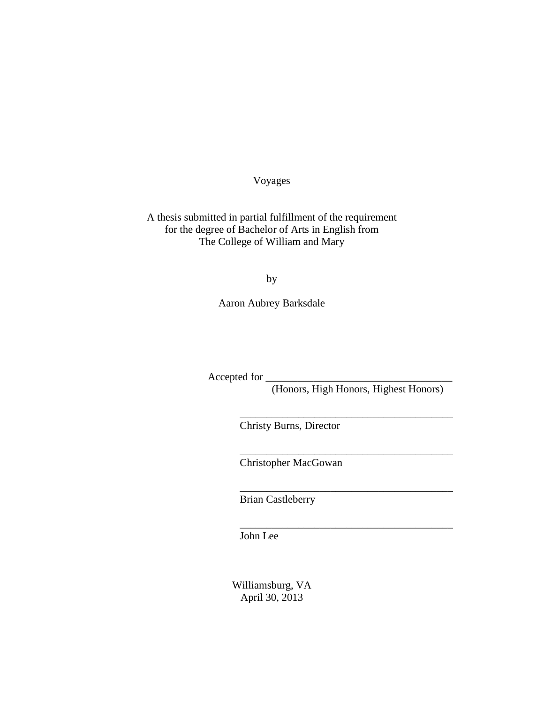Voyages

A thesis submitted in partial fulfillment of the requirement for the degree of Bachelor of Arts in English from The College of William and Mary

by

Aaron Aubrey Barksdale

Accepted for \_

(Honors, High Honors, Highest Honors)

\_\_\_\_\_\_\_\_\_\_\_\_\_\_\_\_\_\_\_\_\_\_\_\_\_\_\_\_\_\_\_\_\_\_\_\_\_\_\_\_

\_\_\_\_\_\_\_\_\_\_\_\_\_\_\_\_\_\_\_\_\_\_\_\_\_\_\_\_\_\_\_\_\_\_\_\_\_\_\_\_

\_\_\_\_\_\_\_\_\_\_\_\_\_\_\_\_\_\_\_\_\_\_\_\_\_\_\_\_\_\_\_\_\_\_\_\_\_\_\_\_

\_\_\_\_\_\_\_\_\_\_\_\_\_\_\_\_\_\_\_\_\_\_\_\_\_\_\_\_\_\_\_\_\_\_\_\_\_\_\_\_

Christy Burns, Director

Christopher MacGowan

Brian Castleberry

John Lee

Williamsburg, VA April 30, 2013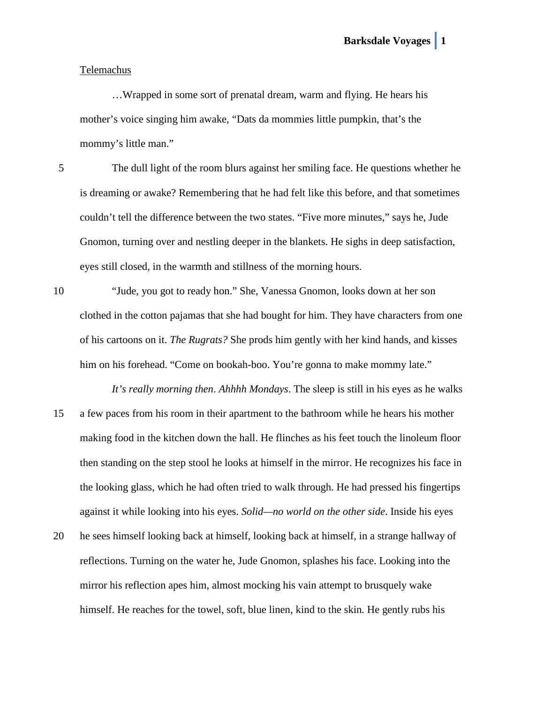#### Telemachus

…Wrapped in some sort of prenatal dream, warm and flying. He hears his mother's voice singing him awake, "Dats da mommies little pumpkin, that's the mommy's little man."

5 The dull light of the room blurs against her smiling face. He questions whether he is dreaming or awake? Remembering that he had felt like this before, and that sometimes couldn't tell the difference between the two states. "Five more minutes," says he, Jude Gnomon, turning over and nestling deeper in the blankets. He sighs in deep satisfaction, eyes still closed, in the warmth and stillness of the morning hours.

10 "Jude, you got to ready hon." She, Vanessa Gnomon, looks down at her son clothed in the cotton pajamas that she had bought for him. They have characters from one of his cartoons on it. *The Rugrats?* She prods him gently with her kind hands, and kisses him on his forehead. "Come on bookah-boo. You're gonna to make mommy late."

- *It's really morning then*. *Ahhhh Mondays*. The sleep is still in his eyes as he walks 15 a few paces from his room in their apartment to the bathroom while he hears his mother making food in the kitchen down the hall. He flinches as his feet touch the linoleum floor then standing on the step stool he looks at himself in the mirror. He recognizes his face in the looking glass, which he had often tried to walk through. He had pressed his fingertips against it while looking into his eyes. *Solid—no world on the other side*. Inside his eyes
- 20 he sees himself looking back at himself, looking back at himself, in a strange hallway of reflections. Turning on the water he, Jude Gnomon, splashes his face. Looking into the mirror his reflection apes him, almost mocking his vain attempt to brusquely wake himself. He reaches for the towel, soft, blue linen, kind to the skin*.* He gently rubs his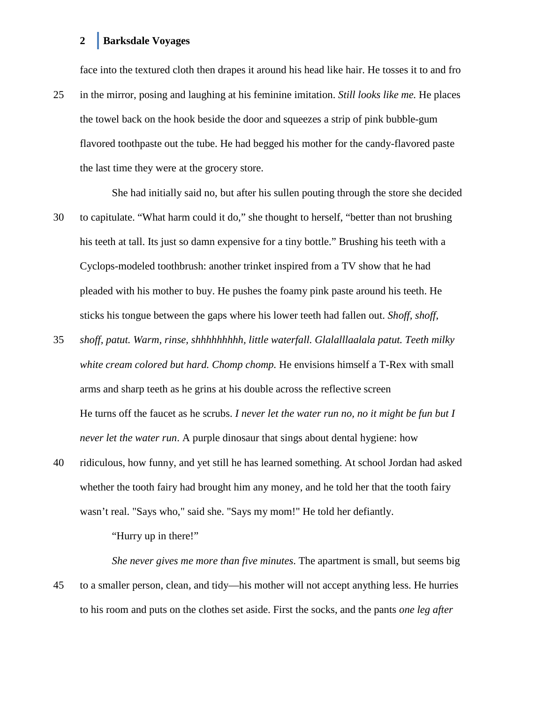face into the textured cloth then drapes it around his head like hair. He tosses it to and fro

- 25 in the mirror, posing and laughing at his feminine imitation. *Still looks like me.* He places the towel back on the hook beside the door and squeezes a strip of pink bubble-gum flavored toothpaste out the tube. He had begged his mother for the candy-flavored paste the last time they were at the grocery store.
- She had initially said no, but after his sullen pouting through the store she decided 30 to capitulate. "What harm could it do," she thought to herself, "better than not brushing his teeth at tall. Its just so damn expensive for a tiny bottle." Brushing his teeth with a Cyclops-modeled toothbrush: another trinket inspired from a TV show that he had pleaded with his mother to buy. He pushes the foamy pink paste around his teeth. He sticks his tongue between the gaps where his lower teeth had fallen out. *Shoff, shoff,*
- 35 *shoff, patut. Warm, rinse, shhhhhhhhh, little waterfall. Glalalllaalala patut. Teeth milky white cream colored but hard. Chomp chomp.* He envisions himself a T-Rex with small arms and sharp teeth as he grins at his double across the reflective screen He turns off the faucet as he scrubs. *I never let the water run no, no it might be fun but I never let the water run*. A purple dinosaur that sings about dental hygiene: how
- 40 ridiculous, how funny, and yet still he has learned something. At school Jordan had asked whether the tooth fairy had brought him any money, and he told her that the tooth fairy wasn't real. "Says who," said she. "Says my mom!" He told her defiantly.

"Hurry up in there!"

*She never gives me more than five minutes*. The apartment is small, but seems big 45 to a smaller person, clean, and tidy—his mother will not accept anything less. He hurries to his room and puts on the clothes set aside. First the socks, and the pants *one leg after*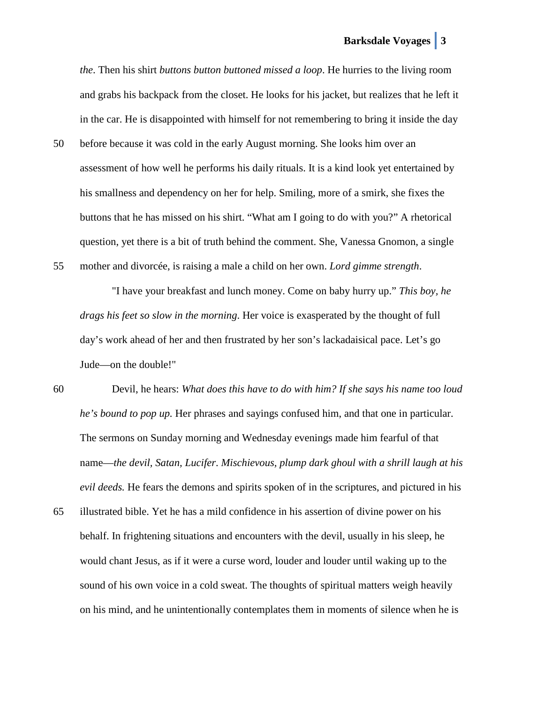*the*. Then his shirt *buttons button buttoned missed a loop*. He hurries to the living room and grabs his backpack from the closet. He looks for his jacket, but realizes that he left it in the car. He is disappointed with himself for not remembering to bring it inside the day

50 before because it was cold in the early August morning. She looks him over an assessment of how well he performs his daily rituals. It is a kind look yet entertained by his smallness and dependency on her for help. Smiling, more of a smirk, she fixes the buttons that he has missed on his shirt. "What am I going to do with you?" A rhetorical question, yet there is a bit of truth behind the comment. She, Vanessa Gnomon, a single 55 mother and divorcée, is raising a male a child on her own. *Lord gimme strength*.

"I have your breakfast and lunch money. Come on baby hurry up." *This boy, he drags his feet so slow in the morning*. Her voice is exasperated by the thought of full day's work ahead of her and then frustrated by her son's lackadaisical pace. Let's go Jude—on the double!"

- 60 Devil, he hears: *What does this have to do with him? If she says his name too loud he's bound to pop up.* Her phrases and sayings confused him, and that one in particular. The sermons on Sunday morning and Wednesday evenings made him fearful of that name—*the devil, Satan, Lucifer*. *Mischievous, plump dark ghoul with a shrill laugh at his evil deeds.* He fears the demons and spirits spoken of in the scriptures, and pictured in his
- 65 illustrated bible. Yet he has a mild confidence in his assertion of divine power on his behalf. In frightening situations and encounters with the devil, usually in his sleep, he would chant Jesus, as if it were a curse word, louder and louder until waking up to the sound of his own voice in a cold sweat. The thoughts of spiritual matters weigh heavily on his mind, and he unintentionally contemplates them in moments of silence when he is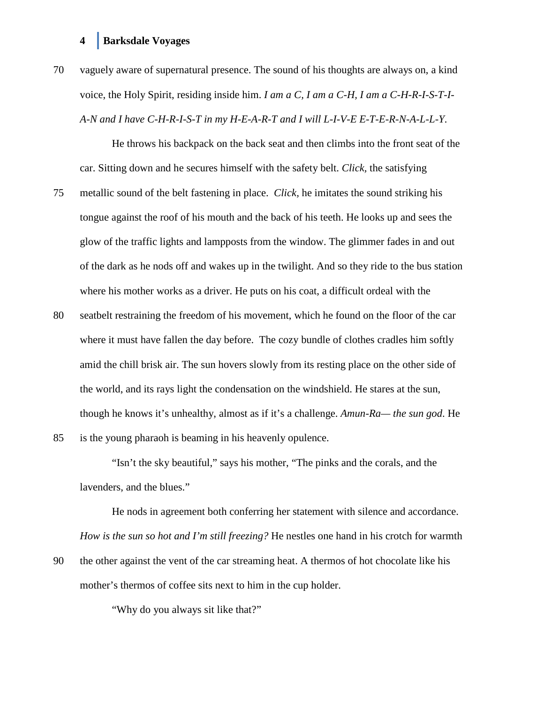70 vaguely aware of supernatural presence. The sound of his thoughts are always on, a kind voice, the Holy Spirit, residing inside him. *I am a C, I am a C-H, I am a C-H-R-I-S-T-I-A-N and I have C-H-R-I-S-T in my H-E-A-R-T and I will L-I-V-E E-T-E-R-N-A-L-L-Y.*

He throws his backpack on the back seat and then climbs into the front seat of the car. Sitting down and he secures himself with the safety belt. *Click,* the satisfying

- 75 metallic sound of the belt fastening in place. *Click,* he imitates the sound striking his tongue against the roof of his mouth and the back of his teeth. He looks up and sees the glow of the traffic lights and lampposts from the window. The glimmer fades in and out of the dark as he nods off and wakes up in the twilight. And so they ride to the bus station where his mother works as a driver. He puts on his coat, a difficult ordeal with the
- 80 seatbelt restraining the freedom of his movement, which he found on the floor of the car where it must have fallen the day before. The cozy bundle of clothes cradles him softly amid the chill brisk air. The sun hovers slowly from its resting place on the other side of the world, and its rays light the condensation on the windshield. He stares at the sun, though he knows it's unhealthy, almost as if it's a challenge. *Amun-Ra— the sun god*. He

85 is the young pharaoh is beaming in his heavenly opulence.

"Isn't the sky beautiful," says his mother, "The pinks and the corals, and the lavenders, and the blues."

He nods in agreement both conferring her statement with silence and accordance. *How is the sun so hot and I'm still freezing?* He nestles one hand in his crotch for warmth 90 the other against the vent of the car streaming heat. A thermos of hot chocolate like his

mother's thermos of coffee sits next to him in the cup holder.

"Why do you always sit like that?"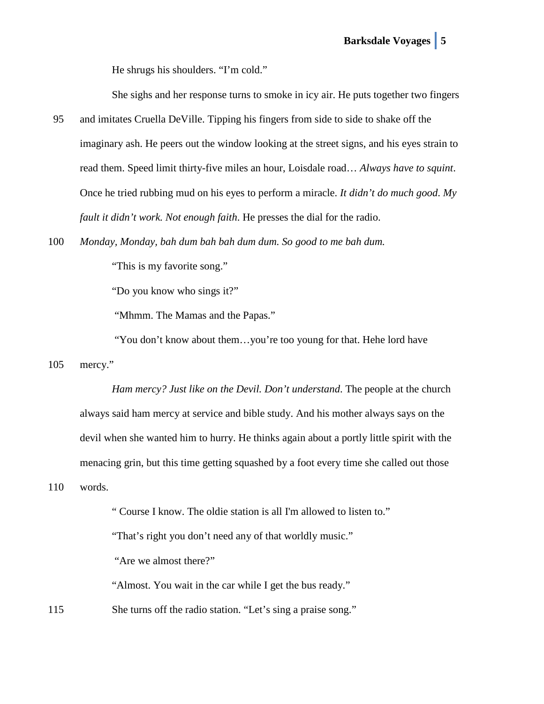He shrugs his shoulders. "I'm cold."

She sighs and her response turns to smoke in icy air. He puts together two fingers

95 and imitates Cruella DeVille. Tipping his fingers from side to side to shake off the imaginary ash. He peers out the window looking at the street signs, and his eyes strain to read them. Speed limit thirty-five miles an hour, Loisdale road… *Always have to squint*. Once he tried rubbing mud on his eyes to perform a miracle. *It didn't do much good*. *My fault it didn't work. Not enough faith*. He presses the dial for the radio.

100 *Monday, Monday, bah dum bah bah dum dum. So good to me bah dum.* 

"This is my favorite song."

"Do you know who sings it?"

"Mhmm. The Mamas and the Papas."

"You don't know about them…you're too young for that. Hehe lord have

105 mercy."

*Ham mercy? Just like on the Devil. Don't understand*. The people at the church always said ham mercy at service and bible study. And his mother always says on the devil when she wanted him to hurry. He thinks again about a portly little spirit with the menacing grin, but this time getting squashed by a foot every time she called out those 110 words.

" Course I know. The oldie station is all I'm allowed to listen to."

"That's right you don't need any of that worldly music."

"Are we almost there?"

"Almost. You wait in the car while I get the bus ready."

115 She turns off the radio station. "Let's sing a praise song."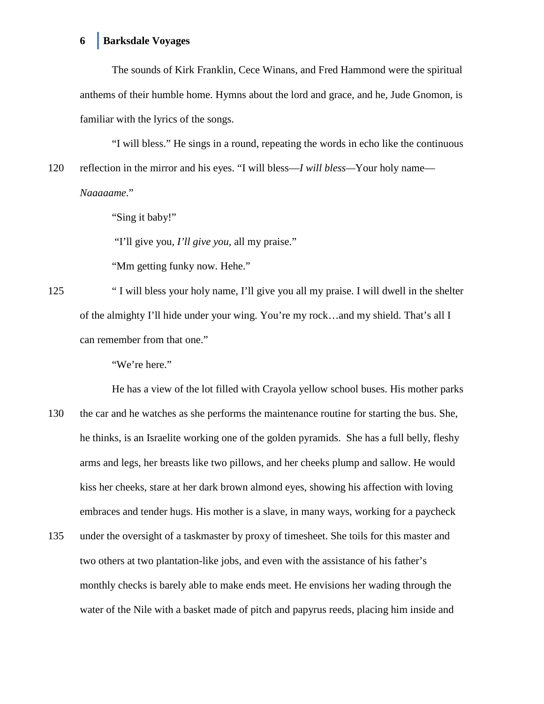The sounds of Kirk Franklin, Cece Winans, and Fred Hammond were the spiritual anthems of their humble home. Hymns about the lord and grace, and he, Jude Gnomon, is familiar with the lyrics of the songs.

"I will bless." He sings in a round, repeating the words in echo like the continuous 120 reflection in the mirror and his eyes. "I will bless—*I will bless—*Your holy name— *Naaaaame*."

"Sing it baby!"

"I'll give you, *I'll give you,* all my praise."

"Mm getting funky now. Hehe."

125 " I will bless your holy name, I'll give you all my praise. I will dwell in the shelter of the almighty I'll hide under your wing. You're my rock…and my shield. That's all I can remember from that one."

"We're here."

He has a view of the lot filled with Crayola yellow school buses. His mother parks 130 the car and he watches as she performs the maintenance routine for starting the bus. She, he thinks, is an Israelite working one of the golden pyramids. She has a full belly, fleshy arms and legs, her breasts like two pillows, and her cheeks plump and sallow. He would kiss her cheeks, stare at her dark brown almond eyes, showing his affection with loving embraces and tender hugs. His mother is a slave, in many ways, working for a paycheck 135 under the oversight of a taskmaster by proxy of timesheet. She toils for this master and

monthly checks is barely able to make ends meet. He envisions her wading through the water of the Nile with a basket made of pitch and papyrus reeds, placing him inside and

two others at two plantation-like jobs, and even with the assistance of his father's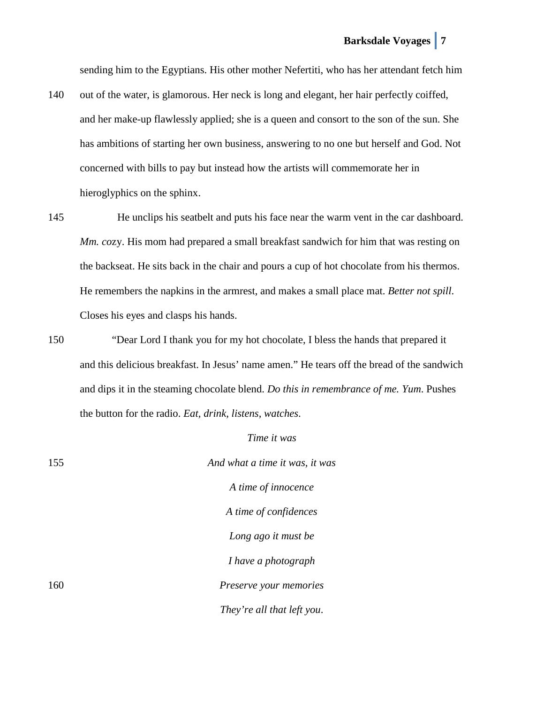sending him to the Egyptians. His other mother Nefertiti, who has her attendant fetch him

- 140 out of the water, is glamorous. Her neck is long and elegant, her hair perfectly coiffed, and her make-up flawlessly applied; she is a queen and consort to the son of the sun. She has ambitions of starting her own business, answering to no one but herself and God. Not concerned with bills to pay but instead how the artists will commemorate her in hieroglyphics on the sphinx.
- 145 He unclips his seatbelt and puts his face near the warm vent in the car dashboard. *Mm. co*zy. His mom had prepared a small breakfast sandwich for him that was resting on the backseat. He sits back in the chair and pours a cup of hot chocolate from his thermos. He remembers the napkins in the armrest, and makes a small place mat. *Better not spill*. Closes his eyes and clasps his hands.
- 150 "Dear Lord I thank you for my hot chocolate, I bless the hands that prepared it and this delicious breakfast. In Jesus' name amen." He tears off the bread of the sandwich and dips it in the steaming chocolate blend. *Do this in remembrance of me. Yum*. Pushes the button for the radio. *Eat, drink, listens, watches*.

#### *Time it was*

155 *And what a time it was, it was A time of innocence A time of confidences Long ago it must be I have a photograph*  160 *Preserve your memories They're all that left you*.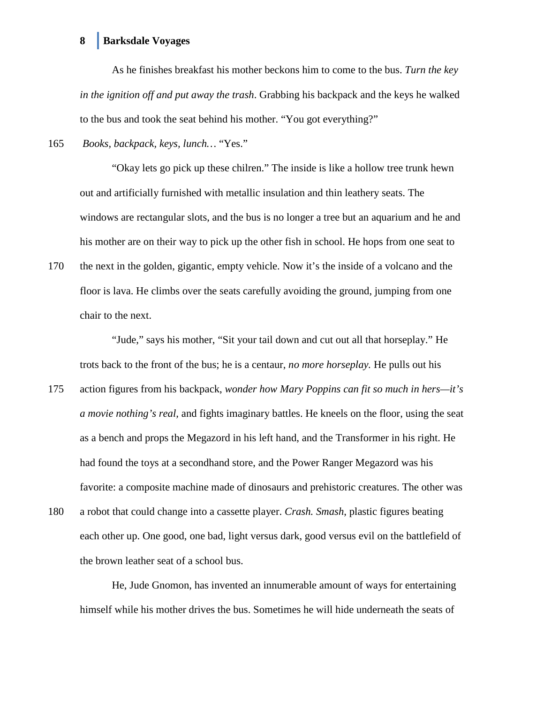As he finishes breakfast his mother beckons him to come to the bus. *Turn the key in the ignition off and put away the trash*. Grabbing his backpack and the keys he walked to the bus and took the seat behind his mother. "You got everything?"

165 *Books, backpack, keys, lunch…* "Yes."

"Okay lets go pick up these chilren." The inside is like a hollow tree trunk hewn out and artificially furnished with metallic insulation and thin leathery seats. The windows are rectangular slots, and the bus is no longer a tree but an aquarium and he and his mother are on their way to pick up the other fish in school. He hops from one seat to

170 the next in the golden, gigantic, empty vehicle. Now it's the inside of a volcano and the floor is lava. He climbs over the seats carefully avoiding the ground, jumping from one chair to the next.

"Jude," says his mother, "Sit your tail down and cut out all that horseplay." He trots back to the front of the bus; he is a centaur, *no more horseplay.* He pulls out his

- 175 action figures from his backpack, *wonder how Mary Poppins can fit so much in hers—it's a movie nothing's real,* and fights imaginary battles. He kneels on the floor, using the seat as a bench and props the Megazord in his left hand, and the Transformer in his right. He had found the toys at a secondhand store, and the Power Ranger Megazord was his favorite: a composite machine made of dinosaurs and prehistoric creatures. The other was
- 180 a robot that could change into a cassette player. *Crash. Smash*, plastic figures beating each other up. One good, one bad, light versus dark, good versus evil on the battlefield of the brown leather seat of a school bus.

He, Jude Gnomon, has invented an innumerable amount of ways for entertaining himself while his mother drives the bus. Sometimes he will hide underneath the seats of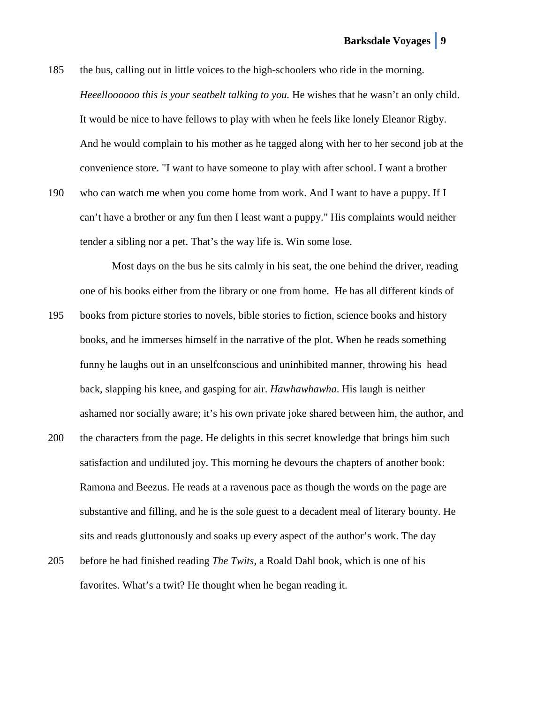185 the bus, calling out in little voices to the high-schoolers who ride in the morning. *Heeelloooooo this is your seatbelt talking to you.* He wishes that he wasn't an only child. It would be nice to have fellows to play with when he feels like lonely Eleanor Rigby. And he would complain to his mother as he tagged along with her to her second job at the convenience store. "I want to have someone to play with after school. I want a brother 190 who can watch me when you come home from work. And I want to have a puppy. If I

can't have a brother or any fun then I least want a puppy." His complaints would neither tender a sibling nor a pet. That's the way life is. Win some lose.

Most days on the bus he sits calmly in his seat, the one behind the driver, reading one of his books either from the library or one from home. He has all different kinds of 195 books from picture stories to novels, bible stories to fiction, science books and history books, and he immerses himself in the narrative of the plot. When he reads something funny he laughs out in an unselfconscious and uninhibited manner, throwing his head back, slapping his knee, and gasping for air. *Hawhawhawha*. His laugh is neither ashamed nor socially aware; it's his own private joke shared between him, the author, and

- 200 the characters from the page. He delights in this secret knowledge that brings him such satisfaction and undiluted joy. This morning he devours the chapters of another book: Ramona and Beezus. He reads at a ravenous pace as though the words on the page are substantive and filling, and he is the sole guest to a decadent meal of literary bounty. He sits and reads gluttonously and soaks up every aspect of the author's work. The day
- 205 before he had finished reading *The Twits,* a Roald Dahl book, which is one of his favorites. What's a twit? He thought when he began reading it.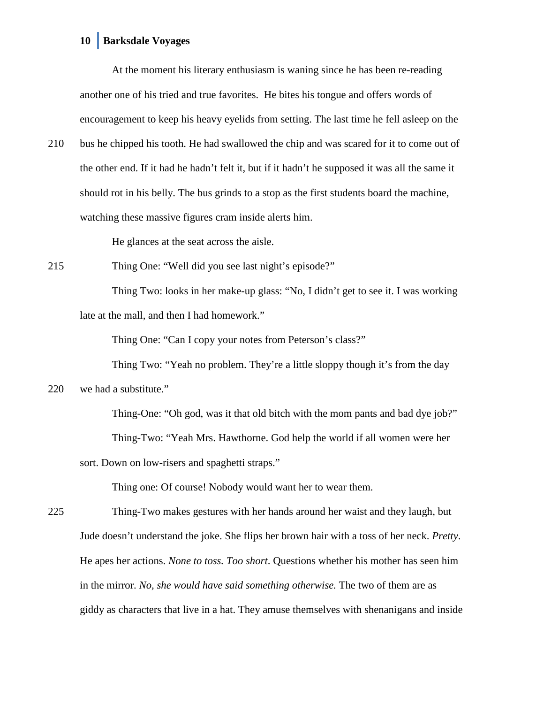At the moment his literary enthusiasm is waning since he has been re-reading another one of his tried and true favorites. He bites his tongue and offers words of encouragement to keep his heavy eyelids from setting. The last time he fell asleep on the

210 bus he chipped his tooth. He had swallowed the chip and was scared for it to come out of the other end. If it had he hadn't felt it, but if it hadn't he supposed it was all the same it should rot in his belly. The bus grinds to a stop as the first students board the machine, watching these massive figures cram inside alerts him.

He glances at the seat across the aisle.

215 Thing One: "Well did you see last night's episode?"

Thing Two: looks in her make-up glass: "No, I didn't get to see it. I was working late at the mall, and then I had homework."

Thing One: "Can I copy your notes from Peterson's class?"

Thing Two: "Yeah no problem. They're a little sloppy though it's from the day 220 we had a substitute."

Thing-One: "Oh god, was it that old bitch with the mom pants and bad dye job?" Thing-Two: "Yeah Mrs. Hawthorne. God help the world if all women were her sort. Down on low-risers and spaghetti straps."

Thing one: Of course! Nobody would want her to wear them.

225 Thing-Two makes gestures with her hands around her waist and they laugh, but Jude doesn't understand the joke. She flips her brown hair with a toss of her neck. *Pretty*. He apes her actions. *None to toss. Too short*. Questions whether his mother has seen him in the mirror. *No, she would have said something otherwise.* The two of them are as giddy as characters that live in a hat. They amuse themselves with shenanigans and inside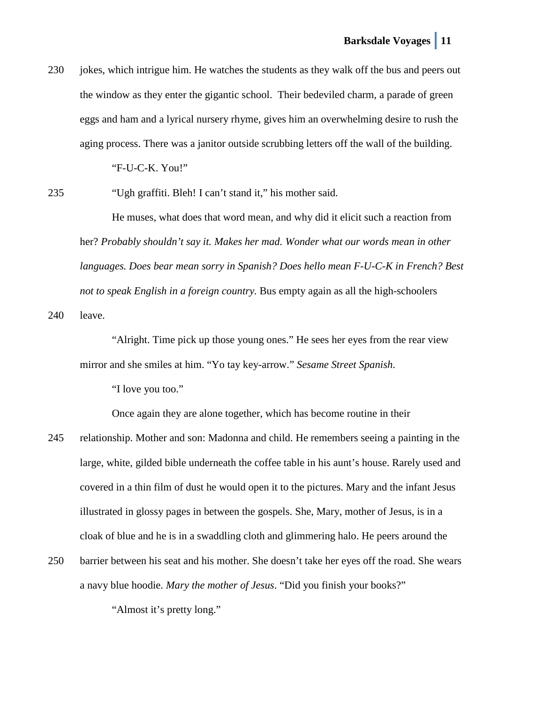230 jokes, which intrigue him. He watches the students as they walk off the bus and peers out the window as they enter the gigantic school. Their bedeviled charm, a parade of green eggs and ham and a lyrical nursery rhyme, gives him an overwhelming desire to rush the aging process. There was a janitor outside scrubbing letters off the wall of the building.

"F-U-C-K. You!"

235 "Ugh graffiti. Bleh! I can't stand it," his mother said.

He muses, what does that word mean, and why did it elicit such a reaction from her? *Probably shouldn't say it. Makes her mad. Wonder what our words mean in other languages. Does bear mean sorry in Spanish? Does hello mean F-U-C-K in French? Best not to speak English in a foreign country.* Bus empty again as all the high-schoolers

240 leave.

"Alright. Time pick up those young ones." He sees her eyes from the rear view mirror and she smiles at him. "Yo tay key-arrow." *Sesame Street Spanish*.

"I love you too."

Once again they are alone together, which has become routine in their

- 245 relationship. Mother and son: Madonna and child. He remembers seeing a painting in the large, white, gilded bible underneath the coffee table in his aunt's house. Rarely used and covered in a thin film of dust he would open it to the pictures. Mary and the infant Jesus illustrated in glossy pages in between the gospels. She, Mary, mother of Jesus, is in a cloak of blue and he is in a swaddling cloth and glimmering halo. He peers around the
- 250 barrier between his seat and his mother. She doesn't take her eyes off the road. She wears a navy blue hoodie. *Mary the mother of Jesus*. "Did you finish your books?"

"Almost it's pretty long."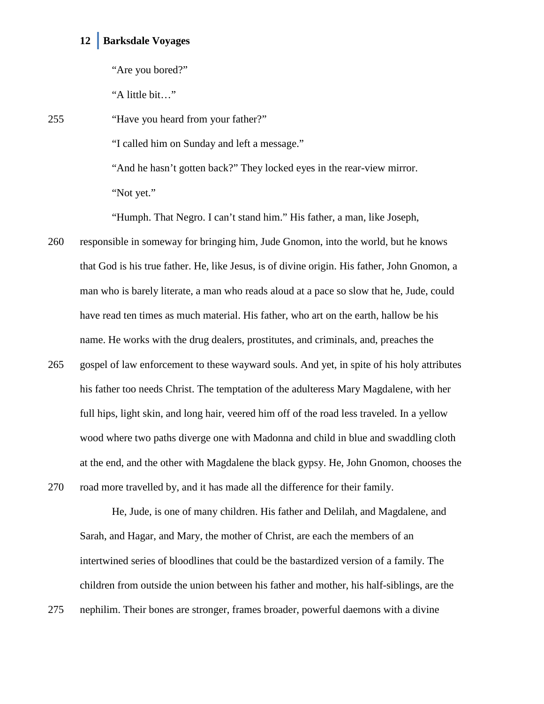"Are you bored?"

"A little bit…"

255 "Have you heard from your father?"

"I called him on Sunday and left a message."

"And he hasn't gotten back?" They locked eyes in the rear-view mirror. "Not yet."

"Humph. That Negro. I can't stand him." His father, a man, like Joseph,

- 260 responsible in someway for bringing him, Jude Gnomon, into the world, but he knows that God is his true father. He, like Jesus, is of divine origin. His father, John Gnomon, a man who is barely literate, a man who reads aloud at a pace so slow that he, Jude, could have read ten times as much material. His father, who art on the earth, hallow be his name. He works with the drug dealers, prostitutes, and criminals, and, preaches the
- 265 gospel of law enforcement to these wayward souls. And yet, in spite of his holy attributes his father too needs Christ. The temptation of the adulteress Mary Magdalene, with her full hips, light skin, and long hair, veered him off of the road less traveled. In a yellow wood where two paths diverge one with Madonna and child in blue and swaddling cloth at the end, and the other with Magdalene the black gypsy. He, John Gnomon, chooses the 270 road more travelled by, and it has made all the difference for their family.

He, Jude, is one of many children. His father and Delilah, and Magdalene, and Sarah, and Hagar, and Mary, the mother of Christ, are each the members of an intertwined series of bloodlines that could be the bastardized version of a family. The children from outside the union between his father and mother, his half-siblings, are the

275 nephilim. Their bones are stronger, frames broader, powerful daemons with a divine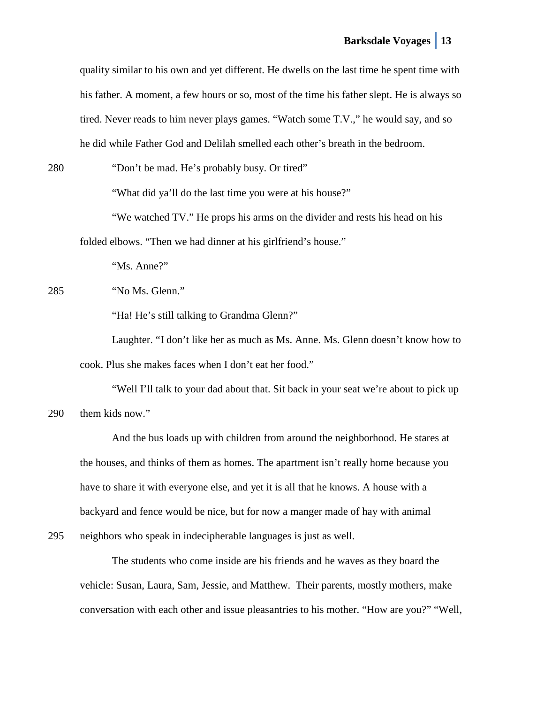quality similar to his own and yet different. He dwells on the last time he spent time with his father. A moment, a few hours or so, most of the time his father slept. He is always so tired. Never reads to him never plays games. "Watch some T.V.," he would say, and so he did while Father God and Delilah smelled each other's breath in the bedroom.

280 "Don't be mad. He's probably busy. Or tired"

"What did ya'll do the last time you were at his house?"

"We watched TV." He props his arms on the divider and rests his head on his

folded elbows. "Then we had dinner at his girlfriend's house."

"Ms. Anne?"

285 "No Ms. Glenn."

"Ha! He's still talking to Grandma Glenn?"

Laughter. "I don't like her as much as Ms. Anne. Ms. Glenn doesn't know how to cook. Plus she makes faces when I don't eat her food."

"Well I'll talk to your dad about that. Sit back in your seat we're about to pick up 290 them kids now."

And the bus loads up with children from around the neighborhood. He stares at the houses, and thinks of them as homes. The apartment isn't really home because you have to share it with everyone else, and yet it is all that he knows. A house with a backyard and fence would be nice, but for now a manger made of hay with animal

295 neighbors who speak in indecipherable languages is just as well.

The students who come inside are his friends and he waves as they board the vehicle: Susan, Laura, Sam, Jessie, and Matthew. Their parents, mostly mothers, make conversation with each other and issue pleasantries to his mother. "How are you?" "Well,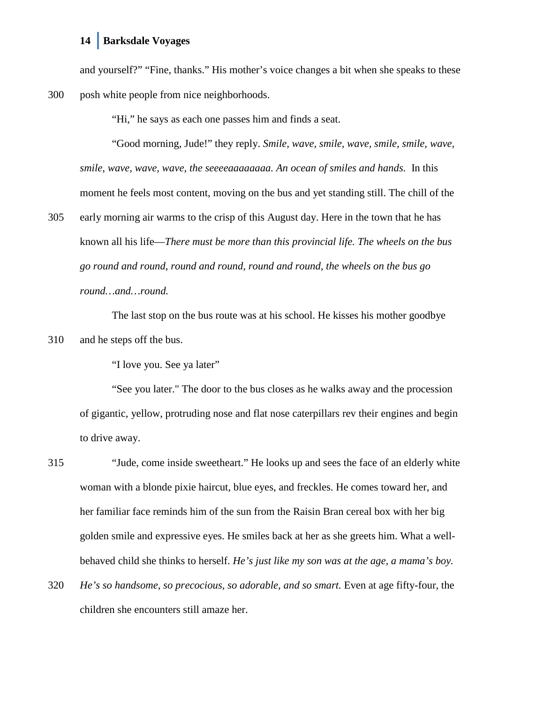and yourself?" "Fine, thanks." His mother's voice changes a bit when she speaks to these 300 posh white people from nice neighborhoods.

"Hi," he says as each one passes him and finds a seat.

"Good morning, Jude!" they reply. *Smile, wave, smile, wave, smile, smile, wave, smile, wave, wave, wave, the seeeeaaaaaaaa. An ocean of smiles and hands.* In this moment he feels most content, moving on the bus and yet standing still. The chill of the

305 early morning air warms to the crisp of this August day. Here in the town that he has known all his life—*There must be more than this provincial life. The wheels on the bus go round and round, round and round, round and round, the wheels on the bus go round…and…round.* 

The last stop on the bus route was at his school. He kisses his mother goodbye 310 and he steps off the bus.

"I love you. See ya later"

"See you later." The door to the bus closes as he walks away and the procession of gigantic, yellow, protruding nose and flat nose caterpillars rev their engines and begin to drive away.

- 315 "Jude, come inside sweetheart." He looks up and sees the face of an elderly white woman with a blonde pixie haircut, blue eyes, and freckles. He comes toward her, and her familiar face reminds him of the sun from the Raisin Bran cereal box with her big golden smile and expressive eyes. He smiles back at her as she greets him. What a wellbehaved child she thinks to herself. *He's just like my son was at the age, a mama's boy.*
- 320 *He's so handsome, so precocious, so adorable, and so smart.* Even at age fifty-four, the children she encounters still amaze her.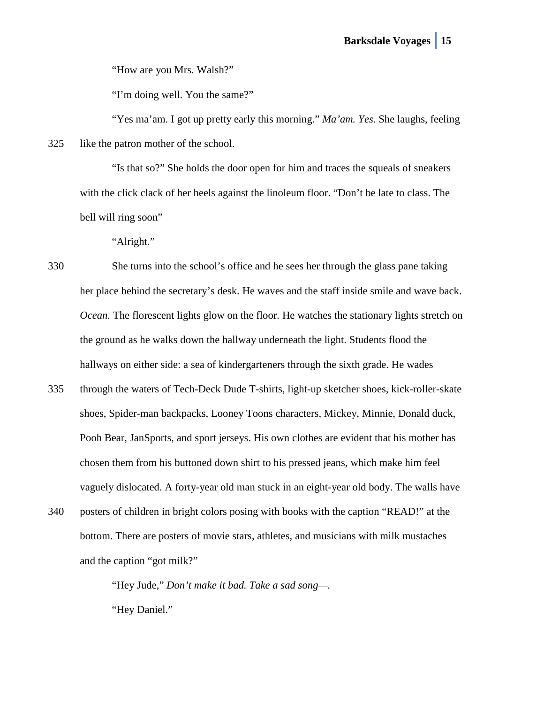"How are you Mrs. Walsh?"

"I'm doing well. You the same?"

"Yes ma'am. I got up pretty early this morning." *Ma'am. Yes.* She laughs, feeling 325 like the patron mother of the school.

"Is that so?" She holds the door open for him and traces the squeals of sneakers with the click clack of her heels against the linoleum floor. "Don't be late to class. The bell will ring soon"

"Alright."

330 She turns into the school's office and he sees her through the glass pane taking her place behind the secretary's desk. He waves and the staff inside smile and wave back. *Ocean*. The florescent lights glow on the floor. He watches the stationary lights stretch on the ground as he walks down the hallway underneath the light. Students flood the hallways on either side: a sea of kindergarteners through the sixth grade. He wades

- 335 through the waters of Tech-Deck Dude T-shirts, light-up sketcher shoes, kick-roller-skate shoes, Spider-man backpacks, Looney Toons characters, Mickey, Minnie, Donald duck, Pooh Bear, JanSports, and sport jerseys. His own clothes are evident that his mother has chosen them from his buttoned down shirt to his pressed jeans, which make him feel vaguely dislocated. A forty-year old man stuck in an eight-year old body. The walls have
- 340 posters of children in bright colors posing with books with the caption "READ!" at the bottom. There are posters of movie stars, athletes, and musicians with milk mustaches and the caption "got milk?"

"Hey Jude," *Don't make it bad. Take a sad song—.* "Hey Daniel."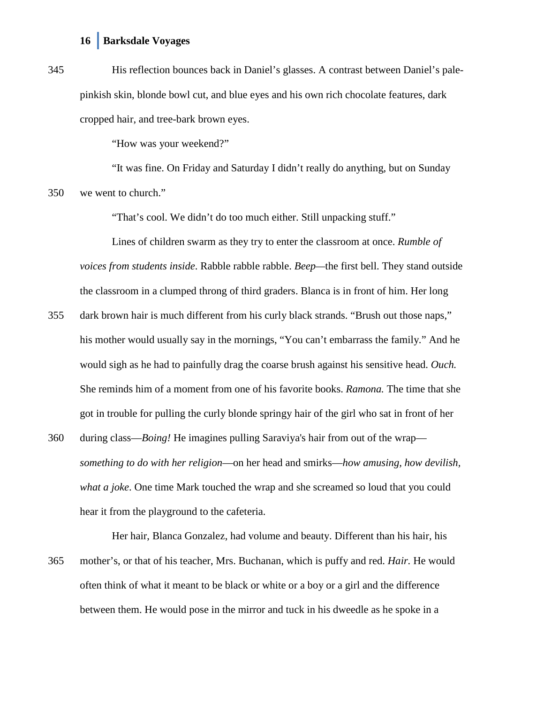345 His reflection bounces back in Daniel's glasses. A contrast between Daniel's palepinkish skin, blonde bowl cut, and blue eyes and his own rich chocolate features, dark cropped hair, and tree-bark brown eyes.

"How was your weekend?"

"It was fine. On Friday and Saturday I didn't really do anything, but on Sunday 350 we went to church."

"That's cool. We didn't do too much either. Still unpacking stuff."

Lines of children swarm as they try to enter the classroom at once. *Rumble of voices from students inside*. Rabble rabble rabble. *Beep—*the first bell. They stand outside the classroom in a clumped throng of third graders. Blanca is in front of him. Her long

- 355 dark brown hair is much different from his curly black strands. "Brush out those naps," his mother would usually say in the mornings, "You can't embarrass the family." And he would sigh as he had to painfully drag the coarse brush against his sensitive head. *Ouch.*  She reminds him of a moment from one of his favorite books. *Ramona.* The time that she got in trouble for pulling the curly blonde springy hair of the girl who sat in front of her
- 360 during class—*Boing!* He imagines pulling Saraviya's hair from out of the wrap *something to do with her religion*—on her head and smirks—*how amusing, how devilish, what a joke*. One time Mark touched the wrap and she screamed so loud that you could hear it from the playground to the cafeteria.

Her hair, Blanca Gonzalez, had volume and beauty. Different than his hair, his 365 mother's, or that of his teacher, Mrs. Buchanan, which is puffy and red. *Hair.* He would often think of what it meant to be black or white or a boy or a girl and the difference between them. He would pose in the mirror and tuck in his dweedle as he spoke in a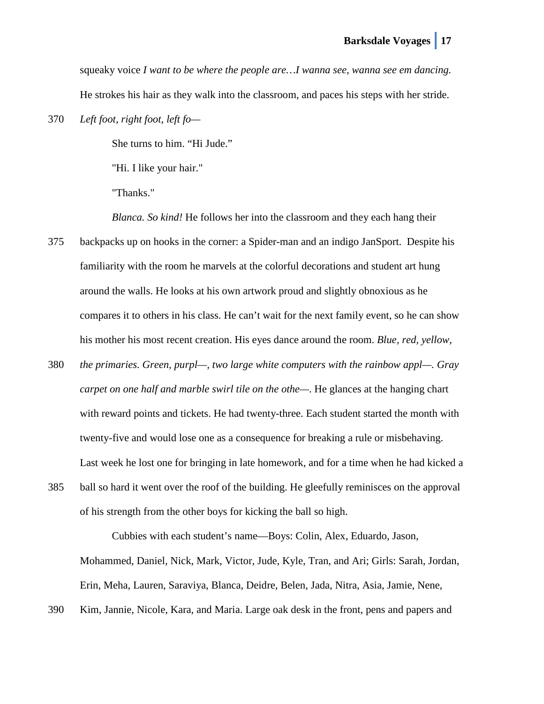squeaky voice *I want to be where the people are…I wanna see, wanna see em dancing.* He strokes his hair as they walk into the classroom, and paces his steps with her stride.

370 *Left foot, right foot, left fo—*

She turns to him. "Hi Jude."

"Hi. I like your hair."

"Thanks."

*Blanca. So kind!* He follows her into the classroom and they each hang their

- 375 backpacks up on hooks in the corner: a Spider-man and an indigo JanSport. Despite his familiarity with the room he marvels at the colorful decorations and student art hung around the walls. He looks at his own artwork proud and slightly obnoxious as he compares it to others in his class. He can't wait for the next family event, so he can show his mother his most recent creation. His eyes dance around the room. *Blue, red, yellow,*
- 380 *the primaries. Green, purpl—, two large white computers with the rainbow appl—. Gray carpet on one half and marble swirl tile on the othe—*. He glances at the hanging chart with reward points and tickets. He had twenty-three. Each student started the month with twenty-five and would lose one as a consequence for breaking a rule or misbehaving. Last week he lost one for bringing in late homework, and for a time when he had kicked a
- 385 ball so hard it went over the roof of the building. He gleefully reminisces on the approval of his strength from the other boys for kicking the ball so high.

Cubbies with each student's name—Boys: Colin, Alex, Eduardo, Jason, Mohammed, Daniel, Nick, Mark, Victor, Jude, Kyle, Tran, and Ari; Girls: Sarah, Jordan, Erin, Meha, Lauren, Saraviya, Blanca, Deidre, Belen, Jada, Nitra, Asia, Jamie, Nene,

390 Kim, Jannie, Nicole, Kara, and Maria. Large oak desk in the front, pens and papers and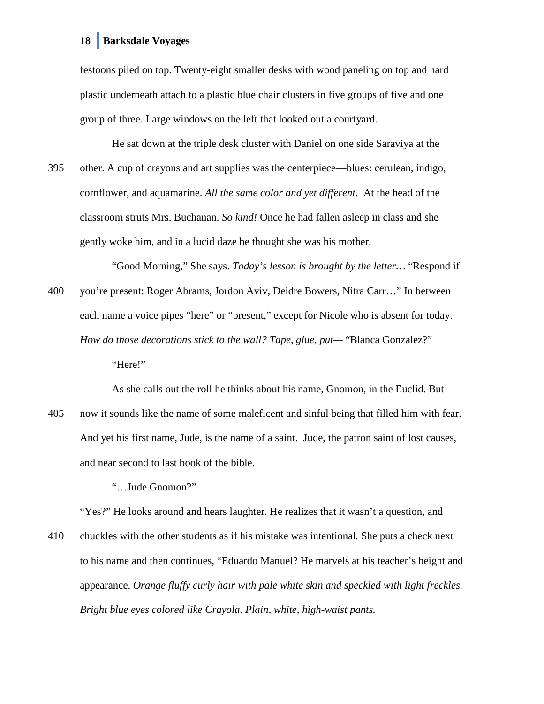festoons piled on top. Twenty-eight smaller desks with wood paneling on top and hard plastic underneath attach to a plastic blue chair clusters in five groups of five and one group of three. Large windows on the left that looked out a courtyard.

He sat down at the triple desk cluster with Daniel on one side Saraviya at the 395 other. A cup of crayons and art supplies was the centerpiece—blues: cerulean, indigo, cornflower, and aquamarine. *All the same color and yet different*. At the head of the classroom struts Mrs. Buchanan. *So kind!* Once he had fallen asleep in class and she

gently woke him, and in a lucid daze he thought she was his mother.

"Good Morning," She says. *Today's lesson is brought by the letter…* "Respond if 400 you're present: Roger Abrams, Jordon Aviv, Deidre Bowers, Nitra Carr…" In between each name a voice pipes "here" or "present," except for Nicole who is absent for today. *How do those decorations stick to the wall? Tape, glue, put—* "Blanca Gonzalez?"

"Here!"

As she calls out the roll he thinks about his name, Gnomon, in the Euclid. But 405 now it sounds like the name of some maleficent and sinful being that filled him with fear. And yet his first name, Jude, is the name of a saint. Jude, the patron saint of lost causes, and near second to last book of the bible.

"…Jude Gnomon?"

"Yes?" He looks around and hears laughter. He realizes that it wasn't a question, and

410 chuckles with the other students as if his mistake was intentional*.* She puts a check next to his name and then continues, "Eduardo Manuel? He marvels at his teacher's height and appearance. *Orange fluffy curly hair with pale white skin and speckled with light freckles. Bright blue eyes colored like Crayola. Plain, white, high-waist pants.*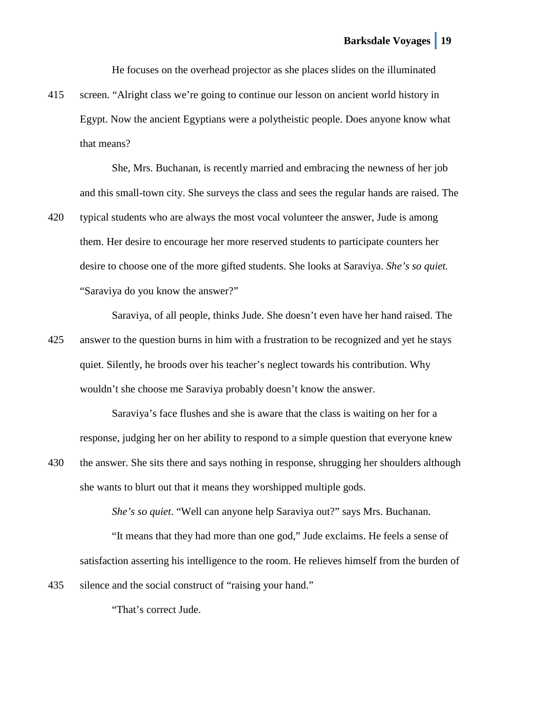He focuses on the overhead projector as she places slides on the illuminated

415 screen. "Alright class we're going to continue our lesson on ancient world history in Egypt. Now the ancient Egyptians were a polytheistic people. Does anyone know what that means?

She, Mrs. Buchanan, is recently married and embracing the newness of her job and this small-town city. She surveys the class and sees the regular hands are raised. The 420 typical students who are always the most vocal volunteer the answer, Jude is among them. Her desire to encourage her more reserved students to participate counters her desire to choose one of the more gifted students. She looks at Saraviya. *She's so quiet.* "Saraviya do you know the answer?"

Saraviya, of all people, thinks Jude. She doesn't even have her hand raised. The 425 answer to the question burns in him with a frustration to be recognized and yet he stays quiet. Silently, he broods over his teacher's neglect towards his contribution. Why wouldn't she choose me Saraviya probably doesn't know the answer.

Saraviya's face flushes and she is aware that the class is waiting on her for a response, judging her on her ability to respond to a simple question that everyone knew

430 the answer. She sits there and says nothing in response, shrugging her shoulders although she wants to blurt out that it means they worshipped multiple gods.

*She's so quiet*. "Well can anyone help Saraviya out?" says Mrs. Buchanan.

"It means that they had more than one god," Jude exclaims. He feels a sense of satisfaction asserting his intelligence to the room. He relieves himself from the burden of 435 silence and the social construct of "raising your hand."

"That's correct Jude.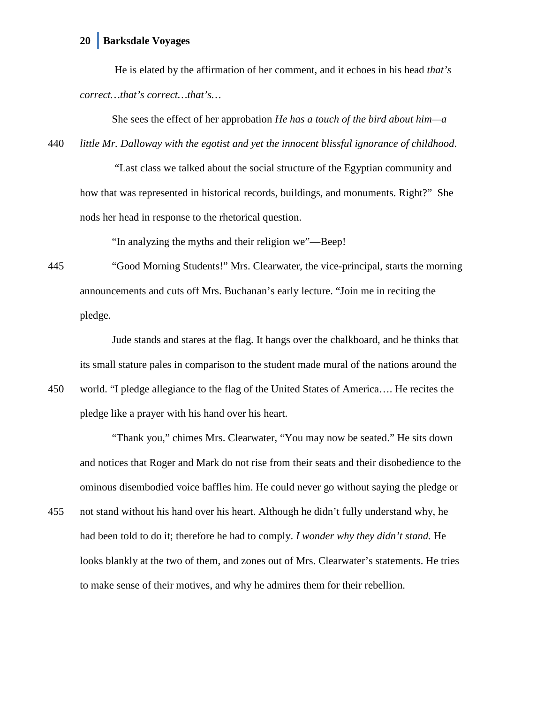He is elated by the affirmation of her comment, and it echoes in his head *that's correct…that's correct…that's…*

She sees the effect of her approbation *He has a touch of the bird about him—a*  440 *little Mr. Dalloway with the egotist and yet the innocent blissful ignorance of childhood*.

"Last class we talked about the social structure of the Egyptian community and how that was represented in historical records, buildings, and monuments. Right?" She nods her head in response to the rhetorical question.

"In analyzing the myths and their religion we"—Beep!

445 "Good Morning Students!" Mrs. Clearwater, the vice-principal, starts the morning announcements and cuts off Mrs. Buchanan's early lecture. "Join me in reciting the pledge.

Jude stands and stares at the flag. It hangs over the chalkboard, and he thinks that its small stature pales in comparison to the student made mural of the nations around the 450 world. "I pledge allegiance to the flag of the United States of America…. He recites the pledge like a prayer with his hand over his heart.

"Thank you," chimes Mrs. Clearwater, "You may now be seated." He sits down and notices that Roger and Mark do not rise from their seats and their disobedience to the ominous disembodied voice baffles him. He could never go without saying the pledge or

455 not stand without his hand over his heart. Although he didn't fully understand why, he had been told to do it; therefore he had to comply. *I wonder why they didn't stand.* He looks blankly at the two of them, and zones out of Mrs. Clearwater's statements. He tries to make sense of their motives, and why he admires them for their rebellion.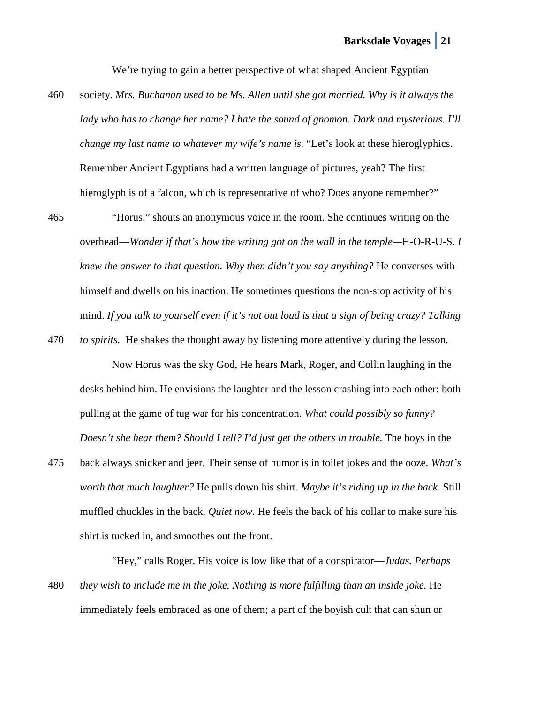We're trying to gain a better perspective of what shaped Ancient Egyptian

- 460 society. *Mrs. Buchanan used to be Ms. Allen until she got married. Why is it always the lady who has to change her name? I hate the sound of gnomon. Dark and mysterious. I'll change my last name to whatever my wife's name is.* "Let's look at these hieroglyphics. Remember Ancient Egyptians had a written language of pictures, yeah? The first hieroglyph is of a falcon, which is representative of who? Does anyone remember?"
- 465 "Horus," shouts an anonymous voice in the room. She continues writing on the overhead—*Wonder if that's how the writing got on the wall in the temple—*H-O-R-U-S*. I knew the answer to that question. Why then didn't you say anything?* He converses with himself and dwells on his inaction. He sometimes questions the non-stop activity of his mind. *If you talk to yourself even if it's not out loud is that a sign of being crazy? Talking*
- 470 *to spirits.* He shakes the thought away by listening more attentively during the lesson.

Now Horus was the sky God, He hears Mark, Roger, and Collin laughing in the desks behind him. He envisions the laughter and the lesson crashing into each other: both pulling at the game of tug war for his concentration. *What could possibly so funny? Doesn't she hear them? Should I tell? I'd just get the others in trouble.* The boys in the

475 back always snicker and jeer. Their sense of humor is in toilet jokes and the ooze. *What's worth that much laughter?* He pulls down his shirt. *Maybe it's riding up in the back.* Still muffled chuckles in the back. *Quiet now.* He feels the back of his collar to make sure his shirt is tucked in, and smoothes out the front.

"Hey," calls Roger. His voice is low like that of a conspirator—*Judas. Perhaps* 

480 *they wish to include me in the joke. Nothing is more fulfilling than an inside joke.* He immediately feels embraced as one of them; a part of the boyish cult that can shun or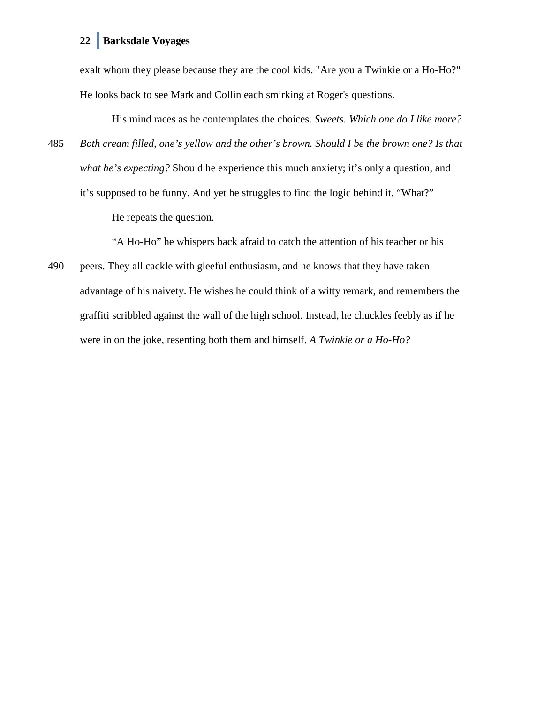exalt whom they please because they are the cool kids. "Are you a Twinkie or a Ho-Ho?" He looks back to see Mark and Collin each smirking at Roger's questions.

His mind races as he contemplates the choices. *Sweets. Which one do I like more?*  485 *Both cream filled, one's yellow and the other's brown. Should I be the brown one? Is that what he's expecting?* Should he experience this much anxiety; it's only a question, and it's supposed to be funny. And yet he struggles to find the logic behind it. "What?" He repeats the question.

"A Ho-Ho" he whispers back afraid to catch the attention of his teacher or his

490 peers. They all cackle with gleeful enthusiasm, and he knows that they have taken advantage of his naivety. He wishes he could think of a witty remark, and remembers the graffiti scribbled against the wall of the high school. Instead, he chuckles feebly as if he were in on the joke, resenting both them and himself. *A Twinkie or a Ho-Ho?*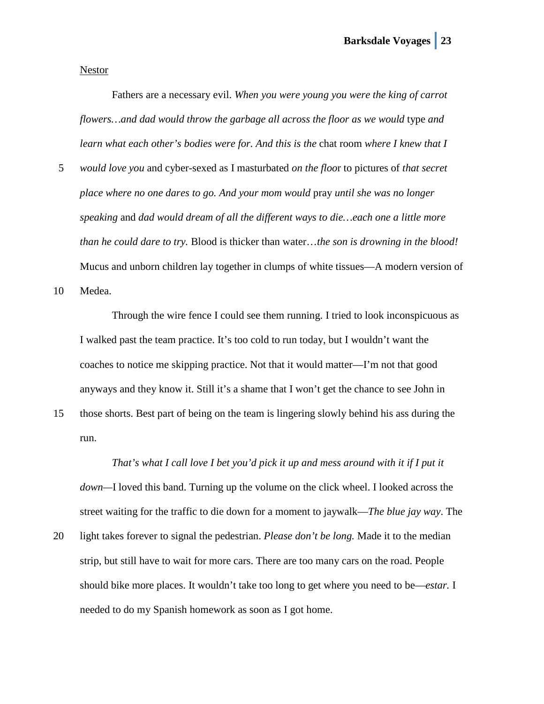Nestor

Fathers are a necessary evil. *When you were young you were the king of carrot flowers…and dad would throw the garbage all across the floor as we would* type *and learn what each other's bodies were for. And this is the* chat room *where I knew that I* 

5 *would love you* and cyber-sexed as I masturbated *on the floo*r to pictures of *that secret place where no one dares to go. And your mom would* pray *until she was no longer speaking* and *dad would dream of all the different ways to die…each one a little more than he could dare to try.* Blood is thicker than water…*the son is drowning in the blood!* Mucus and unborn children lay together in clumps of white tissues—A modern version of

10 Medea.

Through the wire fence I could see them running. I tried to look inconspicuous as I walked past the team practice. It's too cold to run today, but I wouldn't want the coaches to notice me skipping practice. Not that it would matter—I'm not that good anyways and they know it. Still it's a shame that I won't get the chance to see John in

15 those shorts. Best part of being on the team is lingering slowly behind his ass during the run.

*That's what I call love I bet you'd pick it up and mess around with it if I put it down—*I loved this band. Turning up the volume on the click wheel. I looked across the street waiting for the traffic to die down for a moment to jaywalk—*The blue jay way*. The

20 light takes forever to signal the pedestrian. *Please don't be long.* Made it to the median strip, but still have to wait for more cars. There are too many cars on the road. People should bike more places. It wouldn't take too long to get where you need to be—*estar.* I needed to do my Spanish homework as soon as I got home.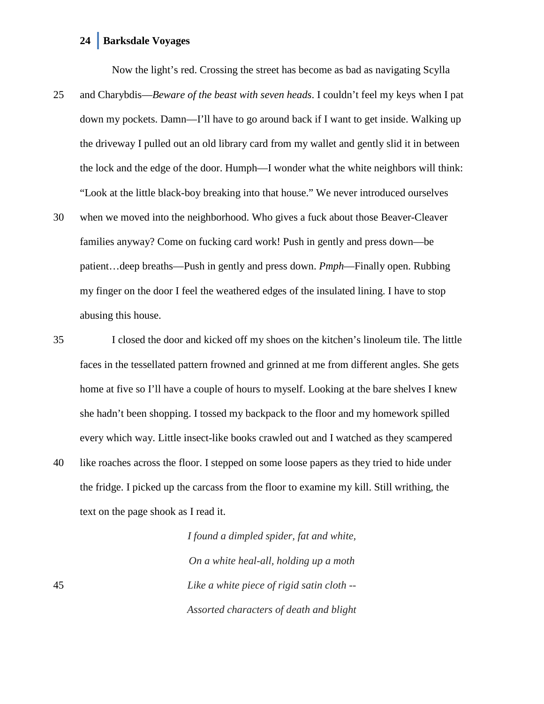Now the light's red. Crossing the street has become as bad as navigating Scylla

- 25 and Charybdis—*Beware of the beast with seven heads*. I couldn't feel my keys when I pat down my pockets. Damn—I'll have to go around back if I want to get inside. Walking up the driveway I pulled out an old library card from my wallet and gently slid it in between the lock and the edge of the door. Humph—I wonder what the white neighbors will think: "Look at the little black-boy breaking into that house." We never introduced ourselves
- 30 when we moved into the neighborhood. Who gives a fuck about those Beaver-Cleaver families anyway? Come on fucking card work! Push in gently and press down—be patient…deep breaths—Push in gently and press down. *Pmph*—Finally open. Rubbing my finger on the door I feel the weathered edges of the insulated lining. I have to stop abusing this house.
- 35 I closed the door and kicked off my shoes on the kitchen's linoleum tile. The little faces in the tessellated pattern frowned and grinned at me from different angles. She gets home at five so I'll have a couple of hours to myself. Looking at the bare shelves I knew she hadn't been shopping. I tossed my backpack to the floor and my homework spilled every which way. Little insect-like books crawled out and I watched as they scampered 40 like roaches across the floor. I stepped on some loose papers as they tried to hide under the fridge. I picked up the carcass from the floor to examine my kill. Still writhing, the text on the page shook as I read it.

*I found a dimpled spider, fat and white, On a white heal-all, holding up a moth* 45 *Like a white piece of rigid satin cloth -- Assorted characters of death and blight*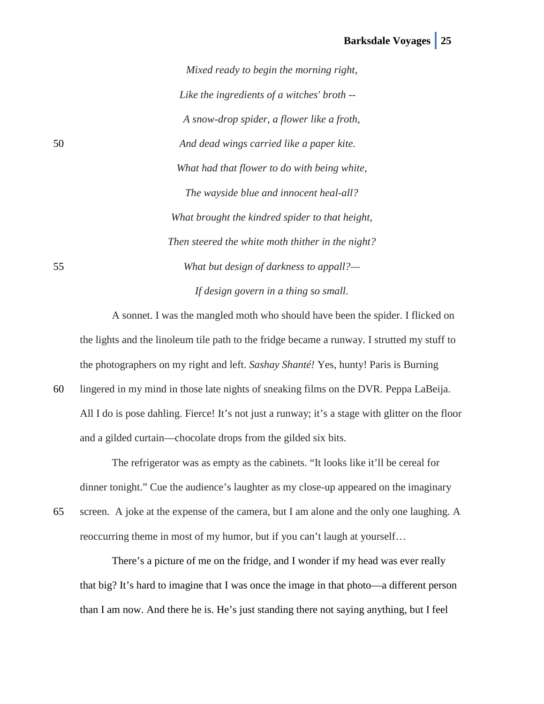*Mixed ready to begin the morning right, Like the ingredients of a witches' broth -- A snow-drop spider, a flower like a froth,* 50 *And dead wings carried like a paper kite. What had that flower to do with being white, The wayside blue and innocent heal-all? What brought the kindred spider to that height, Then steered the white moth thither in the night?* 55 *What but design of darkness to appall?— If design govern in a thing so small.*

A sonnet. I was the mangled moth who should have been the spider. I flicked on the lights and the linoleum tile path to the fridge became a runway. I strutted my stuff to the photographers on my right and left. *Sashay Shanté!* Yes, hunty! Paris is Burning 60 lingered in my mind in those late nights of sneaking films on the DVR. Peppa LaBeija. All I do is pose dahling. Fierce! It's not just a runway; it's a stage with glitter on the floor and a gilded curtain—chocolate drops from the gilded six bits.

The refrigerator was as empty as the cabinets. "It looks like it'll be cereal for dinner tonight." Cue the audience's laughter as my close-up appeared on the imaginary

65 screen. A joke at the expense of the camera, but I am alone and the only one laughing. A reoccurring theme in most of my humor, but if you can't laugh at yourself…

There's a picture of me on the fridge, and I wonder if my head was ever really that big? It's hard to imagine that I was once the image in that photo—a different person than I am now. And there he is. He's just standing there not saying anything, but I feel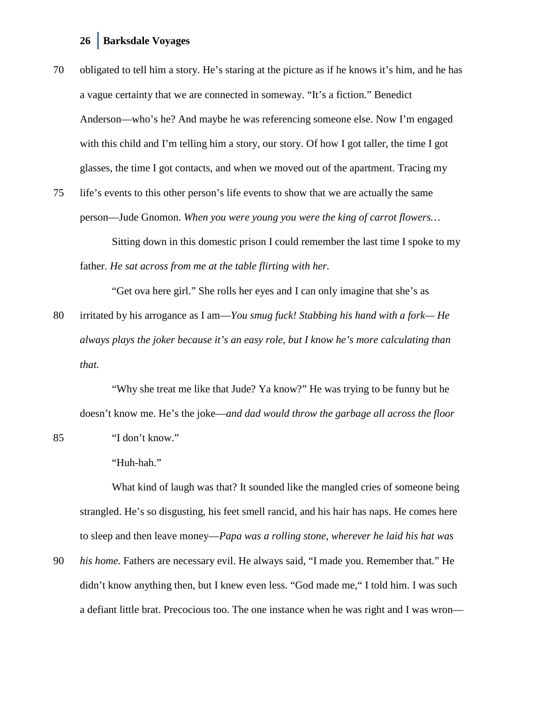- 70 obligated to tell him a story. He's staring at the picture as if he knows it's him, and he has a vague certainty that we are connected in someway. "It's a fiction." Benedict Anderson—who's he? And maybe he was referencing someone else. Now I'm engaged with this child and I'm telling him a story, our story. Of how I got taller, the time I got glasses, the time I got contacts, and when we moved out of the apartment. Tracing my
- 75 life's events to this other person's life events to show that we are actually the same person—Jude Gnomon. *When you were young you were the king of carrot flowers…*

Sitting down in this domestic prison I could remember the last time I spoke to my father. *He sat across from me at the table flirting with her.* 

"Get ova here girl." She rolls her eyes and I can only imagine that she's as

80 irritated by his arrogance as I am—*You smug fuck! Stabbing his hand with a fork— He always plays the joker because it's an easy role, but I know he's more calculating than that.*

"Why she treat me like that Jude? Ya know?" He was trying to be funny but he doesn't know me. He's the joke—*and dad would throw the garbage all across the floor*

85 "I don't know."

"Huh-hah."

What kind of laugh was that? It sounded like the mangled cries of someone being strangled. He's so disgusting, his feet smell rancid, and his hair has naps. He comes here to sleep and then leave money—*Papa was a rolling stone, wherever he laid his hat was* 

90 *his home.* Fathers are necessary evil. He always said, "I made you. Remember that." He didn't know anything then, but I knew even less. "God made me," I told him. I was such a defiant little brat. Precocious too. The one instance when he was right and I was wron—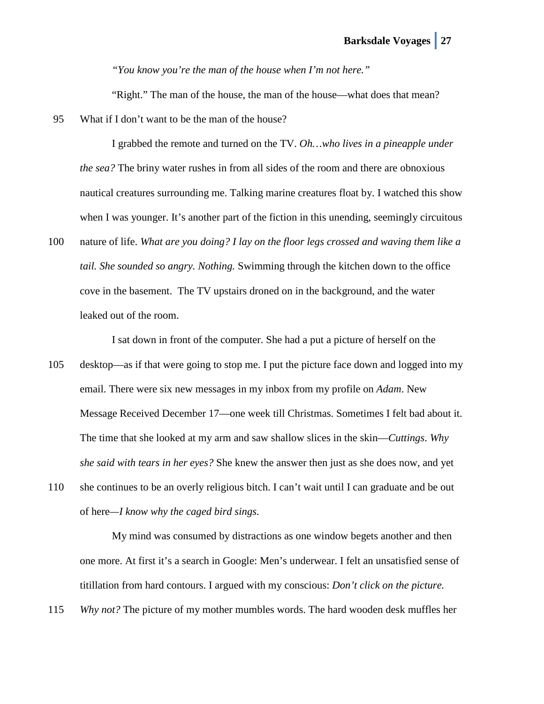*"You know you're the man of the house when I'm not here."* 

"Right." The man of the house, the man of the house—what does that mean? 95 What if I don't want to be the man of the house?

I grabbed the remote and turned on the TV. *Oh…who lives in a pineapple under the sea?* The briny water rushes in from all sides of the room and there are obnoxious nautical creatures surrounding me. Talking marine creatures float by. I watched this show when I was younger. It's another part of the fiction in this unending, seemingly circuitous

100 nature of life. *What are you doing? I lay on the floor legs crossed and waving them like a tail. She sounded so angry. Nothing.* Swimming through the kitchen down to the office cove in the basement. The TV upstairs droned on in the background, and the water leaked out of the room.

I sat down in front of the computer. She had a put a picture of herself on the

- 105 desktop—as if that were going to stop me. I put the picture face down and logged into my email. There were six new messages in my inbox from my profile on *Adam*. New Message Received December 17—one week till Christmas. Sometimes I felt bad about it. The time that she looked at my arm and saw shallow slices in the skin—*Cuttings*. *Why she said with tears in her eyes?* She knew the answer then just as she does now, and yet
- 110 she continues to be an overly religious bitch. I can't wait until I can graduate and be out of here*—I know why the caged bird sings.*

My mind was consumed by distractions as one window begets another and then one more. At first it's a search in Google: Men's underwear. I felt an unsatisfied sense of titillation from hard contours. I argued with my conscious: *Don't click on the picture.* 

115 *Why not?* The picture of my mother mumbles words. The hard wooden desk muffles her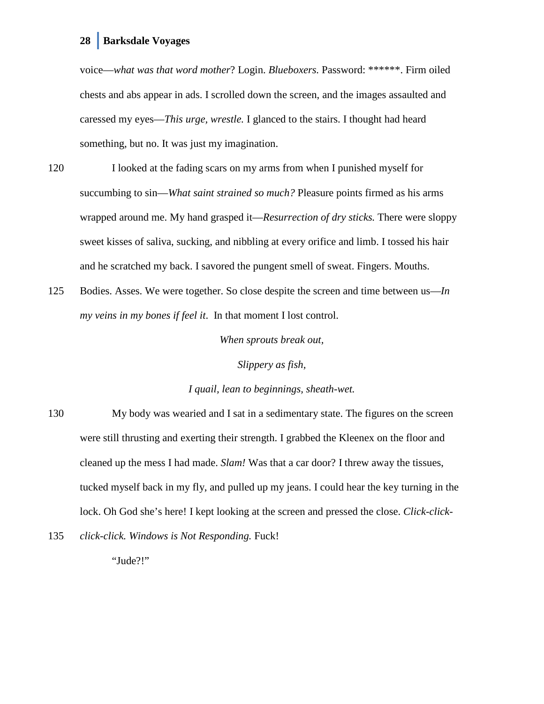voice—*what was that word mother*? Login. *Blueboxers.* Password: \*\*\*\*\*\*. Firm oiled chests and abs appear in ads. I scrolled down the screen, and the images assaulted and caressed my eyes—*This urge, wrestle.* I glanced to the stairs. I thought had heard something, but no. It was just my imagination.

- 120 I looked at the fading scars on my arms from when I punished myself for succumbing to sin—*What saint strained so much?* Pleasure points firmed as his arms wrapped around me. My hand grasped it—*Resurrection of dry sticks.* There were sloppy sweet kisses of saliva, sucking, and nibbling at every orifice and limb. I tossed his hair and he scratched my back. I savored the pungent smell of sweat. Fingers. Mouths.
- 125 Bodies. Asses. We were together. So close despite the screen and time between us—*In my veins in my bones if feel it*. In that moment I lost control.

*When sprouts break out,*

*Slippery as fish,*

#### *I quail, lean to beginnings, sheath-wet.*

- 130 My body was wearied and I sat in a sedimentary state. The figures on the screen were still thrusting and exerting their strength. I grabbed the Kleenex on the floor and cleaned up the mess I had made. *Slam!* Was that a car door? I threw away the tissues, tucked myself back in my fly, and pulled up my jeans. I could hear the key turning in the lock. Oh God she's here! I kept looking at the screen and pressed the close. *Click-click-*
- 135 *click-click. Windows is Not Responding.* Fuck!

"Jude?!"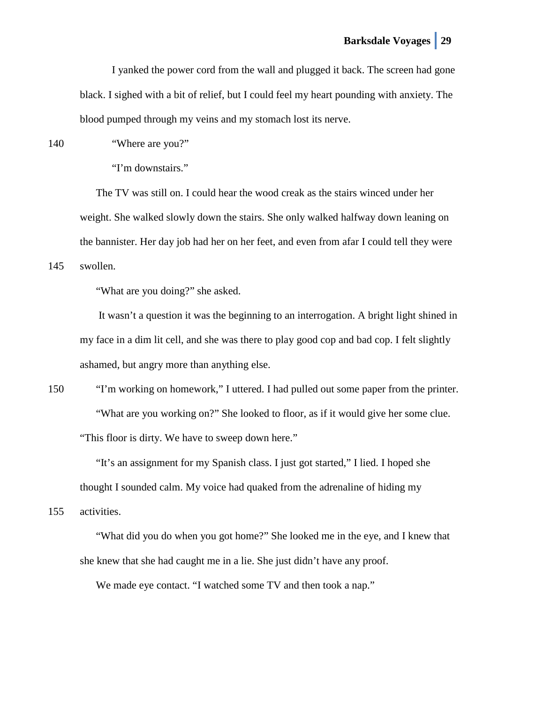I yanked the power cord from the wall and plugged it back. The screen had gone black. I sighed with a bit of relief, but I could feel my heart pounding with anxiety. The blood pumped through my veins and my stomach lost its nerve.

140 "Where are you?"

"I'm downstairs."

The TV was still on. I could hear the wood creak as the stairs winced under her weight. She walked slowly down the stairs. She only walked halfway down leaning on the bannister. Her day job had her on her feet, and even from afar I could tell they were

145 swollen.

"What are you doing?" she asked.

It wasn't a question it was the beginning to an interrogation. A bright light shined in my face in a dim lit cell, and she was there to play good cop and bad cop. I felt slightly ashamed, but angry more than anything else.

150 "I'm working on homework," I uttered. I had pulled out some paper from the printer. "What are you working on?" She looked to floor, as if it would give her some clue. "This floor is dirty. We have to sweep down here."

"It's an assignment for my Spanish class. I just got started," I lied. I hoped she thought I sounded calm. My voice had quaked from the adrenaline of hiding my

155 activities.

"What did you do when you got home?" She looked me in the eye, and I knew that she knew that she had caught me in a lie. She just didn't have any proof.

We made eye contact. "I watched some TV and then took a nap."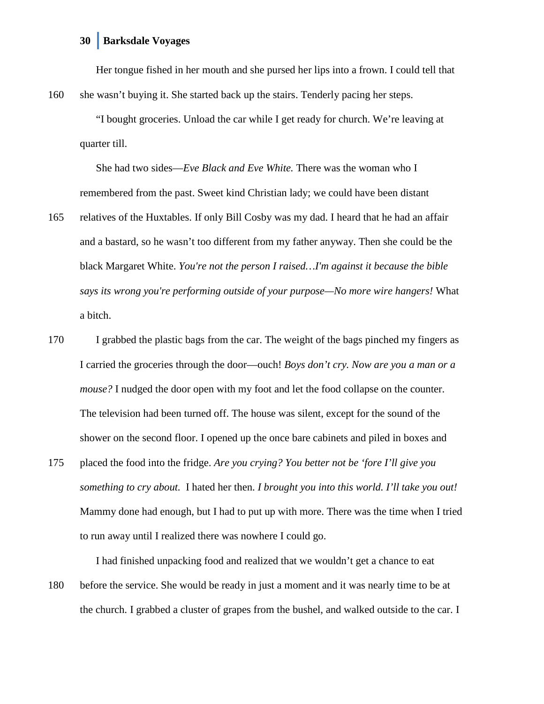Her tongue fished in her mouth and she pursed her lips into a frown. I could tell that 160 she wasn't buying it. She started back up the stairs. Tenderly pacing her steps.

"I bought groceries. Unload the car while I get ready for church. We're leaving at quarter till.

She had two sides—*Eve Black and Eve White.* There was the woman who I remembered from the past. Sweet kind Christian lady; we could have been distant 165 relatives of the Huxtables. If only Bill Cosby was my dad. I heard that he had an affair

- and a bastard, so he wasn't too different from my father anyway. Then she could be the black Margaret White. *You're not the person I raised…I'm against it because the bible says its wrong you're performing outside of your purpose—No more wire hangers!* What a bitch.
- 170 I grabbed the plastic bags from the car. The weight of the bags pinched my fingers as I carried the groceries through the door—ouch! *Boys don't cry. Now are you a man or a mouse?* I nudged the door open with my foot and let the food collapse on the counter. The television had been turned off. The house was silent, except for the sound of the shower on the second floor. I opened up the once bare cabinets and piled in boxes and
- 175 placed the food into the fridge. *Are you crying? You better not be 'fore I'll give you something to cry about.* I hated her then. *I brought you into this world. I'll take you out!*  Mammy done had enough, but I had to put up with more. There was the time when I tried to run away until I realized there was nowhere I could go.

I had finished unpacking food and realized that we wouldn't get a chance to eat

180 before the service. She would be ready in just a moment and it was nearly time to be at the church. I grabbed a cluster of grapes from the bushel, and walked outside to the car. I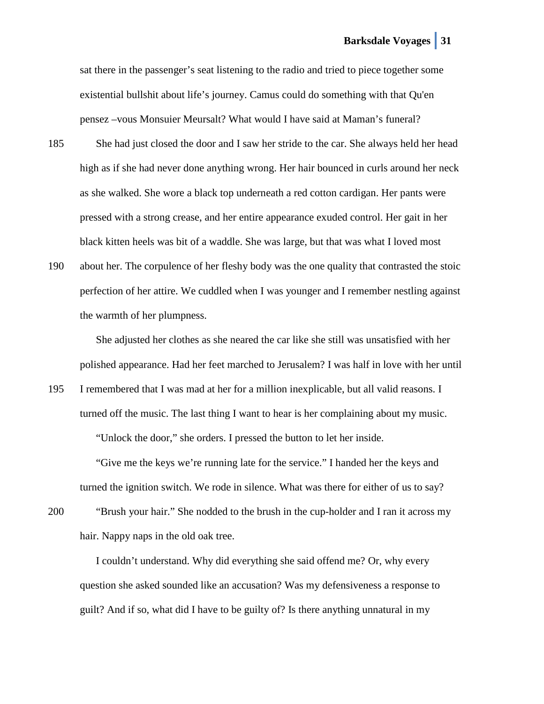sat there in the passenger's seat listening to the radio and tried to piece together some existential bullshit about life's journey. Camus could do something with that Qu'en pensez –vous Monsuier Meursalt? What would I have said at Maman's funeral?

- 185 She had just closed the door and I saw her stride to the car. She always held her head high as if she had never done anything wrong. Her hair bounced in curls around her neck as she walked. She wore a black top underneath a red cotton cardigan. Her pants were pressed with a strong crease, and her entire appearance exuded control. Her gait in her black kitten heels was bit of a waddle. She was large, but that was what I loved most
- 190 about her. The corpulence of her fleshy body was the one quality that contrasted the stoic perfection of her attire. We cuddled when I was younger and I remember nestling against the warmth of her plumpness.

She adjusted her clothes as she neared the car like she still was unsatisfied with her polished appearance. Had her feet marched to Jerusalem? I was half in love with her until

195 I remembered that I was mad at her for a million inexplicable, but all valid reasons. I turned off the music. The last thing I want to hear is her complaining about my music. "Unlock the door," she orders. I pressed the button to let her inside.

"Give me the keys we're running late for the service." I handed her the keys and turned the ignition switch. We rode in silence. What was there for either of us to say?

200 "Brush your hair." She nodded to the brush in the cup-holder and I ran it across my hair. Nappy naps in the old oak tree.

I couldn't understand. Why did everything she said offend me? Or, why every question she asked sounded like an accusation? Was my defensiveness a response to guilt? And if so, what did I have to be guilty of? Is there anything unnatural in my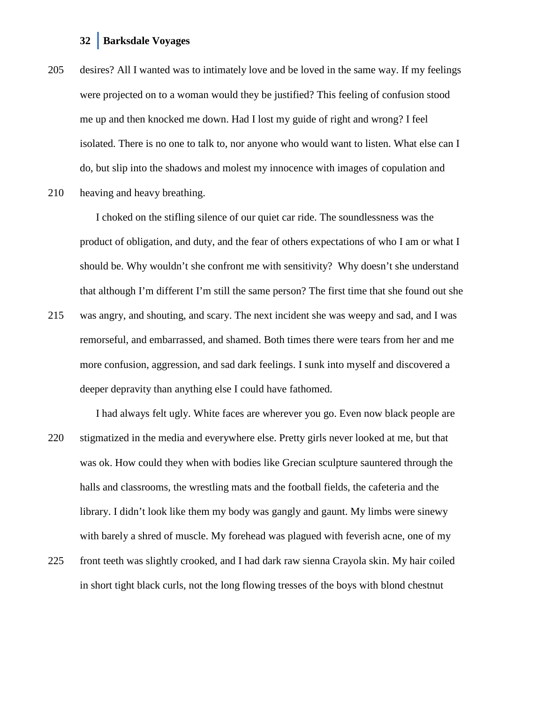205 desires? All I wanted was to intimately love and be loved in the same way. If my feelings were projected on to a woman would they be justified? This feeling of confusion stood me up and then knocked me down. Had I lost my guide of right and wrong? I feel isolated. There is no one to talk to, nor anyone who would want to listen. What else can I do, but slip into the shadows and molest my innocence with images of copulation and

210 heaving and heavy breathing.

I choked on the stifling silence of our quiet car ride. The soundlessness was the product of obligation, and duty, and the fear of others expectations of who I am or what I should be. Why wouldn't she confront me with sensitivity? Why doesn't she understand that although I'm different I'm still the same person? The first time that she found out she

215 was angry, and shouting, and scary. The next incident she was weepy and sad, and I was remorseful, and embarrassed, and shamed. Both times there were tears from her and me more confusion, aggression, and sad dark feelings. I sunk into myself and discovered a deeper depravity than anything else I could have fathomed.

I had always felt ugly. White faces are wherever you go. Even now black people are 220 stigmatized in the media and everywhere else. Pretty girls never looked at me, but that was ok. How could they when with bodies like Grecian sculpture sauntered through the halls and classrooms, the wrestling mats and the football fields, the cafeteria and the library. I didn't look like them my body was gangly and gaunt. My limbs were sinewy with barely a shred of muscle. My forehead was plagued with feverish acne, one of my

225 front teeth was slightly crooked, and I had dark raw sienna Crayola skin. My hair coiled in short tight black curls, not the long flowing tresses of the boys with blond chestnut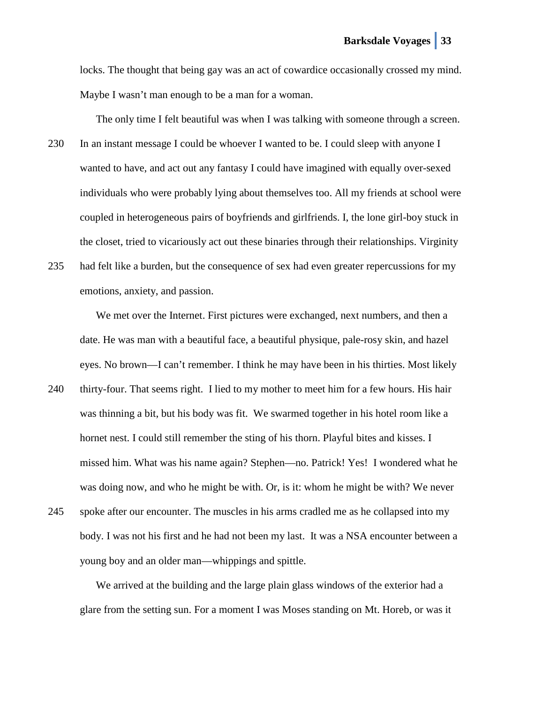locks. The thought that being gay was an act of cowardice occasionally crossed my mind. Maybe I wasn't man enough to be a man for a woman.

The only time I felt beautiful was when I was talking with someone through a screen. 230 In an instant message I could be whoever I wanted to be. I could sleep with anyone I wanted to have, and act out any fantasy I could have imagined with equally over-sexed individuals who were probably lying about themselves too. All my friends at school were coupled in heterogeneous pairs of boyfriends and girlfriends. I, the lone girl-boy stuck in the closet, tried to vicariously act out these binaries through their relationships. Virginity 235 had felt like a burden, but the consequence of sex had even greater repercussions for my

emotions, anxiety, and passion.

We met over the Internet. First pictures were exchanged, next numbers, and then a date. He was man with a beautiful face, a beautiful physique, pale-rosy skin, and hazel eyes. No brown—I can't remember. I think he may have been in his thirties. Most likely

240 thirty-four. That seems right. I lied to my mother to meet him for a few hours. His hair was thinning a bit, but his body was fit. We swarmed together in his hotel room like a hornet nest. I could still remember the sting of his thorn. Playful bites and kisses. I missed him. What was his name again? Stephen—no. Patrick! Yes! I wondered what he was doing now, and who he might be with. Or, is it: whom he might be with? We never 245 spoke after our encounter. The muscles in his arms cradled me as he collapsed into my body. I was not his first and he had not been my last. It was a NSA encounter between a

young boy and an older man—whippings and spittle.

We arrived at the building and the large plain glass windows of the exterior had a glare from the setting sun. For a moment I was Moses standing on Mt. Horeb, or was it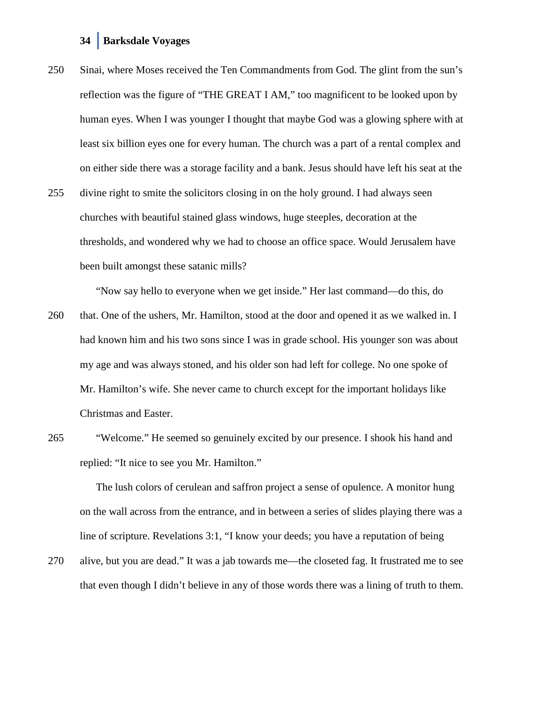- 250 Sinai, where Moses received the Ten Commandments from God. The glint from the sun's reflection was the figure of "THE GREAT I AM," too magnificent to be looked upon by human eyes. When I was younger I thought that maybe God was a glowing sphere with at least six billion eyes one for every human. The church was a part of a rental complex and on either side there was a storage facility and a bank. Jesus should have left his seat at the
- 255 divine right to smite the solicitors closing in on the holy ground. I had always seen churches with beautiful stained glass windows, huge steeples, decoration at the thresholds, and wondered why we had to choose an office space. Would Jerusalem have been built amongst these satanic mills?

"Now say hello to everyone when we get inside." Her last command—do this, do

- 260 that. One of the ushers, Mr. Hamilton, stood at the door and opened it as we walked in. I had known him and his two sons since I was in grade school. His younger son was about my age and was always stoned, and his older son had left for college. No one spoke of Mr. Hamilton's wife. She never came to church except for the important holidays like Christmas and Easter.
- 265 "Welcome." He seemed so genuinely excited by our presence. I shook his hand and replied: "It nice to see you Mr. Hamilton."

The lush colors of cerulean and saffron project a sense of opulence. A monitor hung on the wall across from the entrance, and in between a series of slides playing there was a line of scripture. Revelations 3:1, "I know your deeds; you have a reputation of being

270 alive, but you are dead." It was a jab towards me—the closeted fag. It frustrated me to see that even though I didn't believe in any of those words there was a lining of truth to them.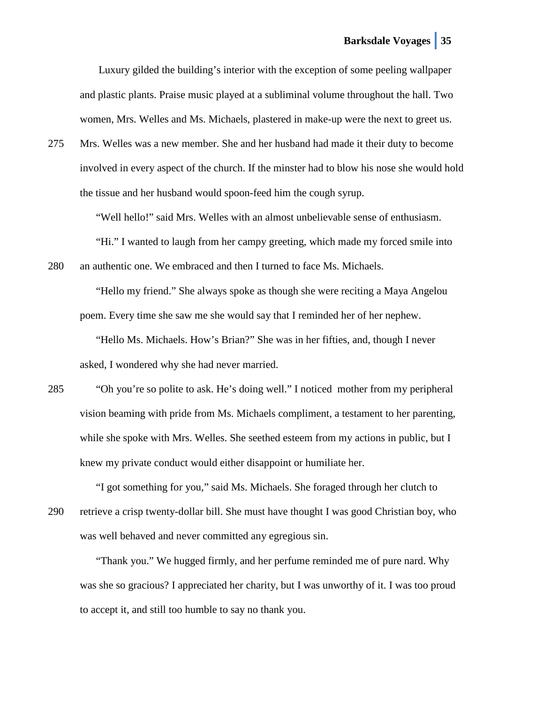Luxury gilded the building's interior with the exception of some peeling wallpaper and plastic plants. Praise music played at a subliminal volume throughout the hall. Two women, Mrs. Welles and Ms. Michaels, plastered in make-up were the next to greet us.

275 Mrs. Welles was a new member. She and her husband had made it their duty to become involved in every aspect of the church. If the minster had to blow his nose she would hold the tissue and her husband would spoon-feed him the cough syrup.

"Well hello!" said Mrs. Welles with an almost unbelievable sense of enthusiasm.

- "Hi." I wanted to laugh from her campy greeting, which made my forced smile into
- 280 an authentic one. We embraced and then I turned to face Ms. Michaels.

"Hello my friend." She always spoke as though she were reciting a Maya Angelou poem. Every time she saw me she would say that I reminded her of her nephew.

"Hello Ms. Michaels. How's Brian?" She was in her fifties, and, though I never asked, I wondered why she had never married.

285 "Oh you're so polite to ask. He's doing well." I noticed mother from my peripheral vision beaming with pride from Ms. Michaels compliment, a testament to her parenting, while she spoke with Mrs. Welles. She seethed esteem from my actions in public, but I knew my private conduct would either disappoint or humiliate her.

"I got something for you," said Ms. Michaels. She foraged through her clutch to 290 retrieve a crisp twenty-dollar bill. She must have thought I was good Christian boy, who was well behaved and never committed any egregious sin.

"Thank you." We hugged firmly, and her perfume reminded me of pure nard. Why was she so gracious? I appreciated her charity, but I was unworthy of it. I was too proud to accept it, and still too humble to say no thank you.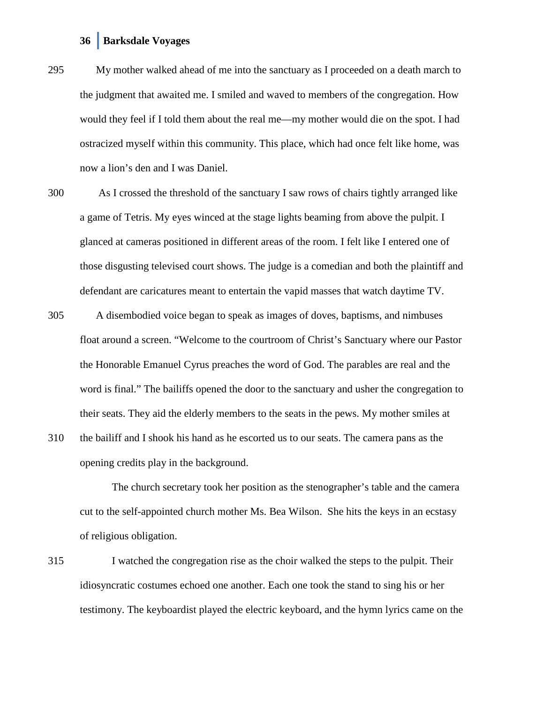- 295 My mother walked ahead of me into the sanctuary as I proceeded on a death march to the judgment that awaited me. I smiled and waved to members of the congregation. How would they feel if I told them about the real me—my mother would die on the spot. I had ostracized myself within this community. This place, which had once felt like home, was now a lion's den and I was Daniel.
- 300 As I crossed the threshold of the sanctuary I saw rows of chairs tightly arranged like a game of Tetris. My eyes winced at the stage lights beaming from above the pulpit. I glanced at cameras positioned in different areas of the room. I felt like I entered one of those disgusting televised court shows. The judge is a comedian and both the plaintiff and defendant are caricatures meant to entertain the vapid masses that watch daytime TV.
- 305 A disembodied voice began to speak as images of doves, baptisms, and nimbuses float around a screen. "Welcome to the courtroom of Christ's Sanctuary where our Pastor the Honorable Emanuel Cyrus preaches the word of God. The parables are real and the word is final." The bailiffs opened the door to the sanctuary and usher the congregation to their seats. They aid the elderly members to the seats in the pews. My mother smiles at
- 310 the bailiff and I shook his hand as he escorted us to our seats. The camera pans as the opening credits play in the background.

The church secretary took her position as the stenographer's table and the camera cut to the self-appointed church mother Ms. Bea Wilson. She hits the keys in an ecstasy of religious obligation.

315 I watched the congregation rise as the choir walked the steps to the pulpit. Their idiosyncratic costumes echoed one another. Each one took the stand to sing his or her testimony. The keyboardist played the electric keyboard, and the hymn lyrics came on the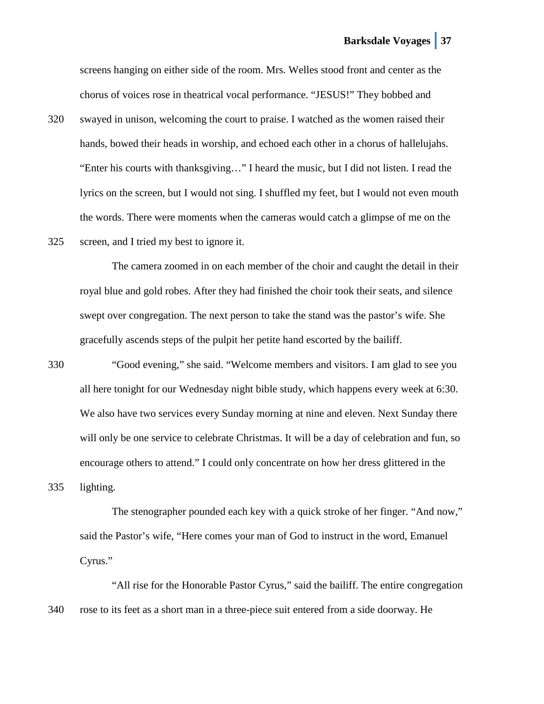screens hanging on either side of the room. Mrs. Welles stood front and center as the chorus of voices rose in theatrical vocal performance. "JESUS!" They bobbed and

320 swayed in unison, welcoming the court to praise. I watched as the women raised their hands, bowed their heads in worship, and echoed each other in a chorus of hallelujahs. "Enter his courts with thanksgiving…" I heard the music, but I did not listen. I read the lyrics on the screen, but I would not sing. I shuffled my feet, but I would not even mouth the words. There were moments when the cameras would catch a glimpse of me on the 325 screen, and I tried my best to ignore it.

The camera zoomed in on each member of the choir and caught the detail in their royal blue and gold robes. After they had finished the choir took their seats, and silence swept over congregation. The next person to take the stand was the pastor's wife. She gracefully ascends steps of the pulpit her petite hand escorted by the bailiff.

330 "Good evening," she said. "Welcome members and visitors. I am glad to see you all here tonight for our Wednesday night bible study, which happens every week at 6:30. We also have two services every Sunday morning at nine and eleven. Next Sunday there will only be one service to celebrate Christmas. It will be a day of celebration and fun, so encourage others to attend." I could only concentrate on how her dress glittered in the 335 lighting.

The stenographer pounded each key with a quick stroke of her finger. "And now," said the Pastor's wife, "Here comes your man of God to instruct in the word, Emanuel Cyrus."

"All rise for the Honorable Pastor Cyrus," said the bailiff. The entire congregation 340 rose to its feet as a short man in a three-piece suit entered from a side doorway. He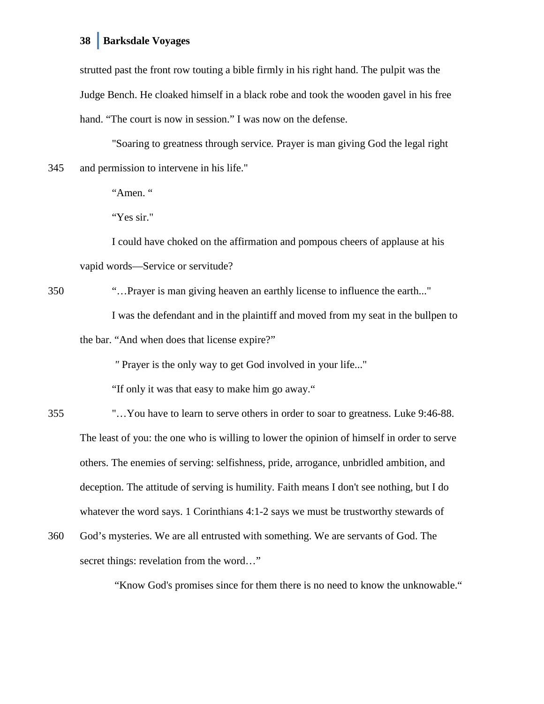strutted past the front row touting a bible firmly in his right hand. The pulpit was the Judge Bench. He cloaked himself in a black robe and took the wooden gavel in his free hand. "The court is now in session." I was now on the defense.

"Soaring to greatness through service*.* Prayer is man giving God the legal right 345 and permission to intervene in his life."

"Amen. "

"Yes sir."

I could have choked on the affirmation and pompous cheers of applause at his vapid words—Service or servitude?

350 "…Prayer is man giving heaven an earthly license to influence the earth..." I was the defendant and in the plaintiff and moved from my seat in the bullpen to the bar. "And when does that license expire?"

*"* Prayer is the only way to get God involved in your life..."

"If only it was that easy to make him go away."

355 "…You have to learn to serve others in order to soar to greatness. Luke 9:46-88. The least of you: the one who is willing to lower the opinion of himself in order to serve others. The enemies of serving: selfishness, pride, arrogance, unbridled ambition, and deception. The attitude of serving is humility. Faith means I don't see nothing, but I do whatever the word says. 1 Corinthians 4:1-2 says we must be trustworthy stewards of

360 God's mysteries. We are all entrusted with something. We are servants of God. The secret things: revelation from the word..."

"Know God's promises since for them there is no need to know the unknowable."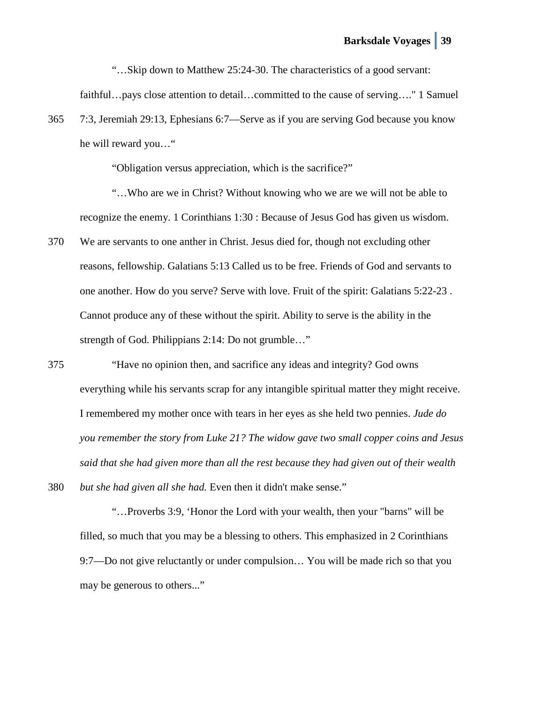"…Skip down to Matthew 25:24-30. The characteristics of a good servant:

faithful…pays close attention to detail…committed to the cause of serving…." 1 Samuel

365 7:3, Jeremiah 29:13, Ephesians 6:7—Serve as if you are serving God because you know he will reward you…"

"Obligation versus appreciation, which is the sacrifice?"

"…Who are we in Christ? Without knowing who we are we will not be able to recognize the enemy. 1 Corinthians 1:30 : Because of Jesus God has given us wisdom.

- 370 We are servants to one anther in Christ. Jesus died for, though not excluding other reasons, fellowship. Galatians 5:13 Called us to be free. Friends of God and servants to one another. How do you serve? Serve with love. Fruit of the spirit: Galatians 5:22-23 . Cannot produce any of these without the spirit. Ability to serve is the ability in the strength of God. Philippians 2:14: Do not grumble…"
- 375 "Have no opinion then, and sacrifice any ideas and integrity? God owns everything while his servants scrap for any intangible spiritual matter they might receive. I remembered my mother once with tears in her eyes as she held two pennies. *Jude do you remember the story from Luke 21? The widow gave two small copper coins and Jesus said that she had given more than all the rest because they had given out of their wealth*  380 *but she had given all she had.* Even then it didn't make sense."

"…Proverbs 3:9, 'Honor the Lord with your wealth, then your "barns" will be filled, so much that you may be a blessing to others. This emphasized in 2 Corinthians 9:7—Do not give reluctantly or under compulsion… You will be made rich so that you may be generous to others..."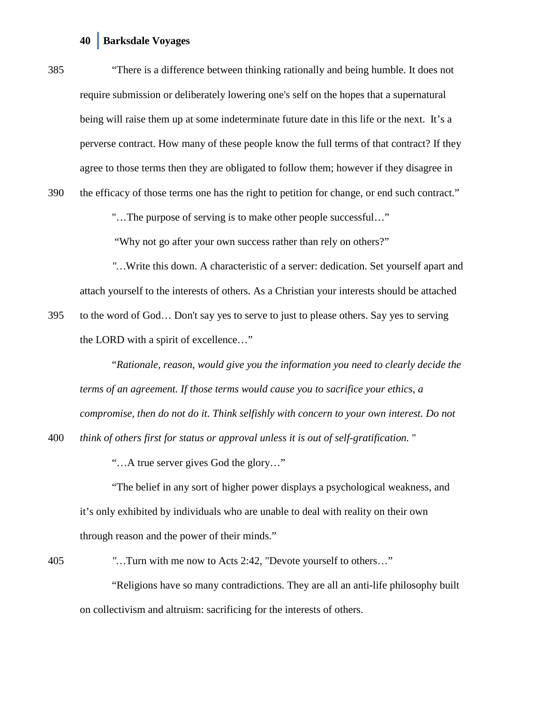385 "There is a difference between thinking rationally and being humble. It does not require submission or deliberately lowering one's self on the hopes that a supernatural being will raise them up at some indeterminate future date in this life or the next. It's a perverse contract. How many of these people know the full terms of that contract? If they agree to those terms then they are obligated to follow them; however if they disagree in 390 the efficacy of those terms one has the right to petition for change, or end such contract."

"…The purpose of serving is to make other people successful…"

"Why not go after your own success rather than rely on others?"

*"…*Write this down. A characteristic of a server: dedication. Set yourself apart and attach yourself to the interests of others. As a Christian your interests should be attached 395 to the word of God… Don't say yes to serve to just to please others. Say yes to serving the LORD with a spirit of excellence…"

"*Rationale, reason, would give you the information you need to clearly decide the terms of an agreement. If those terms would cause you to sacrifice your ethics, a compromise, then do not do it. Think selfishly with concern to your own interest. Do not* 

400 *think of others first for status or approval unless it is out of self-gratification.* "

"…A true server gives God the glory…"

"The belief in any sort of higher power displays a psychological weakness, and it's only exhibited by individuals who are unable to deal with reality on their own through reason and the power of their minds."

405 *"…*Turn with me now to Acts 2:42, "Devote yourself to others…"

"Religions have so many contradictions. They are all an anti-life philosophy built on collectivism and altruism: sacrificing for the interests of others.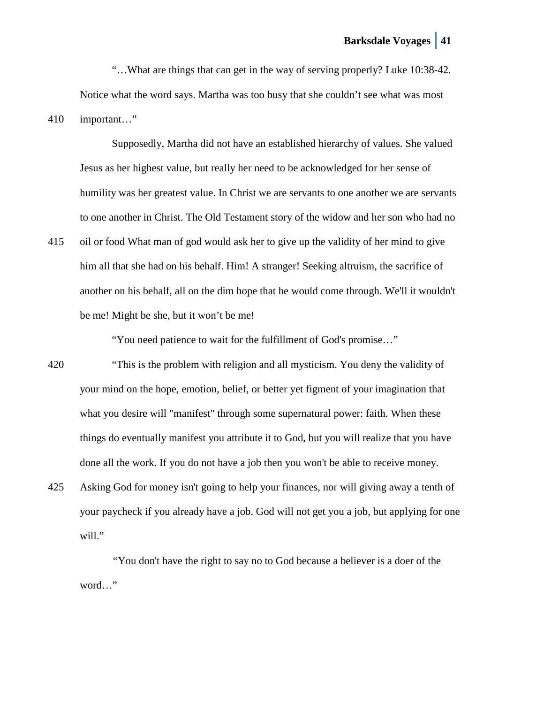"…What are things that can get in the way of serving properly? Luke 10:38-42. Notice what the word says. Martha was too busy that she couldn't see what was most 410 important…"

Supposedly, Martha did not have an established hierarchy of values. She valued Jesus as her highest value, but really her need to be acknowledged for her sense of humility was her greatest value. In Christ we are servants to one another we are servants to one another in Christ. The Old Testament story of the widow and her son who had no 415 oil or food What man of god would ask her to give up the validity of her mind to give

him all that she had on his behalf. Him! A stranger! Seeking altruism, the sacrifice of another on his behalf, all on the dim hope that he would come through. We'll it wouldn't be me! Might be she, but it won't be me!

"You need patience to wait for the fulfillment of God's promise…"

- 420 "This is the problem with religion and all mysticism. You deny the validity of your mind on the hope, emotion, belief, or better yet figment of your imagination that what you desire will "manifest" through some supernatural power: faith. When these things do eventually manifest you attribute it to God, but you will realize that you have done all the work. If you do not have a job then you won't be able to receive money. 425 Asking God for money isn't going to help your finances, nor will giving away a tenth of
- your paycheck if you already have a job. God will not get you a job, but applying for one will."

*"*You don't have the right to say no to God because a believer is a doer of the word…"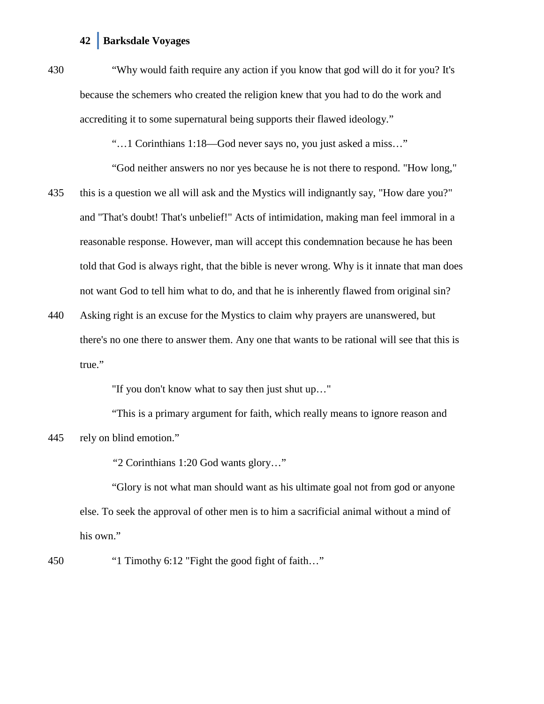430 "Why would faith require any action if you know that god will do it for you? It's because the schemers who created the religion knew that you had to do the work and accrediting it to some supernatural being supports their flawed ideology."

"…1 Corinthians 1:18—God never says no, you just asked a miss…"

"God neither answers no nor yes because he is not there to respond. "How long,"

- 435 this is a question we all will ask and the Mystics will indignantly say, "How dare you?" and "That's doubt! That's unbelief!" Acts of intimidation, making man feel immoral in a reasonable response. However, man will accept this condemnation because he has been told that God is always right, that the bible is never wrong. Why is it innate that man does not want God to tell him what to do, and that he is inherently flawed from original sin?
- 440 Asking right is an excuse for the Mystics to claim why prayers are unanswered, but there's no one there to answer them. Any one that wants to be rational will see that this is true."

"If you don't know what to say then just shut up…"

"This is a primary argument for faith, which really means to ignore reason and 445 rely on blind emotion."

*"*2 Corinthians 1:20 God wants glory…"

"Glory is not what man should want as his ultimate goal not from god or anyone else. To seek the approval of other men is to him a sacrificial animal without a mind of his own."

450 "1 Timothy 6:12 "Fight the good fight of faith…"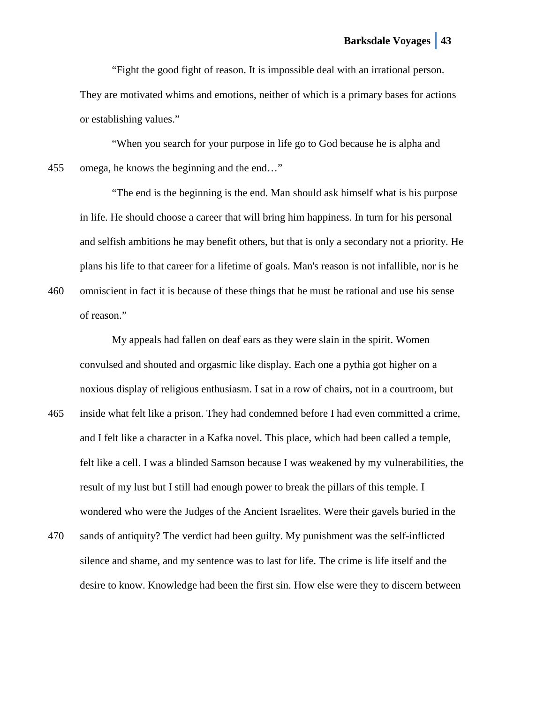"Fight the good fight of reason. It is impossible deal with an irrational person. They are motivated whims and emotions, neither of which is a primary bases for actions or establishing values."

"When you search for your purpose in life go to God because he is alpha and 455 omega, he knows the beginning and the end…"

"The end is the beginning is the end. Man should ask himself what is his purpose in life. He should choose a career that will bring him happiness. In turn for his personal and selfish ambitions he may benefit others, but that is only a secondary not a priority. He plans his life to that career for a lifetime of goals. Man's reason is not infallible, nor is he

460 omniscient in fact it is because of these things that he must be rational and use his sense of reason."

My appeals had fallen on deaf ears as they were slain in the spirit. Women convulsed and shouted and orgasmic like display. Each one a pythia got higher on a noxious display of religious enthusiasm. I sat in a row of chairs, not in a courtroom, but

- 465 inside what felt like a prison. They had condemned before I had even committed a crime, and I felt like a character in a Kafka novel. This place, which had been called a temple, felt like a cell. I was a blinded Samson because I was weakened by my vulnerabilities, the result of my lust but I still had enough power to break the pillars of this temple. I wondered who were the Judges of the Ancient Israelites. Were their gavels buried in the
- 470 sands of antiquity? The verdict had been guilty. My punishment was the self-inflicted silence and shame, and my sentence was to last for life. The crime is life itself and the desire to know. Knowledge had been the first sin. How else were they to discern between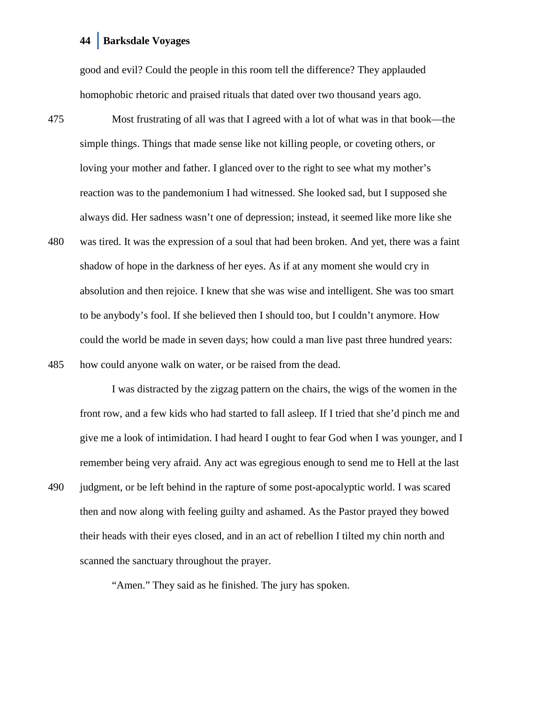good and evil? Could the people in this room tell the difference? They applauded homophobic rhetoric and praised rituals that dated over two thousand years ago.

475 Most frustrating of all was that I agreed with a lot of what was in that book—the simple things. Things that made sense like not killing people, or coveting others, or loving your mother and father. I glanced over to the right to see what my mother's reaction was to the pandemonium I had witnessed. She looked sad, but I supposed she always did. Her sadness wasn't one of depression; instead, it seemed like more like she 480 was tired. It was the expression of a soul that had been broken. And yet, there was a faint shadow of hope in the darkness of her eyes. As if at any moment she would cry in absolution and then rejoice. I knew that she was wise and intelligent. She was too smart to be anybody's fool. If she believed then I should too, but I couldn't anymore. How could the world be made in seven days; how could a man live past three hundred years:

485 how could anyone walk on water, or be raised from the dead.

I was distracted by the zigzag pattern on the chairs, the wigs of the women in the front row, and a few kids who had started to fall asleep. If I tried that she'd pinch me and give me a look of intimidation. I had heard I ought to fear God when I was younger, and I remember being very afraid. Any act was egregious enough to send me to Hell at the last 490 judgment, or be left behind in the rapture of some post-apocalyptic world. I was scared then and now along with feeling guilty and ashamed. As the Pastor prayed they bowed their heads with their eyes closed, and in an act of rebellion I tilted my chin north and scanned the sanctuary throughout the prayer.

"Amen." They said as he finished. The jury has spoken.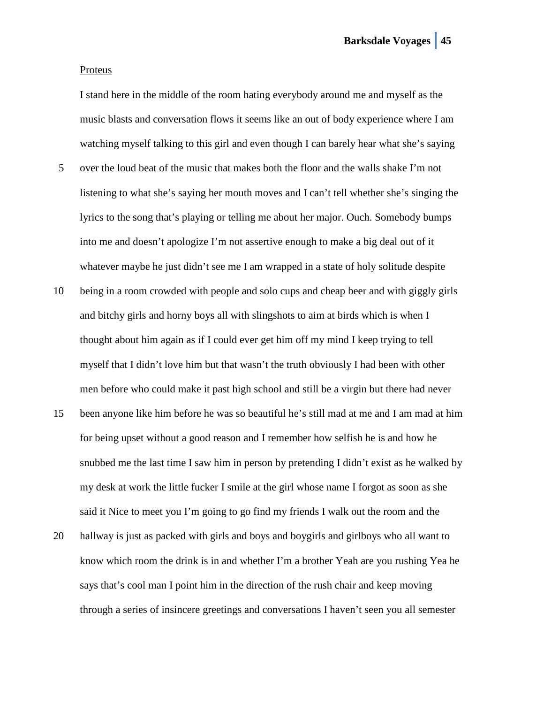#### Proteus

I stand here in the middle of the room hating everybody around me and myself as the music blasts and conversation flows it seems like an out of body experience where I am watching myself talking to this girl and even though I can barely hear what she's saying

- 5 over the loud beat of the music that makes both the floor and the walls shake I'm not listening to what she's saying her mouth moves and I can't tell whether she's singing the lyrics to the song that's playing or telling me about her major. Ouch. Somebody bumps into me and doesn't apologize I'm not assertive enough to make a big deal out of it whatever maybe he just didn't see me I am wrapped in a state of holy solitude despite
- 10 being in a room crowded with people and solo cups and cheap beer and with giggly girls and bitchy girls and horny boys all with slingshots to aim at birds which is when I thought about him again as if I could ever get him off my mind I keep trying to tell myself that I didn't love him but that wasn't the truth obviously I had been with other men before who could make it past high school and still be a virgin but there had never
- 15 been anyone like him before he was so beautiful he's still mad at me and I am mad at him for being upset without a good reason and I remember how selfish he is and how he snubbed me the last time I saw him in person by pretending I didn't exist as he walked by my desk at work the little fucker I smile at the girl whose name I forgot as soon as she said it Nice to meet you I'm going to go find my friends I walk out the room and the
- 20 hallway is just as packed with girls and boys and boygirls and girlboys who all want to know which room the drink is in and whether I'm a brother Yeah are you rushing Yea he says that's cool man I point him in the direction of the rush chair and keep moving through a series of insincere greetings and conversations I haven't seen you all semester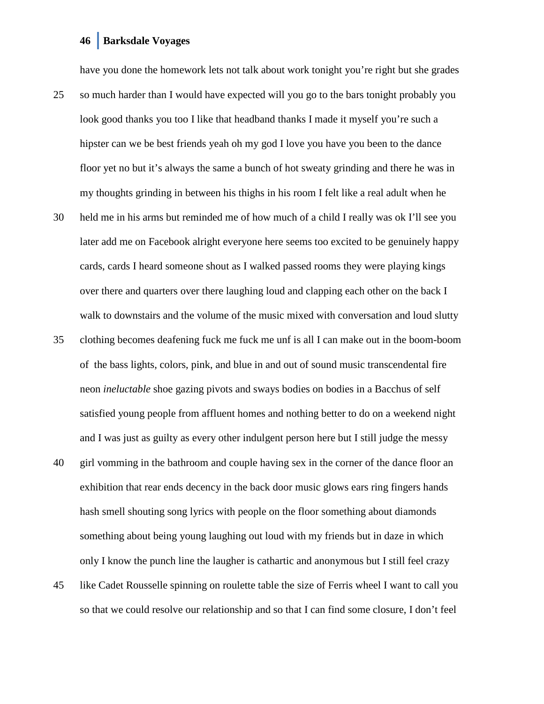have you done the homework lets not talk about work tonight you're right but she grades

- 25 so much harder than I would have expected will you go to the bars tonight probably you look good thanks you too I like that headband thanks I made it myself you're such a hipster can we be best friends yeah oh my god I love you have you been to the dance floor yet no but it's always the same a bunch of hot sweaty grinding and there he was in my thoughts grinding in between his thighs in his room I felt like a real adult when he
- 30 held me in his arms but reminded me of how much of a child I really was ok I'll see you later add me on Facebook alright everyone here seems too excited to be genuinely happy cards, cards I heard someone shout as I walked passed rooms they were playing kings over there and quarters over there laughing loud and clapping each other on the back I walk to downstairs and the volume of the music mixed with conversation and loud slutty
- 35 clothing becomes deafening fuck me fuck me unf is all I can make out in the boom-boom of the bass lights, colors, pink, and blue in and out of sound music transcendental fire neon *ineluctable* shoe gazing pivots and sways bodies on bodies in a Bacchus of self satisfied young people from affluent homes and nothing better to do on a weekend night and I was just as guilty as every other indulgent person here but I still judge the messy
- 40 girl vomming in the bathroom and couple having sex in the corner of the dance floor an exhibition that rear ends decency in the back door music glows ears ring fingers hands hash smell shouting song lyrics with people on the floor something about diamonds something about being young laughing out loud with my friends but in daze in which only I know the punch line the laugher is cathartic and anonymous but I still feel crazy
- 45 like Cadet Rousselle spinning on roulette table the size of Ferris wheel I want to call you so that we could resolve our relationship and so that I can find some closure, I don't feel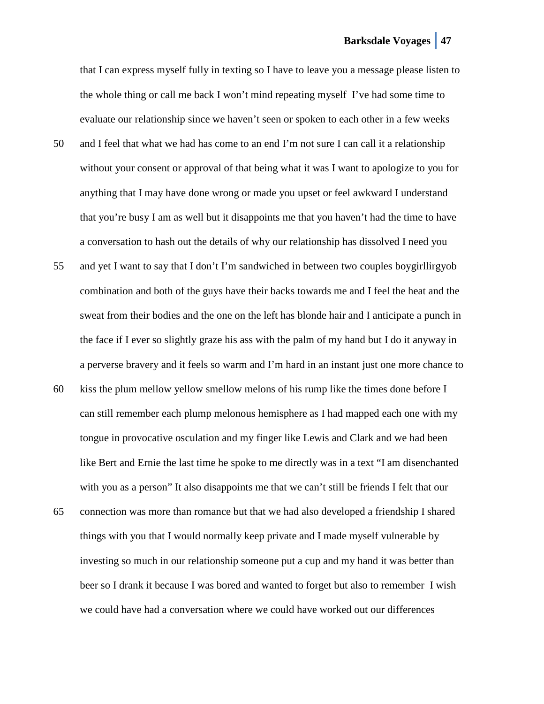that I can express myself fully in texting so I have to leave you a message please listen to the whole thing or call me back I won't mind repeating myself I've had some time to evaluate our relationship since we haven't seen or spoken to each other in a few weeks

- 50 and I feel that what we had has come to an end I'm not sure I can call it a relationship without your consent or approval of that being what it was I want to apologize to you for anything that I may have done wrong or made you upset or feel awkward I understand that you're busy I am as well but it disappoints me that you haven't had the time to have a conversation to hash out the details of why our relationship has dissolved I need you
- 55 and yet I want to say that I don't I'm sandwiched in between two couples boygirllirgyob combination and both of the guys have their backs towards me and I feel the heat and the sweat from their bodies and the one on the left has blonde hair and I anticipate a punch in the face if I ever so slightly graze his ass with the palm of my hand but I do it anyway in a perverse bravery and it feels so warm and I'm hard in an instant just one more chance to
- 60 kiss the plum mellow yellow smellow melons of his rump like the times done before I can still remember each plump melonous hemisphere as I had mapped each one with my tongue in provocative osculation and my finger like Lewis and Clark and we had been like Bert and Ernie the last time he spoke to me directly was in a text "I am disenchanted with you as a person" It also disappoints me that we can't still be friends I felt that our
- 65 connection was more than romance but that we had also developed a friendship I shared things with you that I would normally keep private and I made myself vulnerable by investing so much in our relationship someone put a cup and my hand it was better than beer so I drank it because I was bored and wanted to forget but also to remember I wish we could have had a conversation where we could have worked out our differences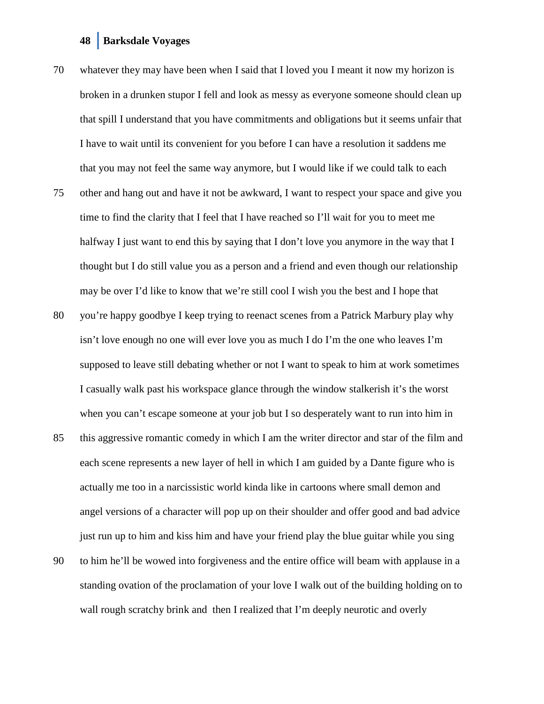- 70 whatever they may have been when I said that I loved you I meant it now my horizon is broken in a drunken stupor I fell and look as messy as everyone someone should clean up that spill I understand that you have commitments and obligations but it seems unfair that I have to wait until its convenient for you before I can have a resolution it saddens me that you may not feel the same way anymore, but I would like if we could talk to each
- 75 other and hang out and have it not be awkward, I want to respect your space and give you time to find the clarity that I feel that I have reached so I'll wait for you to meet me halfway I just want to end this by saying that I don't love you anymore in the way that I thought but I do still value you as a person and a friend and even though our relationship may be over I'd like to know that we're still cool I wish you the best and I hope that
- 80 you're happy goodbye I keep trying to reenact scenes from a Patrick Marbury play why isn't love enough no one will ever love you as much I do I'm the one who leaves I'm supposed to leave still debating whether or not I want to speak to him at work sometimes I casually walk past his workspace glance through the window stalkerish it's the worst when you can't escape someone at your job but I so desperately want to run into him in
- 85 this aggressive romantic comedy in which I am the writer director and star of the film and each scene represents a new layer of hell in which I am guided by a Dante figure who is actually me too in a narcissistic world kinda like in cartoons where small demon and angel versions of a character will pop up on their shoulder and offer good and bad advice just run up to him and kiss him and have your friend play the blue guitar while you sing
- 90 to him he'll be wowed into forgiveness and the entire office will beam with applause in a standing ovation of the proclamation of your love I walk out of the building holding on to wall rough scratchy brink and then I realized that I'm deeply neurotic and overly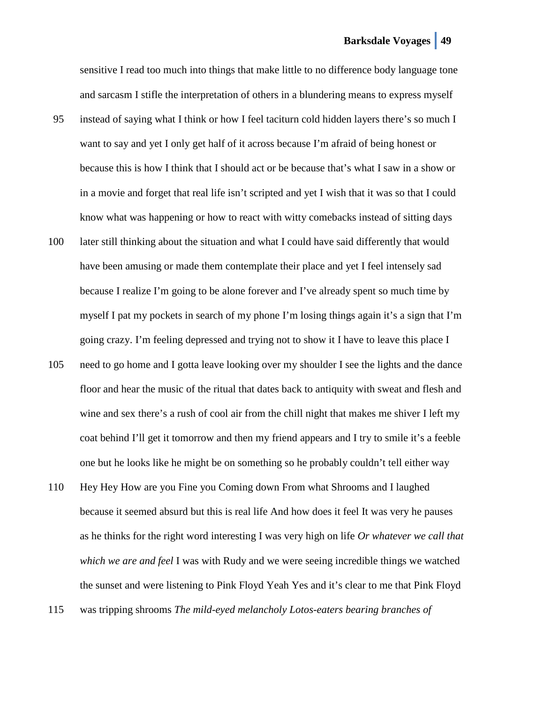sensitive I read too much into things that make little to no difference body language tone and sarcasm I stifle the interpretation of others in a blundering means to express myself

- 95 instead of saying what I think or how I feel taciturn cold hidden layers there's so much I want to say and yet I only get half of it across because I'm afraid of being honest or because this is how I think that I should act or be because that's what I saw in a show or in a movie and forget that real life isn't scripted and yet I wish that it was so that I could know what was happening or how to react with witty comebacks instead of sitting days
- 100 later still thinking about the situation and what I could have said differently that would have been amusing or made them contemplate their place and yet I feel intensely sad because I realize I'm going to be alone forever and I've already spent so much time by myself I pat my pockets in search of my phone I'm losing things again it's a sign that I'm going crazy. I'm feeling depressed and trying not to show it I have to leave this place I
- 105 need to go home and I gotta leave looking over my shoulder I see the lights and the dance floor and hear the music of the ritual that dates back to antiquity with sweat and flesh and wine and sex there's a rush of cool air from the chill night that makes me shiver I left my coat behind I'll get it tomorrow and then my friend appears and I try to smile it's a feeble one but he looks like he might be on something so he probably couldn't tell either way
- 110 Hey Hey How are you Fine you Coming down From what Shrooms and I laughed because it seemed absurd but this is real life And how does it feel It was very he pauses as he thinks for the right word interesting I was very high on life *Or whatever we call that which we are and feel* I was with Rudy and we were seeing incredible things we watched the sunset and were listening to Pink Floyd Yeah Yes and it's clear to me that Pink Floyd
- 115 was tripping shrooms *The mild-eyed melancholy Lotos-eaters bearing branches of*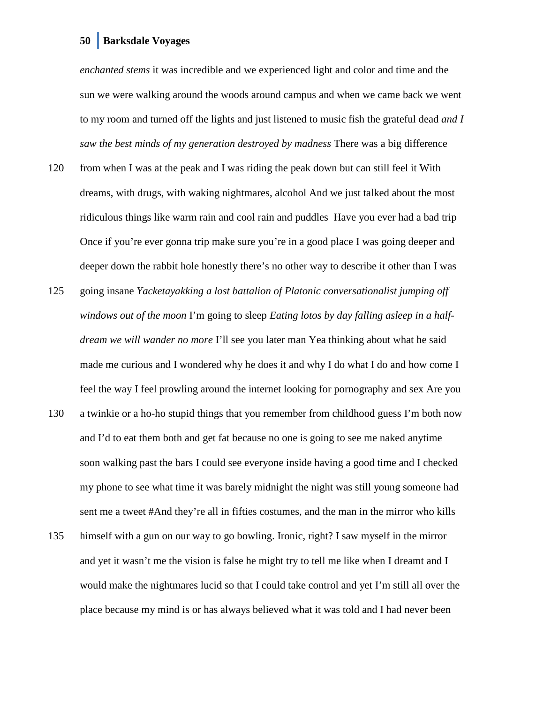*enchanted stems* it was incredible and we experienced light and color and time and the sun we were walking around the woods around campus and when we came back we went to my room and turned off the lights and just listened to music fish the grateful dead *and I saw the best minds of my generation destroyed by madness* There was a big difference

- 120 from when I was at the peak and I was riding the peak down but can still feel it With dreams, with drugs, with waking nightmares, alcohol And we just talked about the most ridiculous things like warm rain and cool rain and puddles Have you ever had a bad trip Once if you're ever gonna trip make sure you're in a good place I was going deeper and deeper down the rabbit hole honestly there's no other way to describe it other than I was
- 125 going insane *Yacketayakking a lost battalion of Platonic conversationalist jumping off windows out of the moon* I'm going to sleep *Eating lotos by day falling asleep in a halfdream we will wander no more* I'll see you later man Yea thinking about what he said made me curious and I wondered why he does it and why I do what I do and how come I feel the way I feel prowling around the internet looking for pornography and sex Are you
- 130 a twinkie or a ho-ho stupid things that you remember from childhood guess I'm both now and I'd to eat them both and get fat because no one is going to see me naked anytime soon walking past the bars I could see everyone inside having a good time and I checked my phone to see what time it was barely midnight the night was still young someone had sent me a tweet #And they're all in fifties costumes, and the man in the mirror who kills
- 135 himself with a gun on our way to go bowling. Ironic, right? I saw myself in the mirror and yet it wasn't me the vision is false he might try to tell me like when I dreamt and I would make the nightmares lucid so that I could take control and yet I'm still all over the place because my mind is or has always believed what it was told and I had never been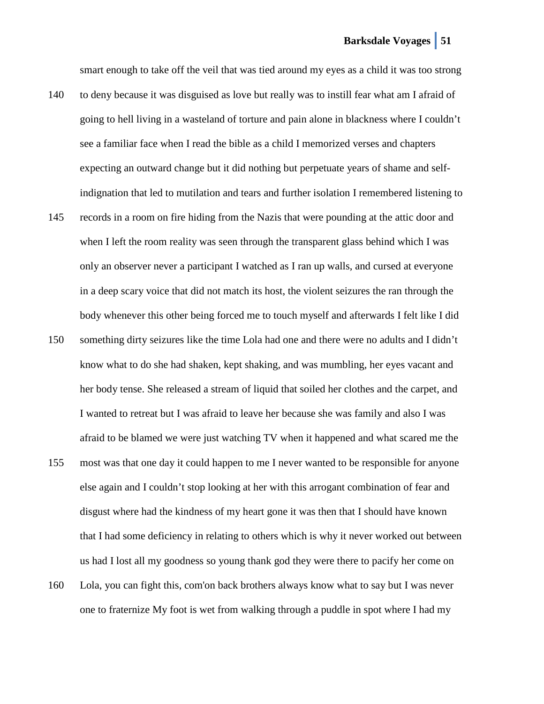smart enough to take off the veil that was tied around my eyes as a child it was too strong

- 140 to deny because it was disguised as love but really was to instill fear what am I afraid of going to hell living in a wasteland of torture and pain alone in blackness where I couldn't see a familiar face when I read the bible as a child I memorized verses and chapters expecting an outward change but it did nothing but perpetuate years of shame and selfindignation that led to mutilation and tears and further isolation I remembered listening to
- 145 records in a room on fire hiding from the Nazis that were pounding at the attic door and when I left the room reality was seen through the transparent glass behind which I was only an observer never a participant I watched as I ran up walls, and cursed at everyone in a deep scary voice that did not match its host, the violent seizures the ran through the body whenever this other being forced me to touch myself and afterwards I felt like I did
- 150 something dirty seizures like the time Lola had one and there were no adults and I didn't know what to do she had shaken, kept shaking, and was mumbling, her eyes vacant and her body tense. She released a stream of liquid that soiled her clothes and the carpet, and I wanted to retreat but I was afraid to leave her because she was family and also I was afraid to be blamed we were just watching TV when it happened and what scared me the
- 155 most was that one day it could happen to me I never wanted to be responsible for anyone else again and I couldn't stop looking at her with this arrogant combination of fear and disgust where had the kindness of my heart gone it was then that I should have known that I had some deficiency in relating to others which is why it never worked out between us had I lost all my goodness so young thank god they were there to pacify her come on
- 160 Lola, you can fight this, com'on back brothers always know what to say but I was never one to fraternize My foot is wet from walking through a puddle in spot where I had my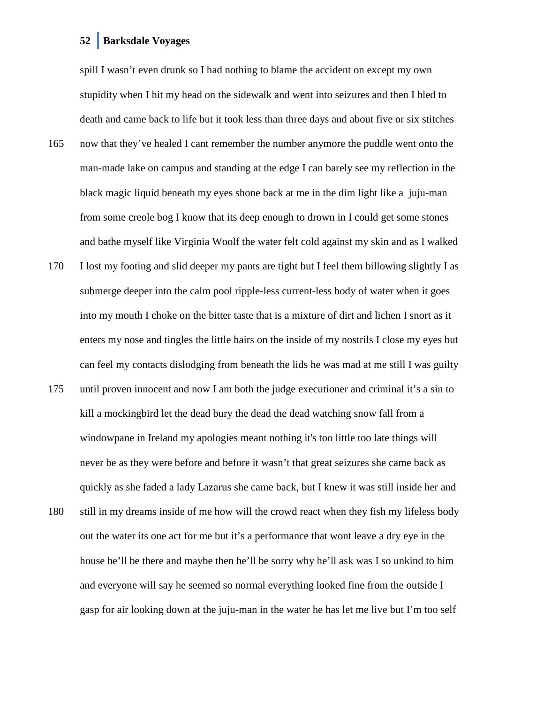spill I wasn't even drunk so I had nothing to blame the accident on except my own stupidity when I hit my head on the sidewalk and went into seizures and then I bled to death and came back to life but it took less than three days and about five or six stitches

- 165 now that they've healed I cant remember the number anymore the puddle went onto the man-made lake on campus and standing at the edge I can barely see my reflection in the black magic liquid beneath my eyes shone back at me in the dim light like a juju-man from some creole bog I know that its deep enough to drown in I could get some stones and bathe myself like Virginia Woolf the water felt cold against my skin and as I walked
- 170 I lost my footing and slid deeper my pants are tight but I feel them billowing slightly I as submerge deeper into the calm pool ripple-less current-less body of water when it goes into my mouth I choke on the bitter taste that is a mixture of dirt and lichen I snort as it enters my nose and tingles the little hairs on the inside of my nostrils I close my eyes but can feel my contacts dislodging from beneath the lids he was mad at me still I was guilty
- 175 until proven innocent and now I am both the judge executioner and criminal it's a sin to kill a mockingbird let the dead bury the dead the dead watching snow fall from a windowpane in Ireland my apologies meant nothing it's too little too late things will never be as they were before and before it wasn't that great seizures she came back as quickly as she faded a lady Lazarus she came back, but I knew it was still inside her and
- 180 still in my dreams inside of me how will the crowd react when they fish my lifeless body out the water its one act for me but it's a performance that wont leave a dry eye in the house he'll be there and maybe then he'll be sorry why he'll ask was I so unkind to him and everyone will say he seemed so normal everything looked fine from the outside I gasp for air looking down at the juju-man in the water he has let me live but I'm too self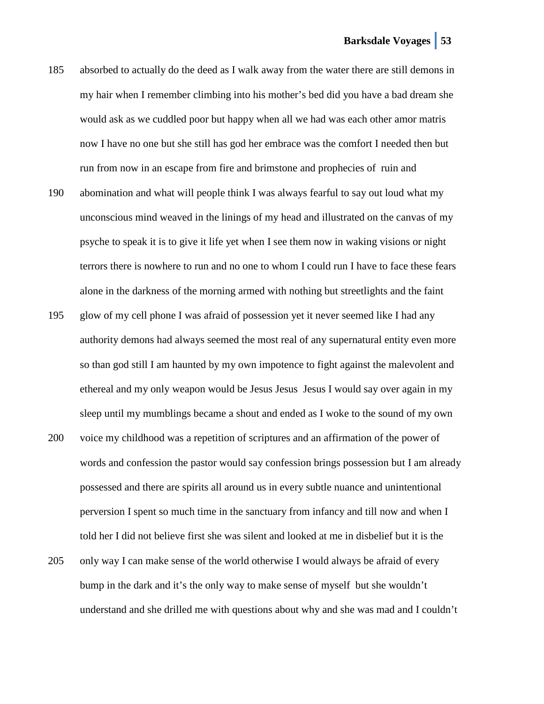- 185 absorbed to actually do the deed as I walk away from the water there are still demons in my hair when I remember climbing into his mother's bed did you have a bad dream she would ask as we cuddled poor but happy when all we had was each other amor matris now I have no one but she still has god her embrace was the comfort I needed then but run from now in an escape from fire and brimstone and prophecies of ruin and
- 190 abomination and what will people think I was always fearful to say out loud what my unconscious mind weaved in the linings of my head and illustrated on the canvas of my psyche to speak it is to give it life yet when I see them now in waking visions or night terrors there is nowhere to run and no one to whom I could run I have to face these fears alone in the darkness of the morning armed with nothing but streetlights and the faint
- 195 glow of my cell phone I was afraid of possession yet it never seemed like I had any authority demons had always seemed the most real of any supernatural entity even more so than god still I am haunted by my own impotence to fight against the malevolent and ethereal and my only weapon would be Jesus Jesus Jesus I would say over again in my sleep until my mumblings became a shout and ended as I woke to the sound of my own
- 200 voice my childhood was a repetition of scriptures and an affirmation of the power of words and confession the pastor would say confession brings possession but I am already possessed and there are spirits all around us in every subtle nuance and unintentional perversion I spent so much time in the sanctuary from infancy and till now and when I told her I did not believe first she was silent and looked at me in disbelief but it is the
- 205 only way I can make sense of the world otherwise I would always be afraid of every bump in the dark and it's the only way to make sense of myself but she wouldn't understand and she drilled me with questions about why and she was mad and I couldn't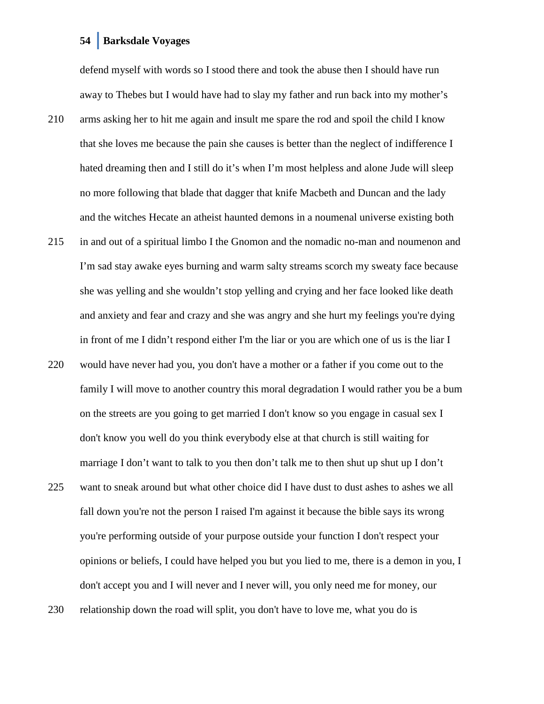defend myself with words so I stood there and took the abuse then I should have run away to Thebes but I would have had to slay my father and run back into my mother's

- 210 arms asking her to hit me again and insult me spare the rod and spoil the child I know that she loves me because the pain she causes is better than the neglect of indifference I hated dreaming then and I still do it's when I'm most helpless and alone Jude will sleep no more following that blade that dagger that knife Macbeth and Duncan and the lady and the witches Hecate an atheist haunted demons in a noumenal universe existing both
- 215 in and out of a spiritual limbo I the Gnomon and the nomadic no-man and noumenon and I'm sad stay awake eyes burning and warm salty streams scorch my sweaty face because she was yelling and she wouldn't stop yelling and crying and her face looked like death and anxiety and fear and crazy and she was angry and she hurt my feelings you're dying in front of me I didn't respond either I'm the liar or you are which one of us is the liar I
- 220 would have never had you, you don't have a mother or a father if you come out to the family I will move to another country this moral degradation I would rather you be a bum on the streets are you going to get married I don't know so you engage in casual sex I don't know you well do you think everybody else at that church is still waiting for marriage I don't want to talk to you then don't talk me to then shut up shut up I don't
- 225 want to sneak around but what other choice did I have dust to dust ashes to ashes we all fall down you're not the person I raised I'm against it because the bible says its wrong you're performing outside of your purpose outside your function I don't respect your opinions or beliefs, I could have helped you but you lied to me, there is a demon in you, I don't accept you and I will never and I never will, you only need me for money, our 230 relationship down the road will split, you don't have to love me, what you do is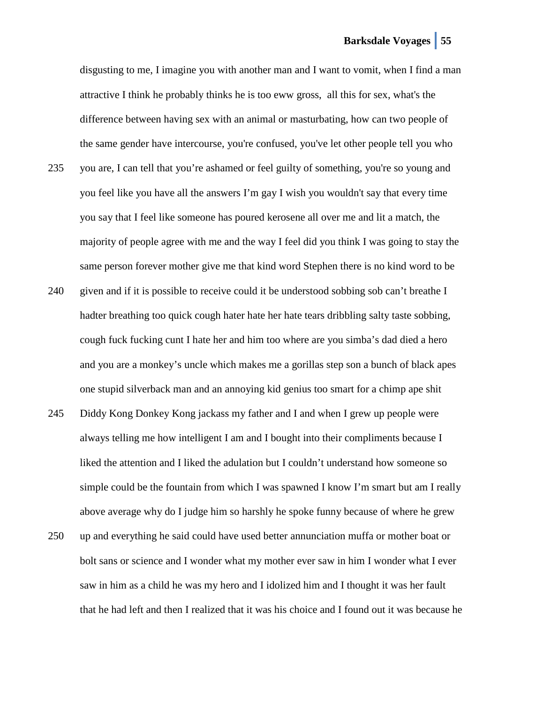disgusting to me, I imagine you with another man and I want to vomit, when I find a man attractive I think he probably thinks he is too eww gross, all this for sex, what's the difference between having sex with an animal or masturbating, how can two people of the same gender have intercourse, you're confused, you've let other people tell you who 235 you are, I can tell that you're ashamed or feel guilty of something, you're so young and you feel like you have all the answers I'm gay I wish you wouldn't say that every time you say that I feel like someone has poured kerosene all over me and lit a match, the majority of people agree with me and the way I feel did you think I was going to stay the same person forever mother give me that kind word Stephen there is no kind word to be 240 given and if it is possible to receive could it be understood sobbing sob can't breathe I hadter breathing too quick cough hater hate her hate tears dribbling salty taste sobbing,

cough fuck fucking cunt I hate her and him too where are you simba's dad died a hero and you are a monkey's uncle which makes me a gorillas step son a bunch of black apes one stupid silverback man and an annoying kid genius too smart for a chimp ape shit

- 245 Diddy Kong Donkey Kong jackass my father and I and when I grew up people were always telling me how intelligent I am and I bought into their compliments because I liked the attention and I liked the adulation but I couldn't understand how someone so simple could be the fountain from which I was spawned I know I'm smart but am I really above average why do I judge him so harshly he spoke funny because of where he grew
- 250 up and everything he said could have used better annunciation muffa or mother boat or bolt sans or science and I wonder what my mother ever saw in him I wonder what I ever saw in him as a child he was my hero and I idolized him and I thought it was her fault that he had left and then I realized that it was his choice and I found out it was because he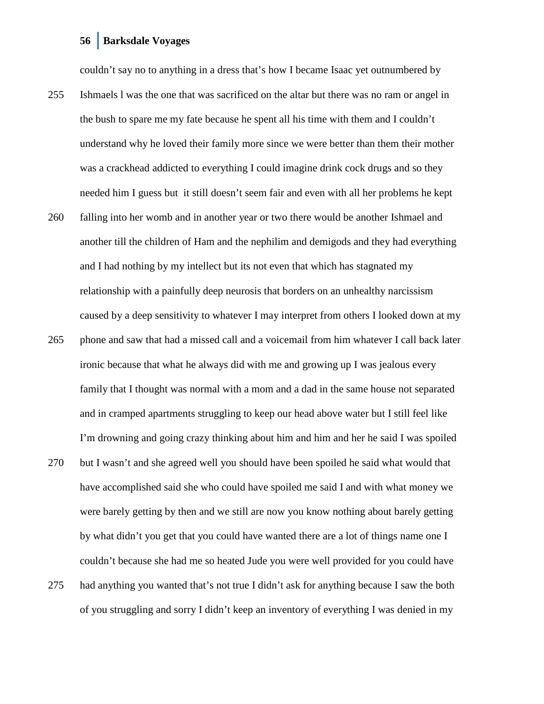couldn't say no to anything in a dress that's how I became Isaac yet outnumbered by

- 255 Ishmaels l was the one that was sacrificed on the altar but there was no ram or angel in the bush to spare me my fate because he spent all his time with them and I couldn't understand why he loved their family more since we were better than them their mother was a crackhead addicted to everything I could imagine drink cock drugs and so they needed him I guess but it still doesn't seem fair and even with all her problems he kept
- 260 falling into her womb and in another year or two there would be another Ishmael and another till the children of Ham and the nephilim and demigods and they had everything and I had nothing by my intellect but its not even that which has stagnated my relationship with a painfully deep neurosis that borders on an unhealthy narcissism caused by a deep sensitivity to whatever I may interpret from others I looked down at my
- 265 phone and saw that had a missed call and a voicemail from him whatever I call back later ironic because that what he always did with me and growing up I was jealous every family that I thought was normal with a mom and a dad in the same house not separated and in cramped apartments struggling to keep our head above water but I still feel like I'm drowning and going crazy thinking about him and him and her he said I was spoiled
- 270 but I wasn't and she agreed well you should have been spoiled he said what would that have accomplished said she who could have spoiled me said I and with what money we were barely getting by then and we still are now you know nothing about barely getting by what didn't you get that you could have wanted there are a lot of things name one I couldn't because she had me so heated Jude you were well provided for you could have 275 had anything you wanted that's not true I didn't ask for anything because I saw the both
- of you struggling and sorry I didn't keep an inventory of everything I was denied in my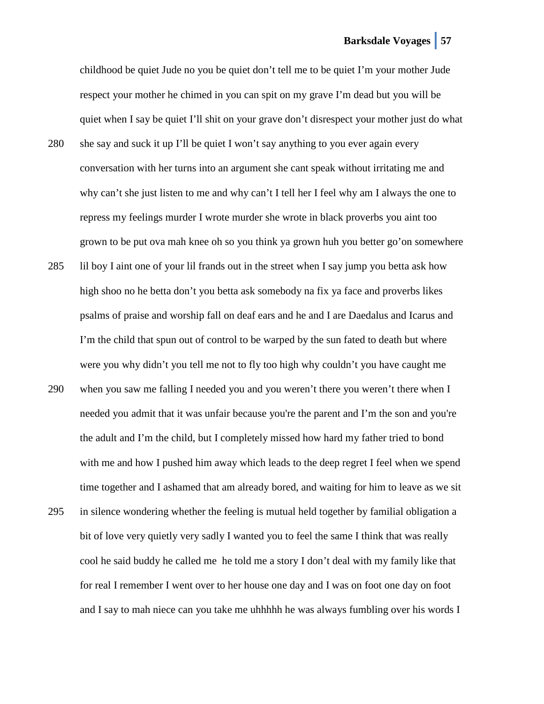childhood be quiet Jude no you be quiet don't tell me to be quiet I'm your mother Jude respect your mother he chimed in you can spit on my grave I'm dead but you will be quiet when I say be quiet I'll shit on your grave don't disrespect your mother just do what

- 280 she say and suck it up I'll be quiet I won't say anything to you ever again every conversation with her turns into an argument she cant speak without irritating me and why can't she just listen to me and why can't I tell her I feel why am I always the one to repress my feelings murder I wrote murder she wrote in black proverbs you aint too grown to be put ova mah knee oh so you think ya grown huh you better go'on somewhere
- 285 lil boy I aint one of your lil frands out in the street when I say jump you betta ask how high shoo no he betta don't you betta ask somebody na fix ya face and proverbs likes psalms of praise and worship fall on deaf ears and he and I are Daedalus and Icarus and I'm the child that spun out of control to be warped by the sun fated to death but where were you why didn't you tell me not to fly too high why couldn't you have caught me
- 290 when you saw me falling I needed you and you weren't there you weren't there when I needed you admit that it was unfair because you're the parent and I'm the son and you're the adult and I'm the child, but I completely missed how hard my father tried to bond with me and how I pushed him away which leads to the deep regret I feel when we spend time together and I ashamed that am already bored, and waiting for him to leave as we sit 295 in silence wondering whether the feeling is mutual held together by familial obligation a bit of love very quietly very sadly I wanted you to feel the same I think that was really

cool he said buddy he called me he told me a story I don't deal with my family like that for real I remember I went over to her house one day and I was on foot one day on foot and I say to mah niece can you take me uhhhhh he was always fumbling over his words I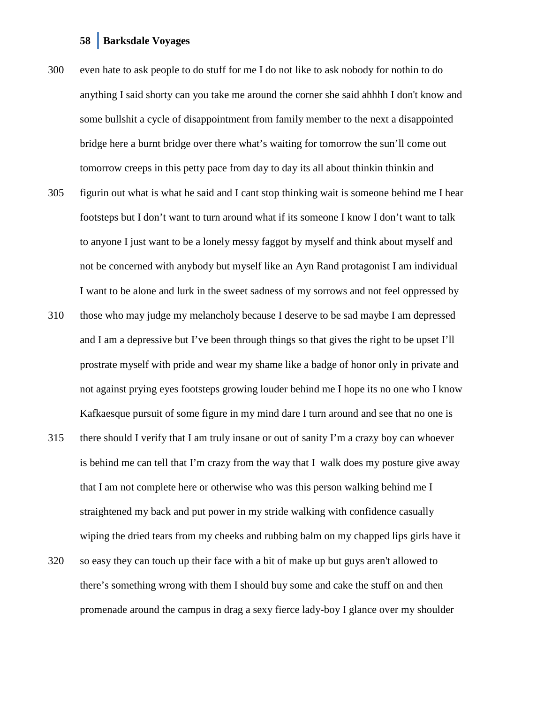- 300 even hate to ask people to do stuff for me I do not like to ask nobody for nothin to do anything I said shorty can you take me around the corner she said ahhhh I don't know and some bullshit a cycle of disappointment from family member to the next a disappointed bridge here a burnt bridge over there what's waiting for tomorrow the sun'll come out tomorrow creeps in this petty pace from day to day its all about thinkin thinkin and
- 305 figurin out what is what he said and I cant stop thinking wait is someone behind me I hear footsteps but I don't want to turn around what if its someone I know I don't want to talk to anyone I just want to be a lonely messy faggot by myself and think about myself and not be concerned with anybody but myself like an Ayn Rand protagonist I am individual I want to be alone and lurk in the sweet sadness of my sorrows and not feel oppressed by
- 310 those who may judge my melancholy because I deserve to be sad maybe I am depressed and I am a depressive but I've been through things so that gives the right to be upset I'll prostrate myself with pride and wear my shame like a badge of honor only in private and not against prying eyes footsteps growing louder behind me I hope its no one who I know Kafkaesque pursuit of some figure in my mind dare I turn around and see that no one is
- 315 there should I verify that I am truly insane or out of sanity I'm a crazy boy can whoever is behind me can tell that I'm crazy from the way that I walk does my posture give away that I am not complete here or otherwise who was this person walking behind me I straightened my back and put power in my stride walking with confidence casually wiping the dried tears from my cheeks and rubbing balm on my chapped lips girls have it
- 320 so easy they can touch up their face with a bit of make up but guys aren't allowed to there's something wrong with them I should buy some and cake the stuff on and then promenade around the campus in drag a sexy fierce lady-boy I glance over my shoulder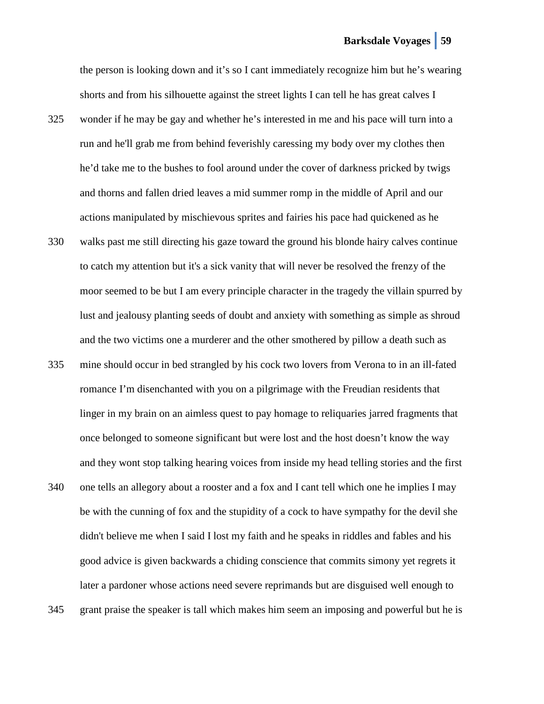the person is looking down and it's so I cant immediately recognize him but he's wearing shorts and from his silhouette against the street lights I can tell he has great calves I

- 325 wonder if he may be gay and whether he's interested in me and his pace will turn into a run and he'll grab me from behind feverishly caressing my body over my clothes then he'd take me to the bushes to fool around under the cover of darkness pricked by twigs and thorns and fallen dried leaves a mid summer romp in the middle of April and our actions manipulated by mischievous sprites and fairies his pace had quickened as he
- 330 walks past me still directing his gaze toward the ground his blonde hairy calves continue to catch my attention but it's a sick vanity that will never be resolved the frenzy of the moor seemed to be but I am every principle character in the tragedy the villain spurred by lust and jealousy planting seeds of doubt and anxiety with something as simple as shroud and the two victims one a murderer and the other smothered by pillow a death such as
- 335 mine should occur in bed strangled by his cock two lovers from Verona to in an ill-fated romance I'm disenchanted with you on a pilgrimage with the Freudian residents that linger in my brain on an aimless quest to pay homage to reliquaries jarred fragments that once belonged to someone significant but were lost and the host doesn't know the way and they wont stop talking hearing voices from inside my head telling stories and the first 340 one tells an allegory about a rooster and a fox and I cant tell which one he implies I may be with the cunning of fox and the stupidity of a cock to have sympathy for the devil she didn't believe me when I said I lost my faith and he speaks in riddles and fables and his good advice is given backwards a chiding conscience that commits simony yet regrets it later a pardoner whose actions need severe reprimands but are disguised well enough to
- 345 grant praise the speaker is tall which makes him seem an imposing and powerful but he is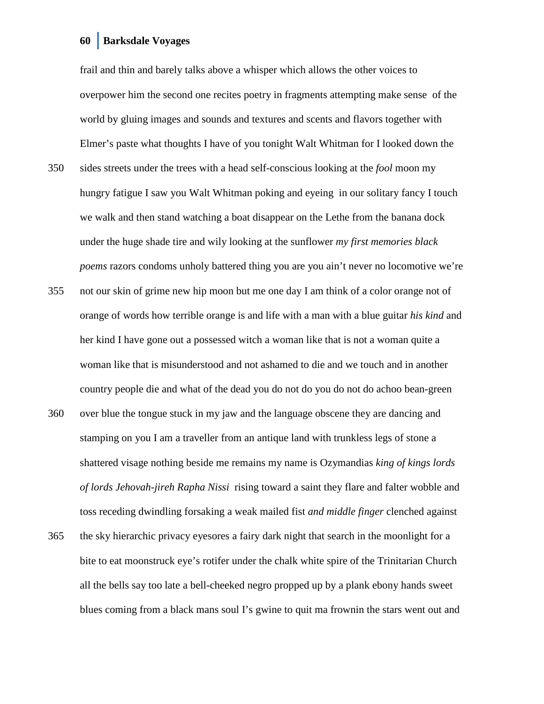frail and thin and barely talks above a whisper which allows the other voices to overpower him the second one recites poetry in fragments attempting make sense of the world by gluing images and sounds and textures and scents and flavors together with Elmer's paste what thoughts I have of you tonight Walt Whitman for I looked down the

- 350 sides streets under the trees with a head self-conscious looking at the *fool* moon my hungry fatigue I saw you Walt Whitman poking and eyeing in our solitary fancy I touch we walk and then stand watching a boat disappear on the Lethe from the banana dock under the huge shade tire and wily looking at the sunflower *my first memories black poems* razors condoms unholy battered thing you are you ain't never no locomotive we're
- 355 not our skin of grime new hip moon but me one day I am think of a color orange not of orange of words how terrible orange is and life with a man with a blue guitar *his kind* and her kind I have gone out a possessed witch a woman like that is not a woman quite a woman like that is misunderstood and not ashamed to die and we touch and in another country people die and what of the dead you do not do you do not do achoo bean-green
- 360 over blue the tongue stuck in my jaw and the language obscene they are dancing and stamping on you I am a traveller from an antique land with trunkless legs of stone a shattered visage nothing beside me remains my name is Ozymandias *king of kings lords of lords Jehovah-jireh Rapha Nissi* rising toward a saint they flare and falter wobble and toss receding dwindling forsaking a weak mailed fist *and middle finger* clenched against 365 the sky hierarchic privacy eyesores a fairy dark night that search in the moonlight for a bite to eat moonstruck eye's rotifer under the chalk white spire of the Trinitarian Church all the bells say too late a bell-cheeked negro propped up by a plank ebony hands sweet blues coming from a black mans soul I's gwine to quit ma frownin the stars went out and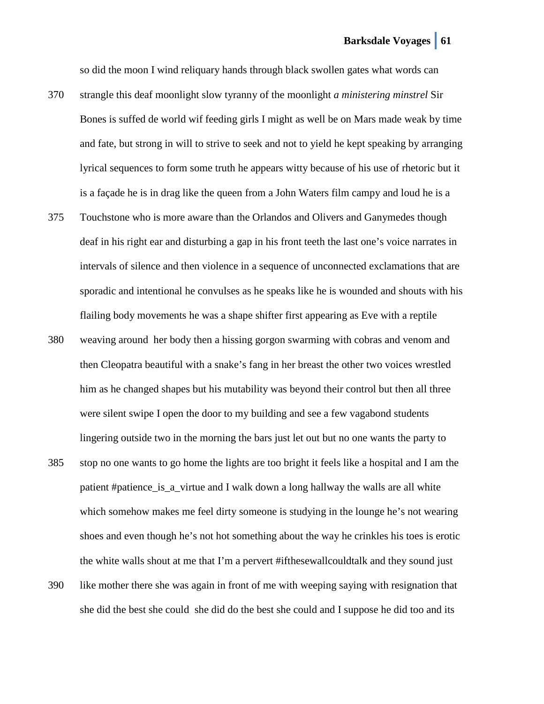so did the moon I wind reliquary hands through black swollen gates what words can

- 370 strangle this deaf moonlight slow tyranny of the moonlight *a ministering minstrel* Sir Bones is suffed de world wif feeding girls I might as well be on Mars made weak by time and fate, but strong in will to strive to seek and not to yield he kept speaking by arranging lyrical sequences to form some truth he appears witty because of his use of rhetoric but it is a façade he is in drag like the queen from a John Waters film campy and loud he is a
- 375 Touchstone who is more aware than the Orlandos and Olivers and Ganymedes though deaf in his right ear and disturbing a gap in his front teeth the last one's voice narrates in intervals of silence and then violence in a sequence of unconnected exclamations that are sporadic and intentional he convulses as he speaks like he is wounded and shouts with his flailing body movements he was a shape shifter first appearing as Eve with a reptile
- 380 weaving around her body then a hissing gorgon swarming with cobras and venom and then Cleopatra beautiful with a snake's fang in her breast the other two voices wrestled him as he changed shapes but his mutability was beyond their control but then all three were silent swipe I open the door to my building and see a few vagabond students lingering outside two in the morning the bars just let out but no one wants the party to
- 385 stop no one wants to go home the lights are too bright it feels like a hospital and I am the patient #patience\_is\_a\_virtue and I walk down a long hallway the walls are all white which somehow makes me feel dirty someone is studying in the lounge he's not wearing shoes and even though he's not hot something about the way he crinkles his toes is erotic the white walls shout at me that I'm a pervert #ifthesewallcouldtalk and they sound just
- 390 like mother there she was again in front of me with weeping saying with resignation that she did the best she could she did do the best she could and I suppose he did too and its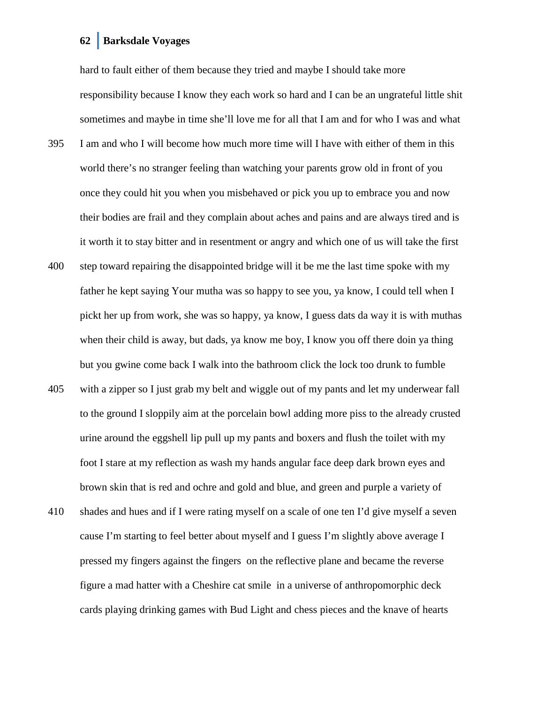hard to fault either of them because they tried and maybe I should take more responsibility because I know they each work so hard and I can be an ungrateful little shit sometimes and maybe in time she'll love me for all that I am and for who I was and what

- 395 I am and who I will become how much more time will I have with either of them in this world there's no stranger feeling than watching your parents grow old in front of you once they could hit you when you misbehaved or pick you up to embrace you and now their bodies are frail and they complain about aches and pains and are always tired and is it worth it to stay bitter and in resentment or angry and which one of us will take the first
- 400 step toward repairing the disappointed bridge will it be me the last time spoke with my father he kept saying Your mutha was so happy to see you, ya know, I could tell when I pickt her up from work, she was so happy, ya know, I guess dats da way it is with muthas when their child is away, but dads, ya know me boy, I know you off there doin ya thing but you gwine come back I walk into the bathroom click the lock too drunk to fumble
- 405 with a zipper so I just grab my belt and wiggle out of my pants and let my underwear fall to the ground I sloppily aim at the porcelain bowl adding more piss to the already crusted urine around the eggshell lip pull up my pants and boxers and flush the toilet with my foot I stare at my reflection as wash my hands angular face deep dark brown eyes and brown skin that is red and ochre and gold and blue, and green and purple a variety of
- 410 shades and hues and if I were rating myself on a scale of one ten I'd give myself a seven cause I'm starting to feel better about myself and I guess I'm slightly above average I pressed my fingers against the fingers on the reflective plane and became the reverse figure a mad hatter with a Cheshire cat smile in a universe of anthropomorphic deck cards playing drinking games with Bud Light and chess pieces and the knave of hearts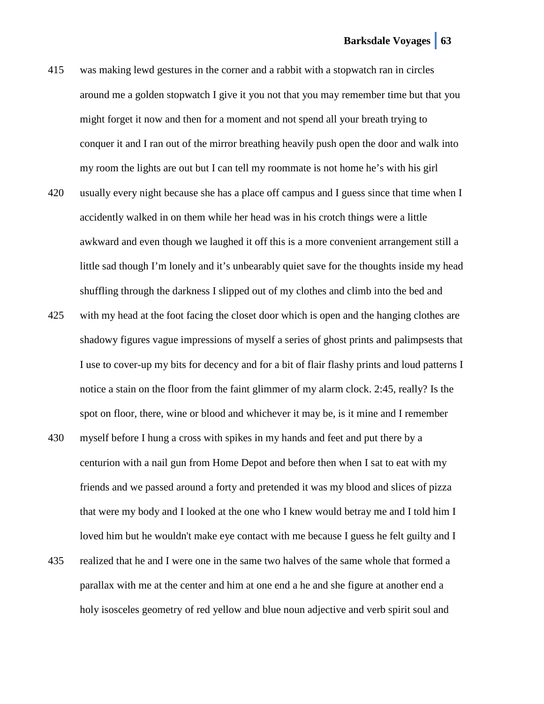- 415 was making lewd gestures in the corner and a rabbit with a stopwatch ran in circles around me a golden stopwatch I give it you not that you may remember time but that you might forget it now and then for a moment and not spend all your breath trying to conquer it and I ran out of the mirror breathing heavily push open the door and walk into my room the lights are out but I can tell my roommate is not home he's with his girl
- 420 usually every night because she has a place off campus and I guess since that time when I accidently walked in on them while her head was in his crotch things were a little awkward and even though we laughed it off this is a more convenient arrangement still a little sad though I'm lonely and it's unbearably quiet save for the thoughts inside my head shuffling through the darkness I slipped out of my clothes and climb into the bed and
- 425 with my head at the foot facing the closet door which is open and the hanging clothes are shadowy figures vague impressions of myself a series of ghost prints and palimpsests that I use to cover-up my bits for decency and for a bit of flair flashy prints and loud patterns I notice a stain on the floor from the faint glimmer of my alarm clock. 2:45, really? Is the spot on floor, there, wine or blood and whichever it may be, is it mine and I remember
- 430 myself before I hung a cross with spikes in my hands and feet and put there by a centurion with a nail gun from Home Depot and before then when I sat to eat with my friends and we passed around a forty and pretended it was my blood and slices of pizza that were my body and I looked at the one who I knew would betray me and I told him I loved him but he wouldn't make eye contact with me because I guess he felt guilty and I
- 435 realized that he and I were one in the same two halves of the same whole that formed a parallax with me at the center and him at one end a he and she figure at another end a holy isosceles geometry of red yellow and blue noun adjective and verb spirit soul and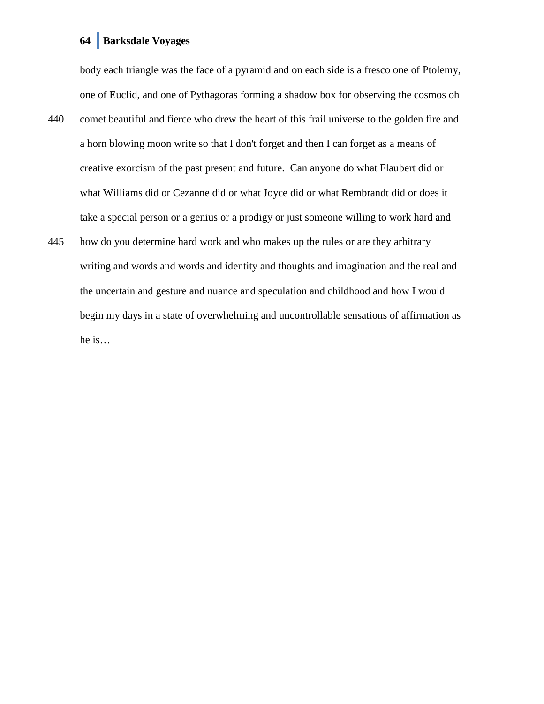body each triangle was the face of a pyramid and on each side is a fresco one of Ptolemy, one of Euclid, and one of Pythagoras forming a shadow box for observing the cosmos oh

- 440 comet beautiful and fierce who drew the heart of this frail universe to the golden fire and a horn blowing moon write so that I don't forget and then I can forget as a means of creative exorcism of the past present and future. Can anyone do what Flaubert did or what Williams did or Cezanne did or what Joyce did or what Rembrandt did or does it take a special person or a genius or a prodigy or just someone willing to work hard and
- 445 how do you determine hard work and who makes up the rules or are they arbitrary writing and words and words and identity and thoughts and imagination and the real and the uncertain and gesture and nuance and speculation and childhood and how I would begin my days in a state of overwhelming and uncontrollable sensations of affirmation as he is…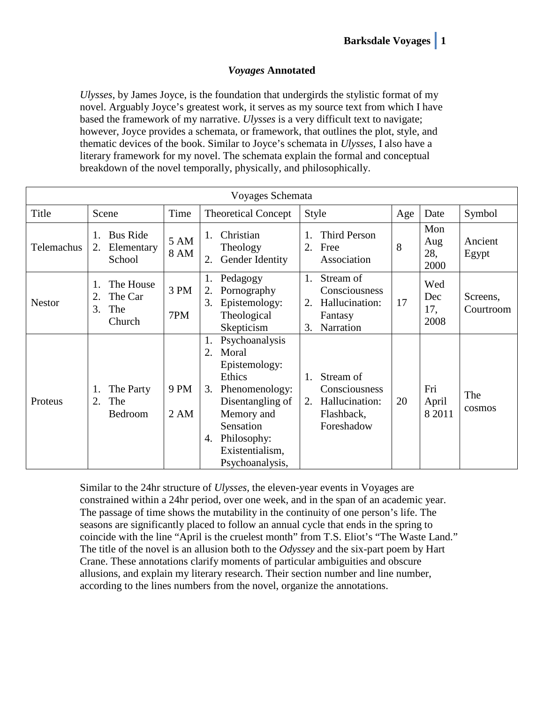#### *Voyages* **Annotated**

*Ulysses*, by James Joyce, is the foundation that undergirds the stylistic format of my novel. Arguably Joyce's greatest work, it serves as my source text from which I have based the framework of my narrative. *Ulysses* is a very difficult text to navigate; however, Joyce provides a schemata, or framework, that outlines the plot, style, and thematic devices of the book. Similar to Joyce's schemata in *Ulysses*, I also have a literary framework for my novel. The schemata explain the formal and conceptual breakdown of the novel temporally, physically, and philosophically.

| Voyages Schemata |                                                         |              |                                                                                                                                                                                            |                                                                                                    |     |                           |                       |
|------------------|---------------------------------------------------------|--------------|--------------------------------------------------------------------------------------------------------------------------------------------------------------------------------------------|----------------------------------------------------------------------------------------------------|-----|---------------------------|-----------------------|
| Title            | Scene                                                   | Time         | <b>Theoretical Concept</b>                                                                                                                                                                 | Style                                                                                              | Age | Date                      | Symbol                |
| Telemachus       | <b>Bus Ride</b><br>Elementary<br>2.<br>School           | 5 AM<br>8 AM | Christian<br>1.<br>Theology<br>Gender Identity<br>2.                                                                                                                                       | Third Person<br>Free<br>2.<br>Association                                                          | 8   | Mon<br>Aug<br>28,<br>2000 | Ancient<br>Egypt      |
| <b>Nestor</b>    | The House<br>1.<br>The Car<br>2.<br>The<br>3.<br>Church | 3 PM<br>7PM  | Pedagogy<br>Pornography<br>2.<br>Epistemology:<br>3.<br>Theological<br>Skepticism                                                                                                          | 1 <sub>1</sub><br>Stream of<br>Consciousness<br>Hallucination:<br>2.<br>Fantasy<br>Narration<br>3. | 17  | Wed<br>Dec<br>17,<br>2008 | Screens,<br>Courtroom |
| Proteus          | The Party<br>1.<br>The<br>2.<br>Bedroom                 | 9 PM<br>2 AM | Psychoanalysis<br>Moral<br>2.<br>Epistemology:<br>Ethics<br>3.<br>Phenomenology:<br>Disentangling of<br>Memory and<br>Sensation<br>Philosophy:<br>4.<br>Existentialism,<br>Psychoanalysis, | 1.<br>Stream of<br>Consciousness<br>Hallucination:<br>2.<br>Flashback,<br>Foreshadow               | 20  | Fri<br>April<br>8 2011    | The<br>cosmos         |

Similar to the 24hr structure of *Ulysses,* the eleven-year events in Voyages are constrained within a 24hr period, over one week, and in the span of an academic year. The passage of time shows the mutability in the continuity of one person's life. The seasons are significantly placed to follow an annual cycle that ends in the spring to coincide with the line "April is the cruelest month" from T.S. Eliot's "The Waste Land." The title of the novel is an allusion both to the *Odyssey* and the six-part poem by Hart Crane. These annotations clarify moments of particular ambiguities and obscure allusions, and explain my literary research. Their section number and line number, according to the lines numbers from the novel, organize the annotations.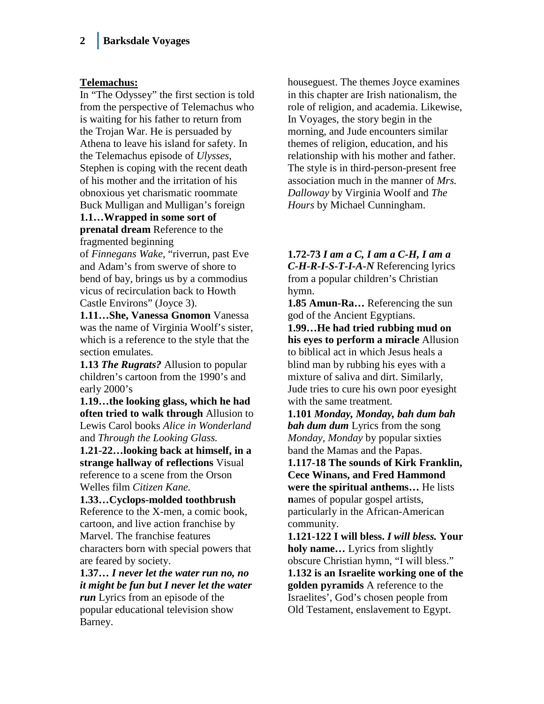#### **Telemachus:**

In "The Odyssey" the first section is told from the perspective of Telemachus who is waiting for his father to return from the Trojan War. He is persuaded by Athena to leave his island for safety. In the Telemachus episode of *Ulysses*, Stephen is coping with the recent death of his mother and the irritation of his obnoxious yet charismatic roommate Buck Mulligan and Mulligan's foreign

#### **1.1…Wrapped in some sort of prenatal dream** Reference to the fragmented beginning

of *Finnegans Wake*, "riverrun, past Eve and Adam's from swerve of shore to bend of bay, brings us by a commodius vicus of recirculation back to Howth Castle Environs" (Joyce 3).

**1.11…She, Vanessa Gnomon** Vanessa was the name of Virginia Woolf's sister, which is a reference to the style that the section emulates.

**1.13** *The Rugrats?* Allusion to popular children's cartoon from the 1990's and early 2000's

**1.19…the looking glass, which he had often tried to walk through** Allusion to Lewis Carol books *Alice in Wonderland* and *Through the Looking Glass.*

**1.21-22…looking back at himself, in a strange hallway of reflections** Visual reference to a scene from the Orson Welles film *Citizen Kane.*

**1.33…Cyclops-molded toothbrush**  Reference to the X-men, a comic book, cartoon, and live action franchise by Marvel. The franchise features characters born with special powers that are feared by society.

**1.37…** *I never let the water run no, no it might be fun but I never let the water run* Lyrics from an episode of the popular educational television show Barney.

houseguest. The themes Joyce examines in this chapter are Irish nationalism, the role of religion, and academia. Likewise, In Voyages, the story begin in the morning, and Jude encounters similar themes of religion, education, and his relationship with his mother and father. The style is in third-person-present free association much in the manner of *Mrs. Dalloway* by Virginia Woolf and *The Hours* by Michael Cunningham.

**1.72-73** *I am a C, I am a C-H, I am a C-H-R-I-S-T-I-A-N* Referencing lyrics from a popular children's Christian hymn.

**1.85 Amun-Ra…** Referencing the sun god of the Ancient Egyptians.

**1.99…He had tried rubbing mud on his eyes to perform a miracle** Allusion to biblical act in which Jesus heals a blind man by rubbing his eyes with a mixture of saliva and dirt. Similarly, Jude tries to cure his own poor eyesight with the same treatment.

**1.101** *Monday, Monday, bah dum bah bah dum dum* Lyrics from the song *Monday, Monday* by popular sixties band the Mamas and the Papas.

**1.117-18 The sounds of Kirk Franklin, Cece Winans, and Fred Hammond were the spiritual anthems…** He lists **n**ames of popular gospel artists, particularly in the African-American community.

**1.121-122 I will bless.** *I will bless.* **Your holy name…** Lyrics from slightly obscure Christian hymn, "I will bless." **1.132 is an Israelite working one of the golden pyramids** A reference to the Israelites', God's chosen people from Old Testament, enslavement to Egypt.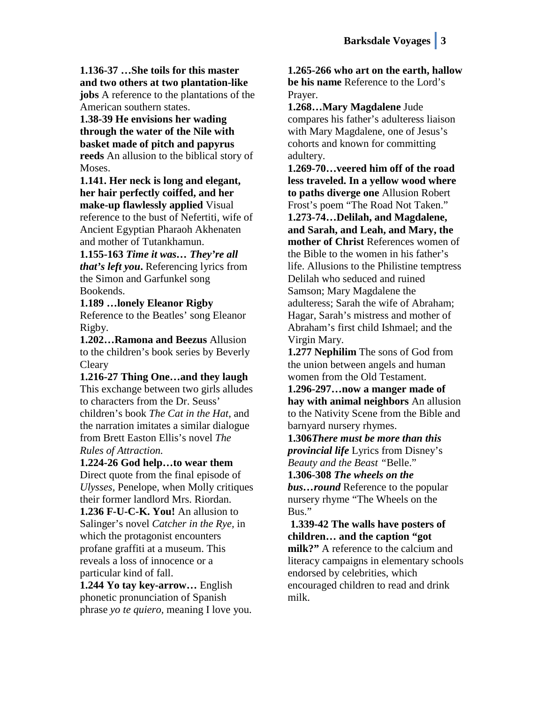**1.136-37 …She toils for this master and two others at two plantation-like jobs** A reference to the plantations of the

American southern states.

**1.38-39 He envisions her wading through the water of the Nile with basket made of pitch and papyrus reeds** An allusion to the biblical story of Moses.

**1.141. Her neck is long and elegant, her hair perfectly coiffed, and her make-up flawlessly applied** Visual reference to the bust of Nefertiti, wife of Ancient Egyptian Pharaoh Akhenaten and mother of Tutankhamun.

**1.155-163** *Time it was… They're all that's left you***.** Referencing lyrics from the Simon and Garfunkel song Bookends.

**1.189 …lonely Eleanor Rigby** Reference to the Beatles' song Eleanor Rigby.

**1.202…Ramona and Beezus** Allusion to the children's book series by Beverly Cleary

**1.216-27 Thing One…and they laugh**  This exchange between two girls alludes to characters from the Dr. Seuss' children's book *The Cat in the Hat*, and the narration imitates a similar dialogue from Brett Easton Ellis's novel *The Rules of Attraction.*

**1.224-26 God help…to wear them**  Direct quote from the final episode of *Ulysses,* Penelope, when Molly critiques their former landlord Mrs. Riordan.

**1.236 F-U-C-K. You!** An allusion to Salinger's novel *Catcher in the Rye,* in which the protagonist encounters profane graffiti at a museum. This reveals a loss of innocence or a particular kind of fall.

**1.244 Yo tay key-arrow…** English phonetic pronunciation of Spanish phrase *yo te quiero,* meaning I love you. **1.265-266 who art on the earth, hallow be his name** Reference to the Lord's Prayer.

**1.268…Mary Magdalene** Jude compares his father's adulteress liaison with Mary Magdalene, one of Jesus's cohorts and known for committing adultery.

**1.269-70…veered him off of the road less traveled. In a yellow wood where to paths diverge one** Allusion Robert Frost's poem "The Road Not Taken." **1.273-74…Delilah, and Magdalene, and Sarah, and Leah, and Mary, the mother of Christ** References women of the Bible to the women in his father's life. Allusions to the Philistine temptress Delilah who seduced and ruined Samson; Mary Magdalene the adulteress; Sarah the wife of Abraham; Hagar, Sarah's mistress and mother of Abraham's first child Ishmael; and the Virgin Mary.

**1.277 Nephilim** The sons of God from the union between angels and human women from the Old Testament.

**1.296-297…now a manger made of hay with animal neighbors** An allusion to the Nativity Scene from the Bible and barnyard nursery rhymes.

**1.306***There must be more than this provincial life* Lyrics from Disney's *Beauty and the Beast "*Belle."

**1.306-308** *The wheels on the bus…round* Reference to the popular nursery rhyme "The Wheels on the Bus."

**1.339-42 The walls have posters of children… and the caption "got milk?"** A reference to the calcium and literacy campaigns in elementary schools endorsed by celebrities, which encouraged children to read and drink milk.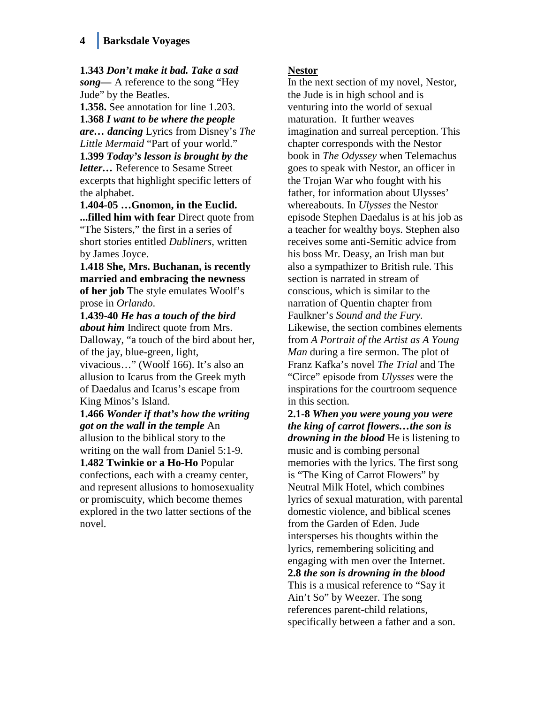**1.343** *Don't make it bad. Take a sad song—* A reference to the song "Hey Jude" by the Beatles.

**1.358.** See annotation for line 1.203. **1.368** *I want to be where the people are… dancing* Lyrics from Disney's *The Little Mermaid* "Part of your world." **1.399** *Today's lesson is brought by the letter…* Reference to Sesame Street excerpts that highlight specific letters of the alphabet.

**1.404-05 …Gnomon, in the Euclid. ...filled him with fear** Direct quote from "The Sisters," the first in a series of short stories entitled *Dubliners*, written by James Joyce.

**1.418 She, Mrs. Buchanan, is recently married and embracing the newness of her job** The style emulates Woolf's prose in *Orlando*.

**1.439-40** *He has a touch of the bird about him* Indirect quote from Mrs. Dalloway, "a touch of the bird about her, of the jay, blue-green, light,

vivacious…" (Woolf 166). It's also an allusion to Icarus from the Greek myth of Daedalus and Icarus's escape from King Minos's Island.

**1.466** *Wonder if that's how the writing got on the wall in the temple* An allusion to the biblical story to the

writing on the wall from Daniel 5:1-9. **1.482 Twinkie or a Ho-Ho** Popular confections, each with a creamy center, and represent allusions to homosexuality or promiscuity, which become themes explored in the two latter sections of the novel.

#### **Nestor**

In the next section of my novel, Nestor, the Jude is in high school and is venturing into the world of sexual maturation. It further weaves imagination and surreal perception. This chapter corresponds with the Nestor book in *The Odyssey* when Telemachus goes to speak with Nestor, an officer in the Trojan War who fought with his father, for information about Ulysses' whereabouts. In *Ulysses* the Nestor episode Stephen Daedalus is at his job as a teacher for wealthy boys. Stephen also receives some anti-Semitic advice from his boss Mr. Deasy, an Irish man but also a sympathizer to British rule. This section is narrated in stream of conscious, which is similar to the narration of Quentin chapter from Faulkner's *Sound and the Fury.*  Likewise, the section combines elements from *A Portrait of the Artist as A Young Man* during a fire sermon. The plot of Franz Kafka's novel *The Trial* and The "Circe" episode from *Ulysses* were the inspirations for the courtroom sequence in this section*.* 

**2.1-8** *When you were young you were the king of carrot flowers…the son is drowning in the blood* He is listening to music and is combing personal memories with the lyrics. The first song is "The King of Carrot Flowers" by Neutral Milk Hotel, which combines lyrics of sexual maturation, with parental domestic violence, and biblical scenes from the Garden of Eden. Jude intersperses his thoughts within the lyrics, remembering soliciting and engaging with men over the Internet. **2.8** *the son is drowning in the blood* This is a musical reference to "Say it Ain't So" by Weezer. The song references parent-child relations, specifically between a father and a son.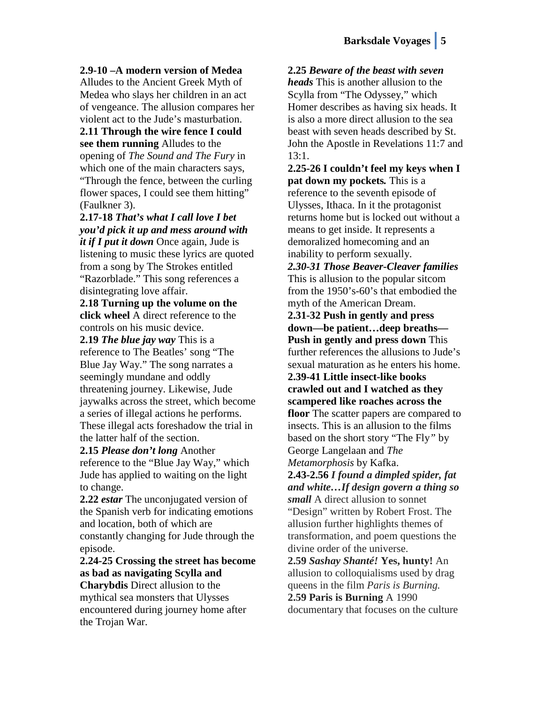#### **2.9-10 –A modern version of Medea**

Alludes to the Ancient Greek Myth of Medea who slays her children in an act of vengeance. The allusion compares her violent act to the Jude's masturbation.

**2.11 Through the wire fence I could see them running** Alludes to the

opening of *The Sound and The Fury* in which one of the main characters says, "Through the fence, between the curling flower spaces, I could see them hitting" (Faulkner 3).

**2.17-18** *That's what I call love I bet you'd pick it up and mess around with it if I put it down* Once again, Jude is listening to music these lyrics are quoted from a song by The Strokes entitled "Razorblade." This song references a disintegrating love affair.

**2.18 Turning up the volume on the click wheel** A direct reference to the controls on his music device.

**2.19** *The blue jay way* This is a reference to The Beatles' song "The Blue Jay Way." The song narrates a seemingly mundane and oddly threatening journey. Likewise, Jude jaywalks across the street, which become a series of illegal actions he performs. These illegal acts foreshadow the trial in the latter half of the section.

**2.15** *Please don't long* Another

reference to the "Blue Jay Way," which Jude has applied to waiting on the light to change.

**2.22** *estar* The unconjugated version of the Spanish verb for indicating emotions and location, both of which are constantly changing for Jude through the episode.

**2.24-25 Crossing the street has become as bad as navigating Scylla and** 

**Charybdis** Direct allusion to the mythical sea monsters that Ulysses encountered during journey home after the Trojan War.

**2.25** *Beware of the beast with seven heads* This is another allusion to the Scylla from "The Odyssey," which Homer describes as having six heads. It is also a more direct allusion to the sea beast with seven heads described by St. John the Apostle in Revelations 11:7 and 13:1.

**2.25-26 I couldn't feel my keys when I pat down my pockets***.* This is a reference to the seventh episode of Ulysses, Ithaca. In it the protagonist returns home but is locked out without a means to get inside. It represents a demoralized homecoming and an inability to perform sexually.

*2.30-31 Those Beaver-Cleaver families*  This is allusion to the popular sitcom from the 1950's-60's that embodied the myth of the American Dream.

**2.31-32 Push in gently and press down—be patient…deep breaths— Push in gently and press down** This further references the allusions to Jude's sexual maturation as he enters his home.

**2.39-41 Little insect-like books crawled out and I watched as they scampered like roaches across the floor** The scatter papers are compared to insects. This is an allusion to the films based on the short story "The Fly*"* by George Langelaan and *The Metamorphosis* by Kafka.

**2.43-2.56** *I found a dimpled spider, fat and white…If design govern a thing so small* A direct allusion to sonnet "Design" written by Robert Frost. The allusion further highlights themes of transformation, and poem questions the divine order of the universe.

**2.59** *Sashay Shanté!* **Yes, hunty!** An allusion to colloquialisms used by drag queens in the film *Paris is Burning.* **2.59 Paris is Burning** A 1990 documentary that focuses on the culture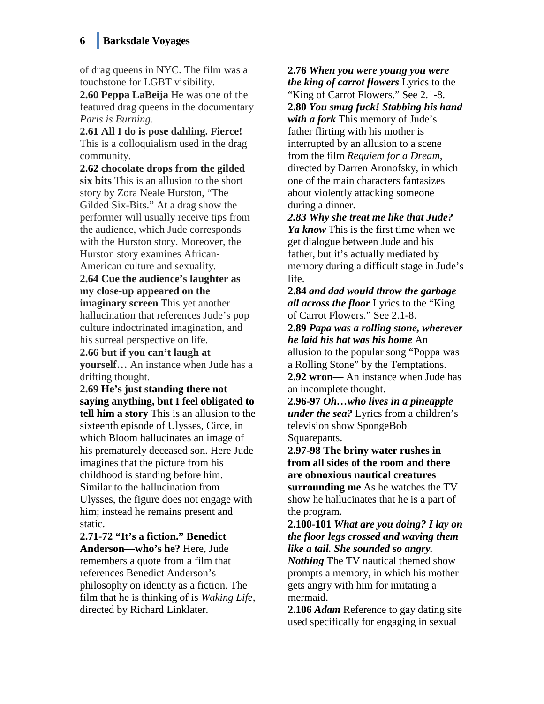of drag queens in NYC. The film was a touchstone for LGBT visibility.

**2.60 Peppa LaBeija** He was one of the featured drag queens in the documentary *Paris is Burning.*

**2.61 All I do is pose dahling. Fierce!**  This is a colloquialism used in the drag community.

**2.62 chocolate drops from the gilded six bits** This is an allusion to the short story by Zora Neale Hurston, "The Gilded Six-Bits." At a drag show the performer will usually receive tips from the audience, which Jude corresponds with the Hurston story. Moreover, the Hurston story examines African-American culture and sexuality.

**2.64 Cue the audience's laughter as my close-up appeared on the imaginary screen** This yet another

hallucination that references Jude's pop culture indoctrinated imagination, and his surreal perspective on life.

**2.66 but if you can't laugh at yourself…** An instance when Jude has a

drifting thought. **2.69 He's just standing there not saying anything, but I feel obligated to tell him a story** This is an allusion to the sixteenth episode of Ulysses, Circe, in which Bloom hallucinates an image of his prematurely deceased son. Here Jude imagines that the picture from his childhood is standing before him. Similar to the hallucination from Ulysses, the figure does not engage with him; instead he remains present and static.

**2.71-72 "It's a fiction." Benedict Anderson—who's he?** Here, Jude remembers a quote from a film that references Benedict Anderson's philosophy on identity as a fiction. The film that he is thinking of is *Waking Life,*  directed by Richard Linklater.

**2.76** *When you were young you were the king of carrot flowers* Lyrics to the "King of Carrot Flowers." See 2.1-8. **2.80** *You smug fuck! Stabbing his hand with a fork* This memory of Jude's father flirting with his mother is interrupted by an allusion to a scene from the film *Requiem for a Dream,*  directed by Darren Aronofsky, in which one of the main characters fantasizes about violently attacking someone during a dinner.

*2.83 Why she treat me like that Jude? Ya know* This is the first time when we get dialogue between Jude and his father, but it's actually mediated by memory during a difficult stage in Jude's life.

**2.84** *and dad would throw the garbage all across the floor* Lyrics to the "King of Carrot Flowers." See 2.1-8.

**2.89** *Papa was a rolling stone, wherever he laid his hat was his home* An

allusion to the popular song "Poppa was a Rolling Stone" by the Temptations. **2.92 wron—** An instance when Jude has an incomplete thought.

**2.96-97** *Oh…who lives in a pineapple under the sea?* Lyrics from a children's television show SpongeBob Squarepants.

**2.97-98 The briny water rushes in from all sides of the room and there are obnoxious nautical creatures surrounding me** As he watches the TV show he hallucinates that he is a part of the program.

#### **2.100-101** *What are you doing? I lay on the floor legs crossed and waving them like a tail. She sounded so angry.*

*Nothing* The TV nautical themed show prompts a memory, in which his mother gets angry with him for imitating a mermaid.

**2.106** *Adam* Reference to gay dating site used specifically for engaging in sexual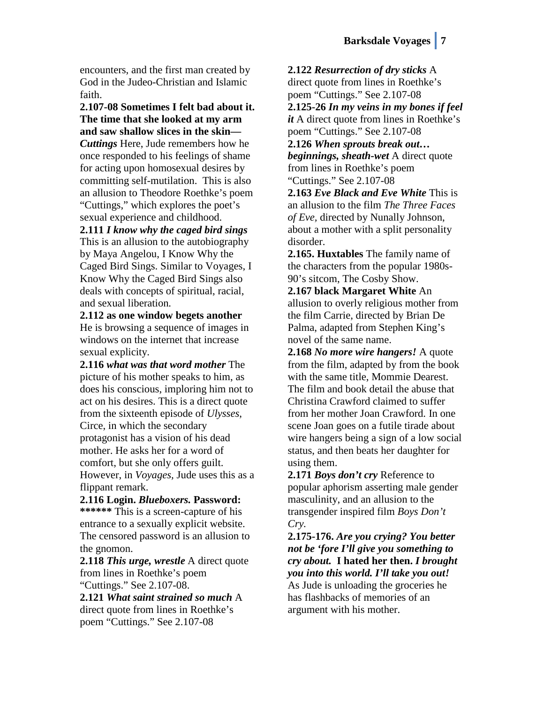encounters, and the first man created by God in the Judeo-Christian and Islamic faith.

**2.107-08 Sometimes I felt bad about it. The time that she looked at my arm and saw shallow slices in the skin—** *Cuttings* Here, Jude remembers how he once responded to his feelings of shame for acting upon homosexual desires by committing self-mutilation. This is also an allusion to Theodore Roethke's poem

"Cuttings," which explores the poet's sexual experience and childhood. **2.111** *I know why the caged bird sings* 

This is an allusion to the autobiography by Maya Angelou, I Know Why the Caged Bird Sings. Similar to Voyages, I Know Why the Caged Bird Sings also deals with concepts of spiritual, racial, and sexual liberation*.*

**2.112 as one window begets another**  He is browsing a sequence of images in windows on the internet that increase sexual explicity.

**2.116** *what was that word mother* The picture of his mother speaks to him, as does his conscious, imploring him not to act on his desires. This is a direct quote from the sixteenth episode of *Ulysses*, Circe, in which the secondary protagonist has a vision of his dead mother. He asks her for a word of comfort, but she only offers guilt. However, in *Voyages,* Jude uses this as a flippant remark.

**2.116 Login.** *Blueboxers.* **Password: \*\*\*\*\*\*** This is a screen-capture of his entrance to a sexually explicit website. The censored password is an allusion to the gnomon.

**2.118** *This urge, wrestle* A direct quote from lines in Roethke's poem "Cuttings." See 2.107-08.

**2.121** *What saint strained so much* A direct quote from lines in Roethke's poem "Cuttings." See 2.107-08

**2.122** *Resurrection of dry sticks* A

direct quote from lines in Roethke's poem "Cuttings." See 2.107-08 **2.125-26** *In my veins in my bones if feel it* A direct quote from lines in Roethke's poem "Cuttings." See 2.107-08

**2.126** *When sprouts break out… beginnings, sheath-wet* A direct quote from lines in Roethke's poem "Cuttings." See 2.107-08

**2.163** *Eve Black and Eve White* This is an allusion to the film *The Three Faces of Eve,* directed by Nunally Johnson, about a mother with a split personality disorder.

**2.165. Huxtables** The family name of the characters from the popular 1980s-90's sitcom, The Cosby Show.

**2.167 black Margaret White** An allusion to overly religious mother from the film Carrie, directed by Brian De Palma, adapted from Stephen King's novel of the same name.

**2.168** *No more wire hangers!* A quote from the film, adapted by from the book with the same title, Mommie Dearest. The film and book detail the abuse that Christina Crawford claimed to suffer from her mother Joan Crawford. In one scene Joan goes on a futile tirade about wire hangers being a sign of a low social status, and then beats her daughter for using them.

**2.171** *Boys don't cry* Reference to popular aphorism asserting male gender masculinity, and an allusion to the transgender inspired film *Boys Don't Cry.*

**2.175-176.** *Are you crying? You better not be 'fore I'll give you something to cry about.* **I hated her then.** *I brought you into this world. I'll take you out!* As Jude is unloading the groceries he has flashbacks of memories of an argument with his mother.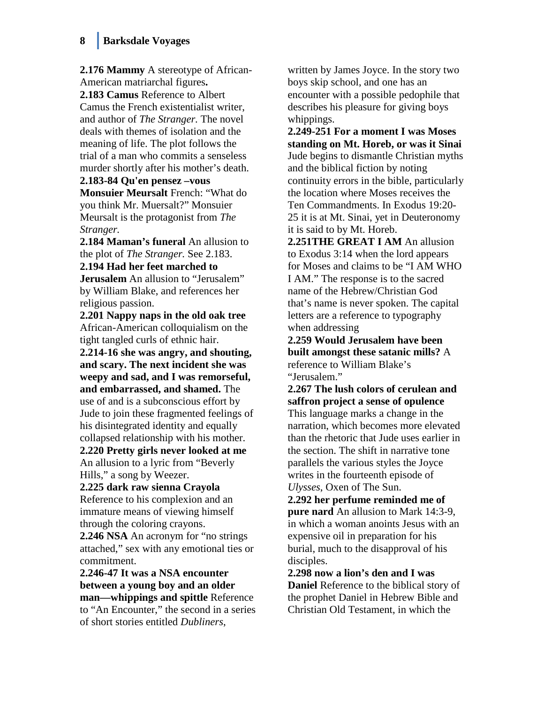**2.176 Mammy** A stereotype of African-American matriarchal figures**. 2.183 Camus** Reference to Albert Camus the French existentialist writer, and author of *The Stranger.* The novel deals with themes of isolation and the meaning of life. The plot follows the trial of a man who commits a senseless murder shortly after his mother's death.

**2.183-84 Qu'en pensez –vous Monsuier Meursalt** French: "What do

you think Mr. Muersalt?" Monsuier Meursalt is the protagonist from *The Stranger.*

**2.184 Maman's funeral** An allusion to the plot of *The Stranger.* See 2.183.

**2.194 Had her feet marched to Jerusalem** An allusion to "Jerusalem" by William Blake, and references her religious passion.

**2.201 Nappy naps in the old oak tree**  African-American colloquialism on the tight tangled curls of ethnic hair.

**2.214-16 she was angry, and shouting, and scary. The next incident she was weepy and sad, and I was remorseful, and embarrassed, and shamed.** The use of and is a subconscious effort by Jude to join these fragmented feelings of his disintegrated identity and equally collapsed relationship with his mother.

**2.220 Pretty girls never looked at me**  An allusion to a lyric from "Beverly Hills," a song by Weezer.

**2.225 dark raw sienna Crayola**  Reference to his complexion and an immature means of viewing himself through the coloring crayons.

**2.246 NSA** An acronym for "no strings attached," sex with any emotional ties or commitment.

**2.246-47 It was a NSA encounter between a young boy and an older man—whippings and spittle** Reference to "An Encounter," the second in a series of short stories entitled *Dubliners*,

written by James Joyce. In the story two boys skip school, and one has an encounter with a possible pedophile that describes his pleasure for giving boys whippings.

**2.249-251 For a moment I was Moses standing on Mt. Horeb, or was it Sinai**  Jude begins to dismantle Christian myths and the biblical fiction by noting continuity errors in the bible, particularly the location where Moses receives the Ten Commandments. In Exodus 19:20- 25 it is at Mt. Sinai, yet in Deuteronomy it is said to by Mt. Horeb.

**2.251THE GREAT I AM** An allusion to Exodus 3:14 when the lord appears for Moses and claims to be "I AM WHO I AM." The response is to the sacred name of the Hebrew/Christian God that's name is never spoken. The capital letters are a reference to typography when addressing

**2.259 Would Jerusalem have been built amongst these satanic mills?** A reference to William Blake's "Jerusalem."

**2.267 The lush colors of cerulean and saffron project a sense of opulence**  This language marks a change in the narration, which becomes more elevated than the rhetoric that Jude uses earlier in the section. The shift in narrative tone parallels the various styles the Joyce writes in the fourteenth episode of *Ulysses*, Oxen of The Sun.

**2.292 her perfume reminded me of pure nard** An allusion to Mark 14:3-9, in which a woman anoints Jesus with an expensive oil in preparation for his burial, much to the disapproval of his disciples.

**2.298 now a lion's den and I was Daniel** Reference to the biblical story of the prophet Daniel in Hebrew Bible and Christian Old Testament, in which the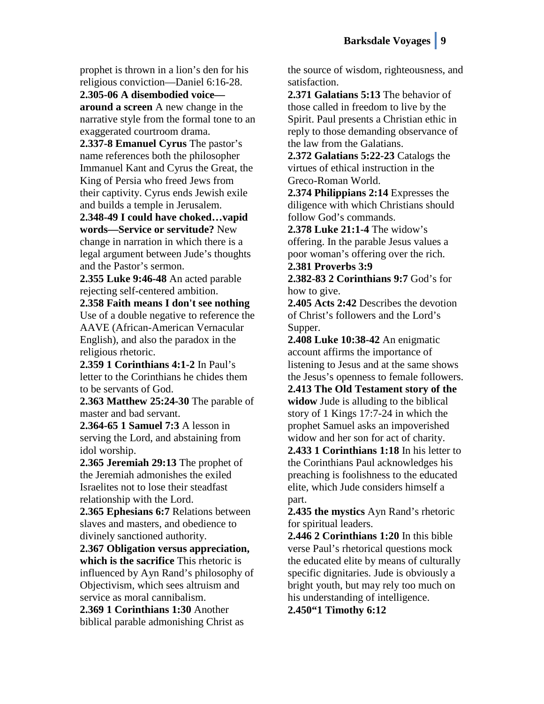prophet is thrown in a lion's den for his religious conviction—Daniel 6:16-28.

**2.305-06 A disembodied voice—**

**around a screen** A new change in the narrative style from the formal tone to an exaggerated courtroom drama.

**2.337-8 Emanuel Cyrus** The pastor's name references both the philosopher Immanuel Kant and Cyrus the Great, the King of Persia who freed Jews from their captivity. Cyrus ends Jewish exile and builds a temple in Jerusalem.

**2.348-49 I could have choked…vapid words—Service or servitude?** New change in narration in which there is a legal argument between Jude's thoughts and the Pastor's sermon.

**2.355 Luke 9:46-48** An acted parable rejecting self-centered ambition.

**2.358 Faith means I don't see nothing** Use of a double negative to reference the AAVE (African-American Vernacular English), and also the paradox in the religious rhetoric.

**2.359 1 Corinthians 4:1-2** In Paul's letter to the Corinthians he chides them to be servants of God.

**2.363 Matthew 25:24-30** The parable of master and bad servant.

**2.364-65 1 Samuel 7:3** A lesson in serving the Lord, and abstaining from idol worship.

**2.365 Jeremiah 29:13** The prophet of the Jeremiah admonishes the exiled Israelites not to lose their steadfast relationship with the Lord.

**2.365 Ephesians 6:7** Relations between slaves and masters, and obedience to divinely sanctioned authority.

**2.367 Obligation versus appreciation, which is the sacrifice** This rhetoric is influenced by Ayn Rand's philosophy of Objectivism, which sees altruism and service as moral cannibalism.

**2.369 1 Corinthians 1:30** Another biblical parable admonishing Christ as the source of wisdom, righteousness, and satisfaction.

**2.371 Galatians 5:13** The behavior of those called in freedom to live by the Spirit. Paul presents a Christian ethic in reply to those demanding observance of the law from the Galatians.

**2.372 Galatians 5:22-23** Catalogs the virtues of ethical instruction in the Greco-Roman World.

**2.374 Philippians 2:14** Expresses the diligence with which Christians should follow God's commands.

**2.378 Luke 21:1-4** The widow's offering. In the parable Jesus values a poor woman's offering over the rich.

**2.381 Proverbs 3:9**

**2.382-83 2 Corinthians 9:7** God's for how to give.

**2.405 Acts 2:42** Describes the devotion of Christ's followers and the Lord's Supper.

**2.408 Luke 10:38-42** An enigmatic account affirms the importance of listening to Jesus and at the same shows the Jesus's openness to female followers.

**2.413 The Old Testament story of the widow** Jude is alluding to the biblical story of 1 Kings 17:7-24 in which the prophet Samuel asks an impoverished widow and her son for act of charity.

**2.433 1 Corinthians 1:18** In his letter to the Corinthians Paul acknowledges his preaching is foolishness to the educated elite, which Jude considers himself a part.

**2.435 the mystics** Ayn Rand's rhetoric for spiritual leaders.

**2.446 2 Corinthians 1:20** In this bible verse Paul's rhetorical questions mock the educated elite by means of culturally specific dignitaries. Jude is obviously a bright youth, but may rely too much on his understanding of intelligence.

**2.450"1 Timothy 6:12**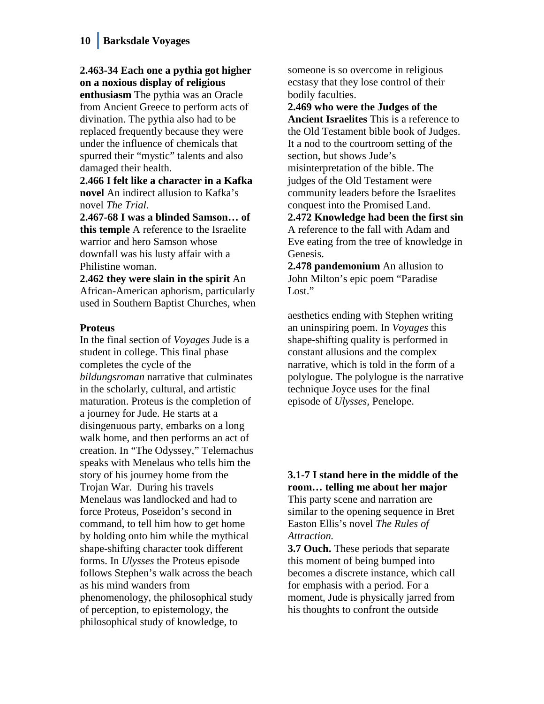#### **2.463-34 Each one a pythia got higher on a noxious display of religious**

**enthusiasm** The pythia was an Oracle from Ancient Greece to perform acts of divination. The pythia also had to be replaced frequently because they were under the influence of chemicals that spurred their "mystic" talents and also damaged their health.

**2.466 I felt like a character in a Kafka novel** An indirect allusion to Kafka's novel *The Trial.*

**2.467-68 I was a blinded Samson… of this temple** A reference to the Israelite warrior and hero Samson whose downfall was his lusty affair with a Philistine woman.

**2.462 they were slain in the spirit** An African-American aphorism, particularly used in Southern Baptist Churches, when

### **Proteus**

In the final section of *Voyages* Jude is a student in college. This final phase completes the cycle of the *bildungsroman* narrative that culminates in the scholarly, cultural, and artistic maturation. Proteus is the completion of a journey for Jude. He starts at a disingenuous party, embarks on a long walk home, and then performs an act of creation. In "The Odyssey," Telemachus speaks with Menelaus who tells him the story of his journey home from the Trojan War. During his travels Menelaus was landlocked and had to force Proteus, Poseidon's second in command, to tell him how to get home by holding onto him while the mythical shape-shifting character took different forms. In *Ulysses* the Proteus episode follows Stephen's walk across the beach as his mind wanders from phenomenology, the philosophical study of perception, to epistemology, the philosophical study of knowledge, to

someone is so overcome in religious ecstasy that they lose control of their bodily faculties.

**2.469 who were the Judges of the Ancient Israelites** This is a reference to the Old Testament bible book of Judges. It a nod to the courtroom setting of the section, but shows Jude's misinterpretation of the bible. The judges of the Old Testament were community leaders before the Israelites conquest into the Promised Land.

**2.472 Knowledge had been the first sin**  A reference to the fall with Adam and Eve eating from the tree of knowledge in Genesis.

**2.478 pandemonium** An allusion to John Milton's epic poem "Paradise Lost."

aesthetics ending with Stephen writing an uninspiring poem. In *Voyages* this shape-shifting quality is performed in constant allusions and the complex narrative, which is told in the form of a polylogue. The polylogue is the narrative technique Joyce uses for the final episode of *Ulysses,* Penelope.

**3.1-7 I stand here in the middle of the room… telling me about her major**  This party scene and narration are similar to the opening sequence in Bret Easton Ellis's novel *The Rules of Attraction.*

**3.7 Ouch.** These periods that separate this moment of being bumped into becomes a discrete instance, which call for emphasis with a period. For a moment, Jude is physically jarred from his thoughts to confront the outside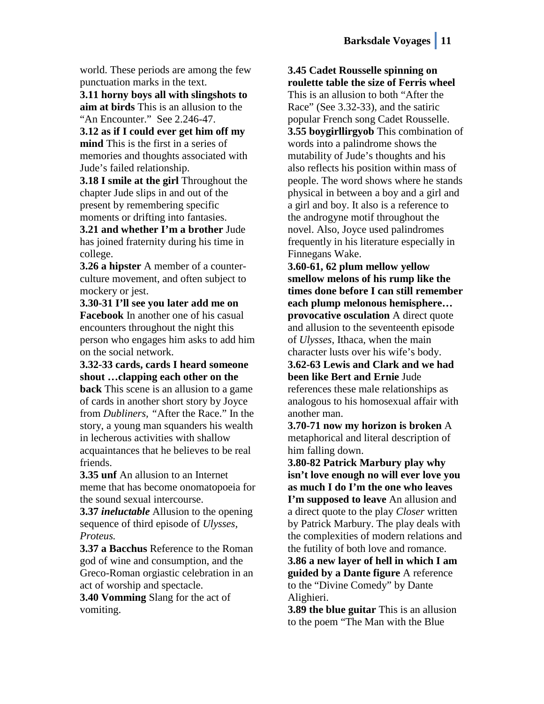world. These periods are among the few punctuation marks in the text.

**3.11 horny boys all with slingshots to aim at birds** This is an allusion to the "An Encounter." See 2.246-47.

**3.12 as if I could ever get him off my mind** This is the first in a series of memories and thoughts associated with Jude's failed relationship.

**3.18 I smile at the girl** Throughout the chapter Jude slips in and out of the present by remembering specific moments or drifting into fantasies.

**3.21 and whether I'm a brother** Jude has joined fraternity during his time in college.

**3.26 a hipster** A member of a counterculture movement, and often subject to mockery or jest.

**3.30-31 I'll see you later add me on Facebook** In another one of his casual encounters throughout the night this person who engages him asks to add him on the social network.

**3.32-33 cards, cards I heard someone shout …clapping each other on the back** This scene is an allusion to a game of cards in another short story by Joyce from *Dubliners, "*After the Race." In the story, a young man squanders his wealth in lecherous activities with shallow acquaintances that he believes to be real friends.

**3.35 unf** An allusion to an Internet meme that has become onomatopoeia for the sound sexual intercourse.

**3.37** *ineluctable* Allusion to the opening sequence of third episode of *Ulysses, Proteus.* 

**3.37 a Bacchus** Reference to the Roman god of wine and consumption, and the Greco-Roman orgiastic celebration in an act of worship and spectacle.

**3.40 Vomming** Slang for the act of vomiting.

**3.45 Cadet Rousselle spinning on roulette table the size of Ferris wheel** This is an allusion to both "After the Race" (See 3.32-33), and the satiric popular French song Cadet Rousselle. **3.55 boygirllirgyob** This combination of words into a palindrome shows the mutability of Jude's thoughts and his also reflects his position within mass of people. The word shows where he stands physical in between a boy and a girl and a girl and boy. It also is a reference to the androgyne motif throughout the novel. Also, Joyce used palindromes frequently in his literature especially in Finnegans Wake.

**3.60-61, 62 plum mellow yellow smellow melons of his rump like the times done before I can still remember each plump melonous hemisphere… provocative osculation** A direct quote and allusion to the seventeenth episode of *Ulysses*, Ithaca, when the main character lusts over his wife's body. **3.62-63 Lewis and Clark and we had** 

**been like Bert and Ernie** Jude references these male relationships as analogous to his homosexual affair with another man.

**3.70-71 now my horizon is broken** A metaphorical and literal description of him falling down.

**3.80-82 Patrick Marbury play why isn't love enough no will ever love you as much I do I'm the one who leaves I'm supposed to leave** An allusion and a direct quote to the play *Closer* written by Patrick Marbury. The play deals with the complexities of modern relations and the futility of both love and romance.

**3.86 a new layer of hell in which I am guided by a Dante figure** A reference to the "Divine Comedy" by Dante Alighieri.

**3.89 the blue guitar** This is an allusion to the poem "The Man with the Blue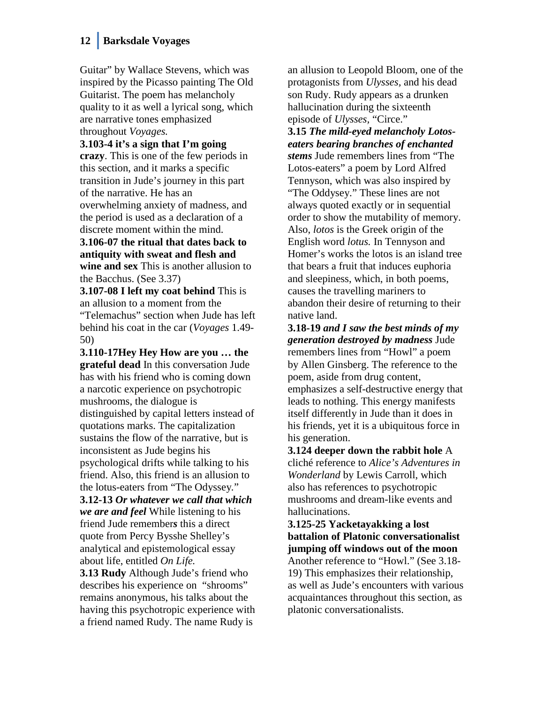Guitar" by Wallace Stevens, which was inspired by the Picasso painting The Old Guitarist. The poem has melancholy quality to it as well a lyrical song, which are narrative tones emphasized throughout *Voyages.*

**3.103-4 it's a sign that I'm going crazy**. This is one of the few periods in this section, and it marks a specific transition in Jude's journey in this part of the narrative. He has an overwhelming anxiety of madness, and the period is used as a declaration of a discrete moment within the mind.

**3.106-07 the ritual that dates back to antiquity with sweat and flesh and wine and sex** This is another allusion to the Bacchus. (See 3.37)

**3.107-08 I left my coat behind** This is an allusion to a moment from the "Telemachus" section when Jude has left behind his coat in the car (*Voyages* 1.49- 50)

**3.110-17Hey Hey How are you … the grateful dead** In this conversation Jude has with his friend who is coming down a narcotic experience on psychotropic mushrooms, the dialogue is distinguished by capital letters instead of quotations marks. The capitalization sustains the flow of the narrative, but is inconsistent as Jude begins his psychological drifts while talking to his friend. Also, this friend is an allusion to the lotus-eaters from "The Odyssey*.*"

**3.12-13** *Or whatever we call that which we are and feel* While listening to his friend Jude remember*s* this a direct quote from Percy Bysshe Shelley's analytical and epistemological essay about life, entitled *On Life.* 

**3.13 Rudy** Although Jude's friend who describes his experience on "shrooms" remains anonymous, his talks about the having this psychotropic experience with a friend named Rudy. The name Rudy is

an allusion to Leopold Bloom, one of the protagonists from *Ulysses,* and his dead son Rudy. Rudy appears as a drunken hallucination during the sixteenth episode of *Ulysses,* "Circe."

**3.15** *The mild-eyed melancholy Lotoseaters bearing branches of enchanted stems* Jude remembers lines from "The Lotos-eaters" a poem by Lord Alfred Tennyson, which was also inspired by "The Oddysey." These lines are not always quoted exactly or in sequential order to show the mutability of memory. Also, *lotos* is the Greek origin of the English word *lotus.* In Tennyson and Homer's works the lotos is an island tree that bears a fruit that induces euphoria and sleepiness, which, in both poems, causes the travelling mariners to abandon their desire of returning to their native land.

**3.18-19** *and I saw the best minds of my generation destroyed by madness* Jude remembers lines from "Howl" a poem by Allen Ginsberg. The reference to the poem, aside from drug content, emphasizes a self-destructive energy that leads to nothing. This energy manifests itself differently in Jude than it does in his friends, yet it is a ubiquitous force in his generation.

**3.124 deeper down the rabbit hole** A cliché reference to *Alice's Adventures in Wonderland* by Lewis Carroll, which also has references to psychotropic mushrooms and dream-like events and hallucinations.

**3.125-25 Yacketayakking a lost battalion of Platonic conversationalist jumping off windows out of the moon**  Another reference to "Howl." (See 3.18- 19) This emphasizes their relationship, as well as Jude's encounters with various acquaintances throughout this section, as platonic conversationalists.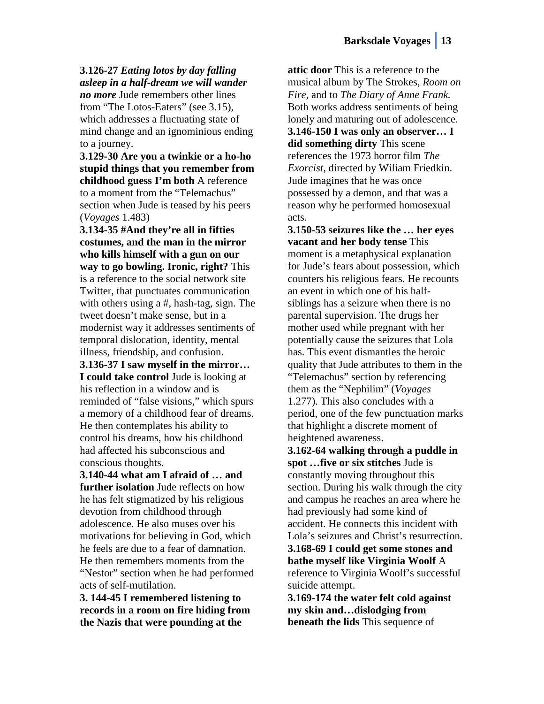**3.126-27** *Eating lotos by day falling asleep in a half-dream we will wander no more* Jude remembers other lines from "The Lotos-Eaters" (see 3.15), which addresses a fluctuating state of

mind change and an ignominious ending to a journey.

**3.129-30 Are you a twinkie or a ho-ho stupid things that you remember from childhood guess I'm both** A reference to a moment from the "Telemachus" section when Jude is teased by his peers (*Voyages* 1.483)

**3.134-35 #And they're all in fifties costumes, and the man in the mirror who kills himself with a gun on our way to go bowling. Ironic, right?** This is a reference to the social network site Twitter, that punctuates communication with others using a #, hash-tag, sign. The tweet doesn't make sense, but in a modernist way it addresses sentiments of temporal dislocation, identity, mental illness, friendship, and confusion.

**3.136-37 I saw myself in the mirror… I could take control** Jude is looking at his reflection in a window and is reminded of "false visions," which spurs a memory of a childhood fear of dreams. He then contemplates his ability to control his dreams, how his childhood had affected his subconscious and conscious thoughts.

**3.140-44 what am I afraid of … and further isolation** Jude reflects on how he has felt stigmatized by his religious devotion from childhood through adolescence. He also muses over his motivations for believing in God, which he feels are due to a fear of damnation. He then remembers moments from the "Nestor" section when he had performed acts of self-mutilation.

**3. 144-45 I remembered listening to records in a room on fire hiding from the Nazis that were pounding at the** 

**attic door** This is a reference to the musical album by The Strokes, *Room on Fire,* and to *The Diary of Anne Frank.*  Both works address sentiments of being lonely and maturing out of adolescence. **3.146-150 I was only an observer… I did something dirty** This scene references the 1973 horror film *The Exorcist,* directed by Wiliam Friedkin. Jude imagines that he was once possessed by a demon, and that was a reason why he performed homosexual acts.

**3.150-53 seizures like the … her eyes vacant and her body tense** This moment is a metaphysical explanation for Jude's fears about possession, which counters his religious fears. He recounts an event in which one of his halfsiblings has a seizure when there is no parental supervision. The drugs her mother used while pregnant with her potentially cause the seizures that Lola has. This event dismantles the heroic quality that Jude attributes to them in the "Telemachus" section by referencing them as the "Nephilim" (*Voyages*  1.277). This also concludes with a period, one of the few punctuation marks that highlight a discrete moment of heightened awareness.

**3.162-64 walking through a puddle in spot …five or six stitches** Jude is constantly moving throughout this section. During his walk through the city and campus he reaches an area where he had previously had some kind of accident. He connects this incident with Lola's seizures and Christ's resurrection.

**3.168-69 I could get some stones and bathe myself like Virginia Woolf** A reference to Virginia Woolf's successful suicide attempt.

**3.169-174 the water felt cold against my skin and…dislodging from beneath the lids** This sequence of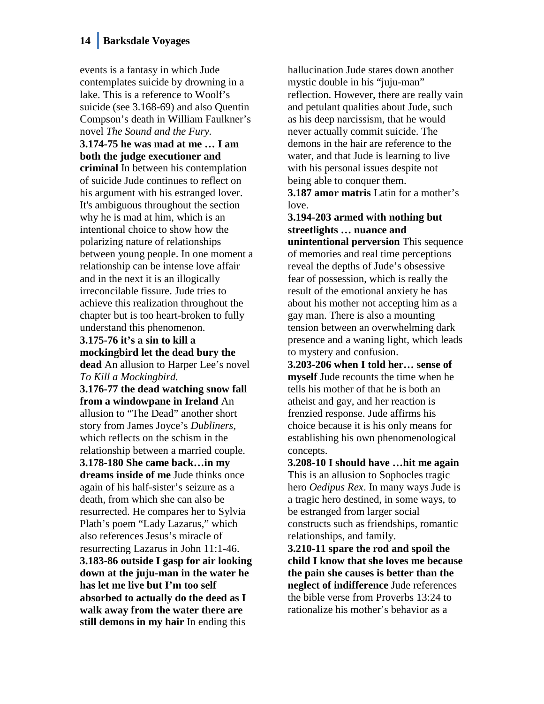events is a fantasy in which Jude contemplates suicide by drowning in a lake. This is a reference to Woolf's suicide (see 3.168-69) and also Quentin Compson's death in William Faulkner's novel *The Sound and the Fury.*  **3.174-75 he was mad at me … I am both the judge executioner and criminal** In between his contemplation of suicide Jude continues to reflect on his argument with his estranged lover. It's ambiguous throughout the section why he is mad at him, which is an intentional choice to show how the polarizing nature of relationships between young people. In one moment a relationship can be intense love affair and in the next it is an illogically irreconcilable fissure. Jude tries to achieve this realization throughout the chapter but is too heart-broken to fully understand this phenomenon.

**3.175-76 it's a sin to kill a mockingbird let the dead bury the dead** An allusion to Harper Lee's novel *To Kill a Mockingbird.* 

**3.176-77 the dead watching snow fall from a windowpane in Ireland** An allusion to "The Dead" another short story from James Joyce's *Dubliners,*  which reflects on the schism in the relationship between a married couple.

**3.178-180 She came back…in my dreams inside of me** Jude thinks once again of his half-sister's seizure as a death, from which she can also be resurrected. He compares her to Sylvia Plath's poem "Lady Lazarus," which also references Jesus's miracle of resurrecting Lazarus in John 11:1-46. **3.183-86 outside I gasp for air looking down at the juju-man in the water he has let me live but I'm too self absorbed to actually do the deed as I walk away from the water there are still demons in my hair** In ending this

hallucination Jude stares down another mystic double in his "juju-man" reflection. However, there are really vain and petulant qualities about Jude, such as his deep narcissism, that he would never actually commit suicide. The demons in the hair are reference to the water, and that Jude is learning to live with his personal issues despite not being able to conquer them. **3.187 amor matris** Latin for a mother's

love.

**3.194-203 armed with nothing but streetlights … nuance and unintentional perversion** This sequence of memories and real time perceptions reveal the depths of Jude's obsessive fear of possession, which is really the result of the emotional anxiety he has about his mother not accepting him as a gay man. There is also a mounting tension between an overwhelming dark presence and a waning light, which leads to mystery and confusion.

**3.203-206 when I told her… sense of myself** Jude recounts the time when he tells his mother of that he is both an atheist and gay, and her reaction is frenzied response. Jude affirms his choice because it is his only means for establishing his own phenomenological concepts.

**3.208-10 I should have …hit me again**  This is an allusion to Sophocles tragic hero *Oedipus Rex*. In many ways Jude is a tragic hero destined, in some ways, to be estranged from larger social constructs such as friendships, romantic relationships, and family.

**3.210-11 spare the rod and spoil the child I know that she loves me because the pain she causes is better than the neglect of indifference** Jude references the bible verse from Proverbs 13:24 to rationalize his mother's behavior as a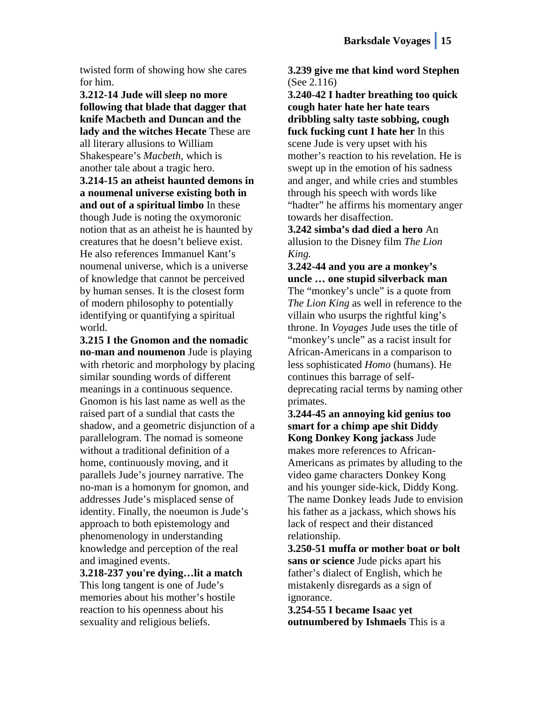twisted form of showing how she cares for him.

**3.212-14 Jude will sleep no more following that blade that dagger that knife Macbeth and Duncan and the lady and the witches Hecate** These are all literary allusions to William Shakespeare's *Macbeth,* which is another tale about a tragic hero. **3.214-15 an atheist haunted demons in a noumenal universe existing both in and out of a spiritual limbo** In these though Jude is noting the oxymoronic notion that as an atheist he is haunted by creatures that he doesn't believe exist. He also references Immanuel Kant's noumenal universe, which is a universe of knowledge that cannot be perceived by human senses. It is the closest form of modern philosophy to potentially identifying or quantifying a spiritual world.

**3.215 I the Gnomon and the nomadic no-man and noumenon** Jude is playing with rhetoric and morphology by placing similar sounding words of different meanings in a continuous sequence. Gnomon is his last name as well as the raised part of a sundial that casts the shadow, and a geometric disjunction of a parallelogram. The nomad is someone without a traditional definition of a home, continuously moving, and it parallels Jude's journey narrative. The no-man is a homonym for gnomon, and addresses Jude's misplaced sense of identity. Finally, the noeumon is Jude's approach to both epistemology and phenomenology in understanding knowledge and perception of the real and imagined events.

**3.218-237 you're dying…lit a match**  This long tangent is one of Jude's memories about his mother's hostile reaction to his openness about his sexuality and religious beliefs.

**3.239 give me that kind word Stephen** (See 2.116)

**3.240-42 I hadter breathing too quick cough hater hate her hate tears dribbling salty taste sobbing, cough fuck fucking cunt I hate her** In this scene Jude is very upset with his mother's reaction to his revelation. He is swept up in the emotion of his sadness and anger, and while cries and stumbles through his speech with words like "hadter" he affirms his momentary anger towards her disaffection.

**3.242 simba's dad died a hero** An allusion to the Disney film *The Lion King.* 

**3.242-44 and you are a monkey's uncle … one stupid silverback man**  The "monkey's uncle" is a quote from *The Lion King* as well in reference to the villain who usurps the rightful king's throne. In *Voyages* Jude uses the title of "monkey's uncle" as a racist insult for African-Americans in a comparison to less sophisticated *Homo* (humans). He continues this barrage of selfdeprecating racial terms by naming other primates.

**3.244-45 an annoying kid genius too smart for a chimp ape shit Diddy Kong Donkey Kong jackass** Jude makes more references to African-Americans as primates by alluding to the video game characters Donkey Kong and his younger side-kick, Diddy Kong. The name Donkey leads Jude to envision his father as a jackass, which shows his lack of respect and their distanced relationship.

**3.250-51 muffa or mother boat or bolt sans or science** Jude picks apart his father's dialect of English, which he mistakenly disregards as a sign of ignorance.

**3.254-55 I became Isaac yet outnumbered by Ishmaels** This is a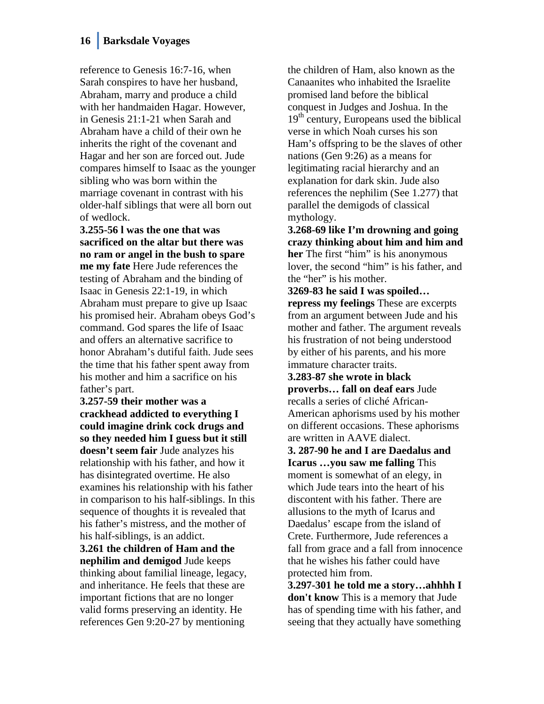reference to Genesis 16:7-16, when Sarah conspires to have her husband, Abraham, marry and produce a child with her handmaiden Hagar. However, in Genesis 21:1-21 when Sarah and Abraham have a child of their own he inherits the right of the covenant and Hagar and her son are forced out. Jude compares himself to Isaac as the younger sibling who was born within the marriage covenant in contrast with his older-half siblings that were all born out of wedlock.

**3.255-56 l was the one that was sacrificed on the altar but there was no ram or angel in the bush to spare me my fate** Here Jude references the testing of Abraham and the binding of Isaac in Genesis 22:1-19, in which Abraham must prepare to give up Isaac his promised heir. Abraham obeys God's command. God spares the life of Isaac and offers an alternative sacrifice to honor Abraham's dutiful faith. Jude sees the time that his father spent away from his mother and him a sacrifice on his father's part.

**3.257-59 their mother was a crackhead addicted to everything I could imagine drink cock drugs and so they needed him I guess but it still doesn't seem fair** Jude analyzes his relationship with his father, and how it has disintegrated overtime. He also examines his relationship with his father in comparison to his half-siblings. In this sequence of thoughts it is revealed that his father's mistress, and the mother of his half-siblings, is an addict.

**3.261 the children of Ham and the nephilim and demigod** Jude keeps thinking about familial lineage, legacy, and inheritance. He feels that these are important fictions that are no longer valid forms preserving an identity. He references Gen 9:20-27 by mentioning

the children of Ham, also known as the Canaanites who inhabited the Israelite promised land before the biblical conquest in Judges and Joshua. In the  $19<sup>th</sup>$  century, Europeans used the biblical verse in which Noah curses his son Ham's offspring to be the slaves of other nations (Gen 9:26) as a means for legitimating racial hierarchy and an explanation for dark skin. Jude also references the nephilim (See 1.277) that parallel the demigods of classical mythology.

**3.268-69 like I'm drowning and going crazy thinking about him and him and her** The first "him" is his anonymous lover, the second "him" is his father, and the "her" is his mother.

**3269-83 he said I was spoiled… repress my feelings** These are excerpts from an argument between Jude and his mother and father. The argument reveals his frustration of not being understood by either of his parents, and his more immature character traits.

**3.283-87 she wrote in black proverbs… fall on deaf ears** Jude recalls a series of cliché African-American aphorisms used by his mother on different occasions. These aphorisms are written in AAVE dialect.

**3. 287-90 he and I are Daedalus and Icarus …you saw me falling** This moment is somewhat of an elegy, in which Jude tears into the heart of his discontent with his father. There are allusions to the myth of Icarus and Daedalus' escape from the island of Crete. Furthermore, Jude references a fall from grace and a fall from innocence that he wishes his father could have protected him from.

**3.297-301 he told me a story…ahhhh I don't know** This is a memory that Jude has of spending time with his father, and seeing that they actually have something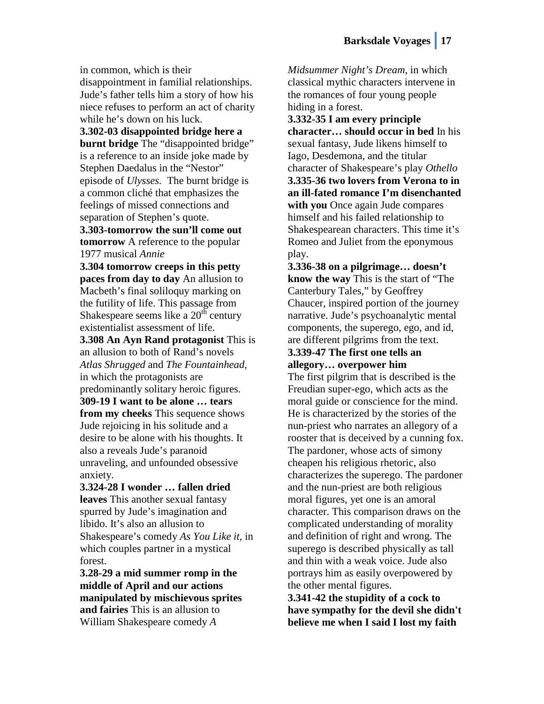in common, which is their disappointment in familial relationships. Jude's father tells him a story of how his niece refuses to perform an act of charity while he's down on his luck.

**3.302-03 disappointed bridge here a burnt bridge** The "disappointed bridge" is a reference to an inside joke made by Stephen Daedalus in the "Nestor" episode of *Ulysses.* The burnt bridge is a common cliché that emphasizes the feelings of missed connections and separation of Stephen's quote.

**3.303-tomorrow the sun'll come out tomorrow** A reference to the popular 1977 musical *Annie*

**3.304 tomorrow creeps in this petty paces from day to day** An allusion to Macbeth's final soliloquy marking on the futility of life. This passage from Shakespeare seems like a  $20<sup>th</sup>$  century existentialist assessment of life.

**3.308 An Ayn Rand protagonist** This is an allusion to both of Rand's novels *Atlas Shrugged* and *The Fountainhead*, in which the protagonists are predominantly solitary heroic figures.

**309-19 I want to be alone … tears from my cheeks** This sequence shows Jude rejoicing in his solitude and a desire to be alone with his thoughts. It also a reveals Jude's paranoid unraveling, and unfounded obsessive anxiety.

**3.324-28 I wonder … fallen dried leaves** This another sexual fantasy spurred by Jude's imagination and libido. It's also an allusion to Shakespeare's comedy *As You Like it,* in which couples partner in a mystical forest.

**3.28-29 a mid summer romp in the middle of April and our actions manipulated by mischievous sprites and fairies** This is an allusion to William Shakespeare comedy *A* 

*Midsummer Night's Dream,* in which classical mythic characters intervene in the romances of four young people hiding in a forest.

**3.332-35 I am every principle character… should occur in bed** In his sexual fantasy, Jude likens himself to Iago, Desdemona, and the titular character of Shakespeare's play *Othello* **3.335-36 two lovers from Verona to in an ill-fated romance I'm disenchanted with you** Once again Jude compares himself and his failed relationship to Shakespearean characters. This time it's Romeo and Juliet from the eponymous play.

**3.336-38 on a pilgrimage… doesn't know the way** This is the start of "The Canterbury Tales," by Geoffrey Chaucer, inspired portion of the journey narrative. Jude's psychoanalytic mental components, the superego, ego, and id, are different pilgrims from the text.

**3.339-47 The first one tells an allegory… overpower him** 

The first pilgrim that is described is the Freudian super-ego, which acts as the moral guide or conscience for the mind. He is characterized by the stories of the nun-priest who narrates an allegory of a rooster that is deceived by a cunning fox. The pardoner, whose acts of simony cheapen his religious rhetoric, also characterizes the superego. The pardoner and the nun-priest are both religious moral figures, yet one is an amoral character. This comparison draws on the complicated understanding of morality and definition of right and wrong. The superego is described physically as tall and thin with a weak voice. Jude also portrays him as easily overpowered by the other mental figures.

**3.341-42 the stupidity of a cock to have sympathy for the devil she didn't believe me when I said I lost my faith**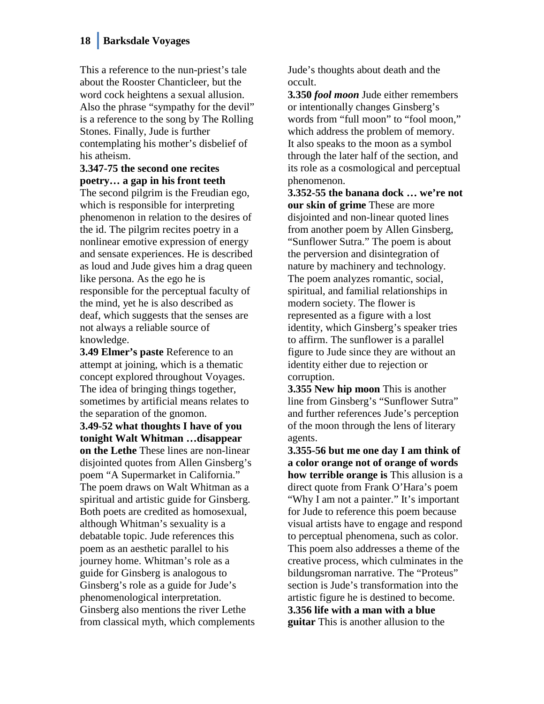This a reference to the nun-priest's tale about the Rooster Chanticleer, but the word cock heightens a sexual allusion. Also the phrase "sympathy for the devil" is a reference to the song by The Rolling Stones. Finally, Jude is further contemplating his mother's disbelief of his atheism.

#### **3.347-75 the second one recites poetry… a gap in his front teeth**

The second pilgrim is the Freudian ego, which is responsible for interpreting phenomenon in relation to the desires of the id. The pilgrim recites poetry in a nonlinear emotive expression of energy and sensate experiences. He is described as loud and Jude gives him a drag queen like persona. As the ego he is responsible for the perceptual faculty of the mind, yet he is also described as deaf, which suggests that the senses are not always a reliable source of knowledge.

**3.49 Elmer's paste** Reference to an attempt at joining, which is a thematic concept explored throughout Voyages. The idea of bringing things together, sometimes by artificial means relates to the separation of the gnomon.

**3.49-52 what thoughts I have of you tonight Walt Whitman …disappear on the Lethe** These lines are non-linear disjointed quotes from Allen Ginsberg's poem "A Supermarket in California." The poem draws on Walt Whitman as a spiritual and artistic guide for Ginsberg. Both poets are credited as homosexual, although Whitman's sexuality is a debatable topic. Jude references this poem as an aesthetic parallel to his journey home. Whitman's role as a guide for Ginsberg is analogous to Ginsberg's role as a guide for Jude's phenomenological interpretation. Ginsberg also mentions the river Lethe from classical myth, which complements Jude's thoughts about death and the occult.

**3***.***350** *fool moon* Jude either remembers or intentionally changes Ginsberg's words from "full moon" to "fool moon," which address the problem of memory. It also speaks to the moon as a symbol through the later half of the section, and its role as a cosmological and perceptual phenomenon.

**3.352-55 the banana dock … we're not our skin of grime** These are more disjointed and non-linear quoted lines from another poem by Allen Ginsberg, "Sunflower Sutra." The poem is about the perversion and disintegration of nature by machinery and technology. The poem analyzes romantic, social, spiritual, and familial relationships in modern society. The flower is represented as a figure with a lost identity, which Ginsberg's speaker tries to affirm. The sunflower is a parallel figure to Jude since they are without an identity either due to rejection or corruption.

**3.355 New hip moon** This is another line from Ginsberg's "Sunflower Sutra" and further references Jude's perception of the moon through the lens of literary agents.

**3.355-56 but me one day I am think of a color orange not of orange of words how terrible orange is** This allusion is a direct quote from Frank O'Hara's poem "Why I am not a painter." It's important for Jude to reference this poem because visual artists have to engage and respond to perceptual phenomena, such as color. This poem also addresses a theme of the creative process, which culminates in the bildungsroman narrative. The "Proteus" section is Jude's transformation into the artistic figure he is destined to become. **3.356 life with a man with a blue guitar** This is another allusion to the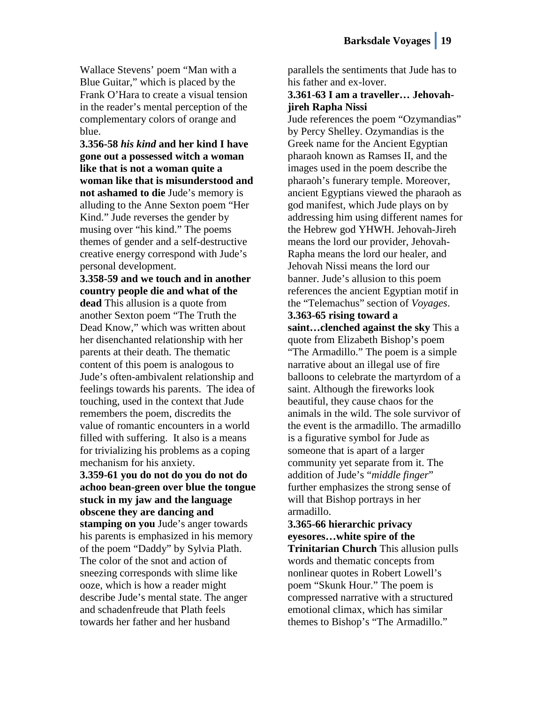Wallace Stevens' poem "Man with a Blue Guitar," which is placed by the Frank O'Hara to create a visual tension in the reader's mental perception of the complementary colors of orange and blue.

**3.356-58** *his kind* **and her kind I have gone out a possessed witch a woman like that is not a woman quite a woman like that is misunderstood and not ashamed to die** Jude's memory is alluding to the Anne Sexton poem "Her Kind." Jude reverses the gender by musing over "his kind." The poems themes of gender and a self-destructive creative energy correspond with Jude's personal development.

**3.358-59 and we touch and in another country people die and what of the dead** This allusion is a quote from another Sexton poem "The Truth the Dead Know," which was written about her disenchanted relationship with her parents at their death. The thematic content of this poem is analogous to Jude's often-ambivalent relationship and feelings towards his parents. The idea of touching, used in the context that Jude remembers the poem, discredits the value of romantic encounters in a world filled with suffering. It also is a means for trivializing his problems as a coping mechanism for his anxiety.

**3.359-61 you do not do you do not do achoo bean-green over blue the tongue stuck in my jaw and the language obscene they are dancing and stamping on you** Jude's anger towards his parents is emphasized in his memory of the poem "Daddy" by Sylvia Plath. The color of the snot and action of sneezing corresponds with slime like ooze, which is how a reader might describe Jude's mental state. The anger and schadenfreude that Plath feels towards her father and her husband

parallels the sentiments that Jude has to his father and ex-lover.

#### **3.361-63 I am a traveller… Jehovahjireh Rapha Nissi**

Jude references the poem "Ozymandias" by Percy Shelley. Ozymandias is the Greek name for the Ancient Egyptian pharaoh known as Ramses II, and the images used in the poem describe the pharaoh's funerary temple. Moreover, ancient Egyptians viewed the pharaoh as god manifest, which Jude plays on by addressing him using different names for the Hebrew god YHWH. Jehovah-Jireh means the lord our provider, Jehovah-Rapha means the lord our healer, and Jehovah Nissi means the lord our banner. Jude's allusion to this poem references the ancient Egyptian motif in the "Telemachus" section of *Voyages*.

#### **3.363-65 rising toward a**

**saint…clenched against the sky** This a quote from Elizabeth Bishop's poem "The Armadillo." The poem is a simple narrative about an illegal use of fire balloons to celebrate the martyrdom of a saint. Although the fireworks look beautiful, they cause chaos for the animals in the wild. The sole survivor of the event is the armadillo. The armadillo is a figurative symbol for Jude as someone that is apart of a larger community yet separate from it. The addition of Jude's "*middle finger*" further emphasizes the strong sense of will that Bishop portrays in her armadillo.

**3.365-66 hierarchic privacy eyesores…white spire of the Trinitarian Church** This allusion pulls words and thematic concepts from nonlinear quotes in Robert Lowell's poem "Skunk Hour." The poem is compressed narrative with a structured emotional climax, which has similar themes to Bishop's "The Armadillo."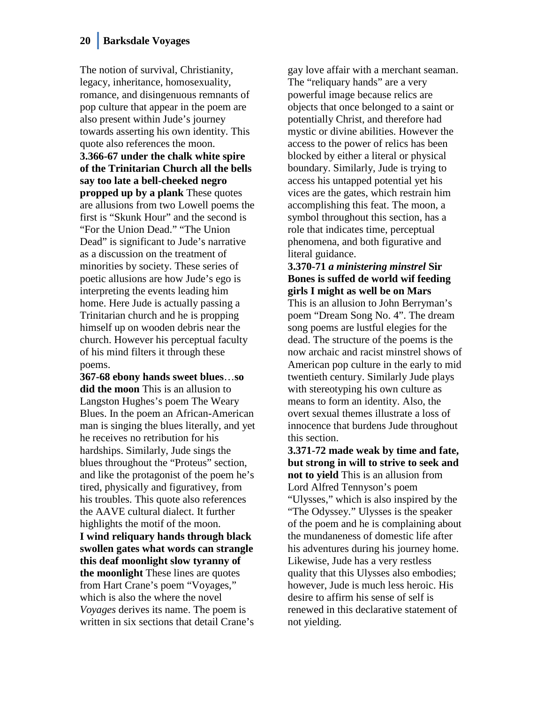The notion of survival, Christianity, legacy, inheritance, homosexuality, romance, and disingenuous remnants of pop culture that appear in the poem are also present within Jude's journey towards asserting his own identity. This quote also references the moon. **3.366-67 under the chalk white spire of the Trinitarian Church all the bells say too late a bell-cheeked negro propped up by a plank** These quotes are allusions from two Lowell poems the first is "Skunk Hour" and the second is "For the Union Dead." "The Union Dead" is significant to Jude's narrative as a discussion on the treatment of minorities by society. These series of poetic allusions are how Jude's ego is interpreting the events leading him home. Here Jude is actually passing a Trinitarian church and he is propping himself up on wooden debris near the church. However his perceptual faculty of his mind filters it through these poems.

**367-68 ebony hands sweet blues**…**so did the moon** This is an allusion to Langston Hughes's poem The Weary Blues. In the poem an African-American man is singing the blues literally, and yet he receives no retribution for his hardships. Similarly, Jude sings the blues throughout the "Proteus" section, and like the protagonist of the poem he's tired, physically and figurativey, from his troubles. This quote also references the AAVE cultural dialect. It further highlights the motif of the moon. **I wind reliquary hands through black swollen gates what words can strangle this deaf moonlight slow tyranny of the moonlight** These lines are quotes from Hart Crane's poem "Voyages," which is also the where the novel *Voyages* derives its name. The poem is written in six sections that detail Crane's

gay love affair with a merchant seaman. The "reliquary hands" are a very powerful image because relics are objects that once belonged to a saint or potentially Christ, and therefore had mystic or divine abilities. However the access to the power of relics has been blocked by either a literal or physical boundary. Similarly, Jude is trying to access his untapped potential yet his vices are the gates, which restrain him accomplishing this feat. The moon, a symbol throughout this section, has a role that indicates time, perceptual phenomena, and both figurative and literal guidance.

### **3.370-71** *a ministering minstrel* **Sir Bones is suffed de world wif feeding girls I might as well be on Mars**

This is an allusion to John Berryman's poem "Dream Song No. 4". The dream song poems are lustful elegies for the dead. The structure of the poems is the now archaic and racist minstrel shows of American pop culture in the early to mid twentieth century. Similarly Jude plays with stereotyping his own culture as means to form an identity. Also, the overt sexual themes illustrate a loss of innocence that burdens Jude throughout this section.

**3.371-72 made weak by time and fate, but strong in will to strive to seek and not to yield** This is an allusion from Lord Alfred Tennyson's poem "Ulysses," which is also inspired by the "The Odyssey." Ulysses is the speaker of the poem and he is complaining about the mundaneness of domestic life after his adventures during his journey home. Likewise, Jude has a very restless quality that this Ulysses also embodies; however, Jude is much less heroic. His desire to affirm his sense of self is renewed in this declarative statement of not yielding.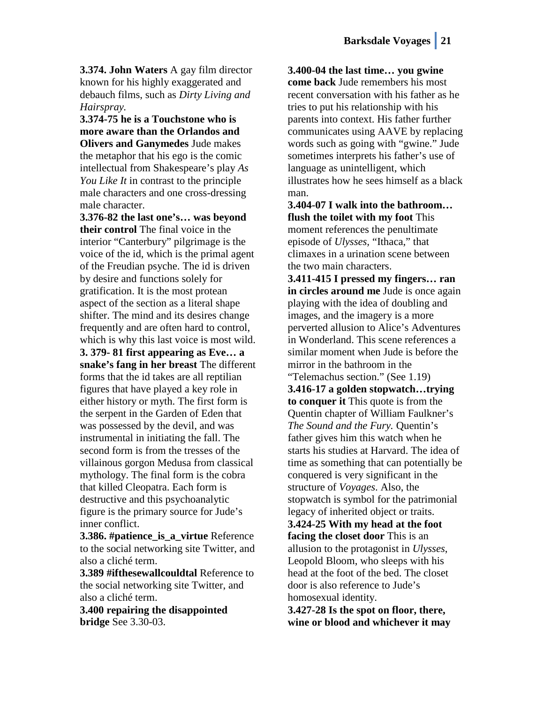**3.374. John Waters** A gay film director known for his highly exaggerated and debauch films, such as *Dirty Living and Hairspray.* 

**3.374-75 he is a Touchstone who is more aware than the Orlandos and Olivers and Ganymedes** Jude makes the metaphor that his ego is the comic intellectual from Shakespeare's play *As You Like It* in contrast to the principle male characters and one cross-dressing male character.

**3.376-82 the last one's… was beyond their control** The final voice in the interior "Canterbury" pilgrimage is the voice of the id, which is the primal agent of the Freudian psyche. The id is driven by desire and functions solely for gratification. It is the most protean aspect of the section as a literal shape shifter. The mind and its desires change frequently and are often hard to control, which is why this last voice is most wild. **3. 379- 81 first appearing as Eve… a** 

**snake's fang in her breast** The different forms that the id takes are all reptilian figures that have played a key role in either history or myth. The first form is the serpent in the Garden of Eden that was possessed by the devil, and was instrumental in initiating the fall. The second form is from the tresses of the villainous gorgon Medusa from classical mythology. The final form is the cobra that killed Cleopatra. Each form is destructive and this psychoanalytic figure is the primary source for Jude's inner conflict.

**3.386. #patience\_is\_a\_virtue** Reference to the social networking site Twitter, and also a cliché term.

**3.389 #ifthesewallcouldtal** Reference to the social networking site Twitter, and also a cliché term.

**3.400 repairing the disappointed bridge** See 3.30-03.

**3.400-04 the last time… you gwine come back** Jude remembers his most recent conversation with his father as he tries to put his relationship with his parents into context. His father further communicates using AAVE by replacing words such as going with "gwine." Jude sometimes interprets his father's use of language as unintelligent, which illustrates how he sees himself as a black man.

**3.404-07 I walk into the bathroom… flush the toilet with my foot** This moment references the penultimate episode of *Ulysses,* "Ithaca," that climaxes in a urination scene between the two main characters.

**3.411-415 I pressed my fingers… ran in circles around me** Jude is once again playing with the idea of doubling and images, and the imagery is a more perverted allusion to Alice's Adventures in Wonderland. This scene references a similar moment when Jude is before the mirror in the bathroom in the "Telemachus section." (See 1.19)

**3.416-17 a golden stopwatch…trying to conquer it** This quote is from the Quentin chapter of William Faulkner's *The Sound and the Fury.* Quentin's father gives him this watch when he starts his studies at Harvard. The idea of time as something that can potentially be conquered is very significant in the structure of *Voyages*. Also, the stopwatch is symbol for the patrimonial legacy of inherited object or traits.

**3.424-25 With my head at the foot facing the closet door** This is an allusion to the protagonist in *Ulysses*, Leopold Bloom, who sleeps with his head at the foot of the bed. The closet door is also reference to Jude's homosexual identity.

**3.427-28 Is the spot on floor, there, wine or blood and whichever it may**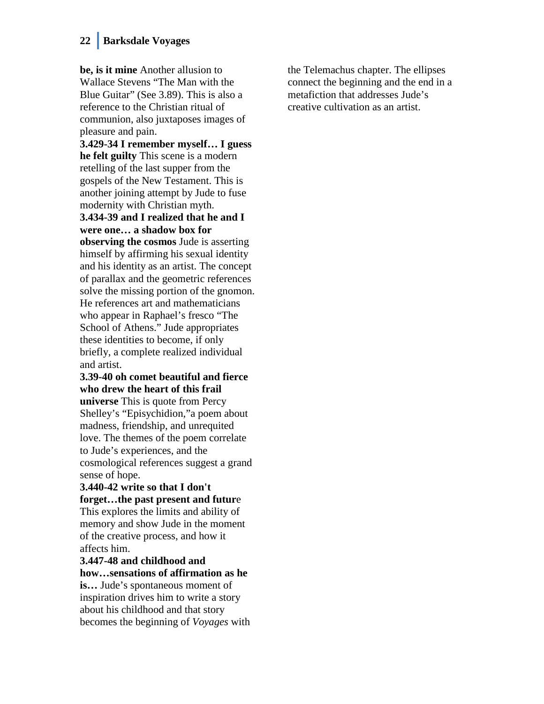**be, is it mine** Another allusion to Wallace Stevens "The Man with the Blue Guitar" (See 3.89). This is also a reference to the Christian ritual of communion, also juxtaposes images of pleasure and pain.

**3.429-34 I remember myself… I guess he felt guilty** This scene is a modern retelling of the last supper from the gospels of the New Testament. This is another joining attempt by Jude to fuse modernity with Christian myth.

**3.434-39 and I realized that he and I were one… a shadow box for observing the cosmos** Jude is asserting himself by affirming his sexual identity and his identity as an artist. The concept of parallax and the geometric references solve the missing portion of the gnomon. He references art and mathematicians who appear in Raphael's fresco "The School of Athens." Jude appropriates these identities to become, if only briefly, a complete realized individual and artist.

**3.39-40 oh comet beautiful and fierce who drew the heart of this frail universe** This is quote from Percy Shelley's "Episychidion,"a poem about madness, friendship, and unrequited love. The themes of the poem correlate to Jude's experiences, and the cosmological references suggest a grand sense of hope.

**3.440-42 write so that I don't forget…the past present and futur**e This explores the limits and ability of memory and show Jude in the moment of the creative process, and how it affects him.

# **3.447-48 and childhood and how…sensations of affirmation as he**

**is…** Jude's spontaneous moment of inspiration drives him to write a story about his childhood and that story becomes the beginning of *Voyages* with the Telemachus chapter. The ellipses connect the beginning and the end in a metafiction that addresses Jude's creative cultivation as an artist.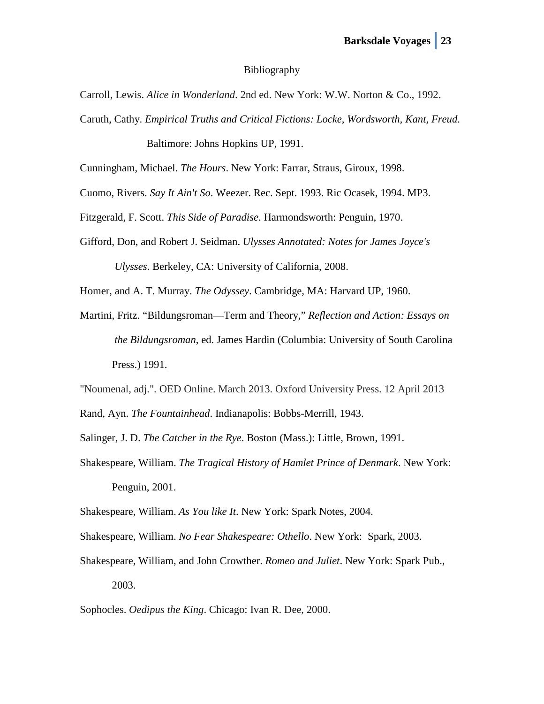#### Bibliography

Carroll, Lewis. *Alice in Wonderland*. 2nd ed. New York: W.W. Norton & Co., 1992.

Caruth, Cathy. *Empirical Truths and Critical Fictions: Locke, Wordsworth, Kant, Freud*.

Baltimore: Johns Hopkins UP, 1991.

Cunningham, Michael. *The Hours*. New York: Farrar, Straus, Giroux, 1998.

Cuomo, Rivers. *Say It Ain't So*. Weezer. Rec. Sept. 1993. Ric Ocasek, 1994. MP3.

Fitzgerald, F. Scott. *This Side of Paradise*. Harmondsworth: Penguin, 1970.

Gifford, Don, and Robert J. Seidman. *Ulysses Annotated: Notes for James Joyce's Ulysses*. Berkeley, CA: University of California, 2008.

Homer, and A. T. Murray. *The Odyssey*. Cambridge, MA: Harvard UP, 1960.

Martini, Fritz. "Bildungsroman—Term and Theory," *Reflection and Action: Essays on the Bildungsroman*, ed. James Hardin (Columbia: University of South Carolina Press.) 1991.

"Noumenal, adj.". OED Online. March 2013. Oxford University Press. 12 April 2013

Rand, Ayn. *The Fountainhead*. Indianapolis: Bobbs-Merrill, 1943.

Salinger, J. D. *The Catcher in the Rye*. Boston (Mass.): Little, Brown, 1991.

Shakespeare, William. *The Tragical History of Hamlet Prince of Denmark*. New York: Penguin, 2001.

Shakespeare, William. *As You like It*. New York: Spark Notes, 2004.

Shakespeare, William. *No Fear Shakespeare: Othello*. New York: Spark, 2003.

Shakespeare, William, and John Crowther. *Romeo and Juliet*. New York: Spark Pub., 2003.

Sophocles. *Oedipus the King*. Chicago: Ivan R. Dee, 2000.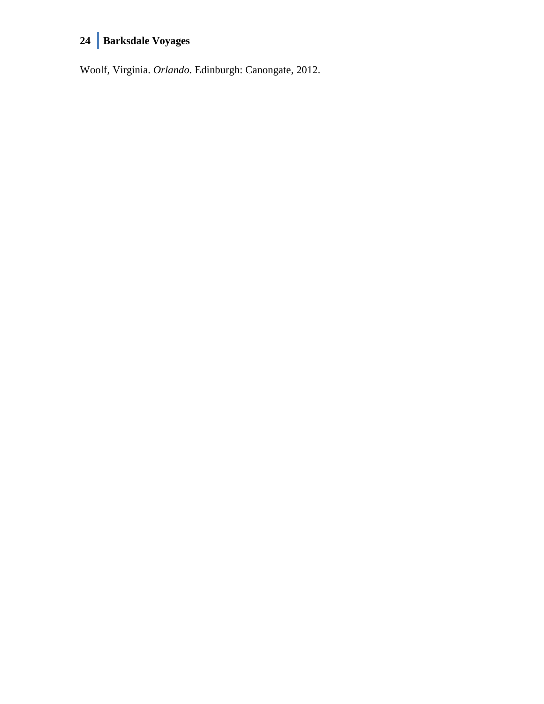Woolf, Virginia. *Orlando.* Edinburgh: Canongate, 2012.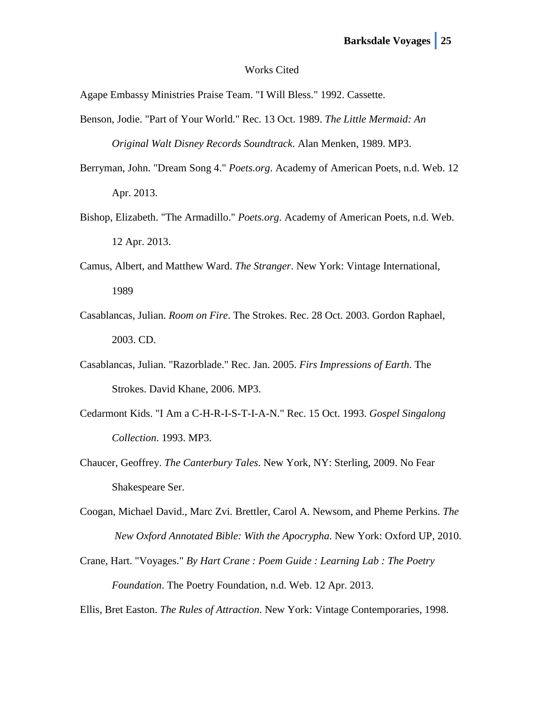#### Works Cited

Agape Embassy Ministries Praise Team. "I Will Bless." 1992. Cassette.

Benson, Jodie. "Part of Your World." Rec. 13 Oct. 1989. *The Little Mermaid: An Original Walt Disney Records Soundtrack*. Alan Menken, 1989. MP3.

- Berryman, John. "Dream Song 4." *Poets.org*. Academy of American Poets, n.d. Web. 12 Apr. 2013.
- Bishop, Elizabeth. "The Armadillo." *Poets.org*. Academy of American Poets, n.d. Web. 12 Apr. 2013.
- Camus, Albert, and Matthew Ward. *The Stranger*. New York: Vintage International, 1989
- Casablancas, Julian. *Room on Fire*. The Strokes. Rec. 28 Oct. 2003. Gordon Raphael, 2003. CD.
- Casablancas, Julian. "Razorblade." Rec. Jan. 2005. *Firs Impressions of Earth*. The Strokes. David Khane, 2006. MP3.
- Cedarmont Kids. "I Am a C-H-R-I-S-T-I-A-N." Rec. 15 Oct. 1993. *Gospel Singalong Collection*. 1993. MP3.
- Chaucer, Geoffrey. *The Canterbury Tales*. New York, NY: Sterling, 2009. No Fear Shakespeare Ser.
- Coogan, Michael David., Marc Zvi. Brettler, Carol A. Newsom, and Pheme Perkins. *The New Oxford Annotated Bible: With the Apocrypha*. New York: Oxford UP, 2010.
- Crane, Hart. "Voyages." *By Hart Crane : Poem Guide : Learning Lab : The Poetry Foundation*. The Poetry Foundation, n.d. Web. 12 Apr. 2013.

Ellis, Bret Easton. *The Rules of Attraction*. New York: Vintage Contemporaries, 1998.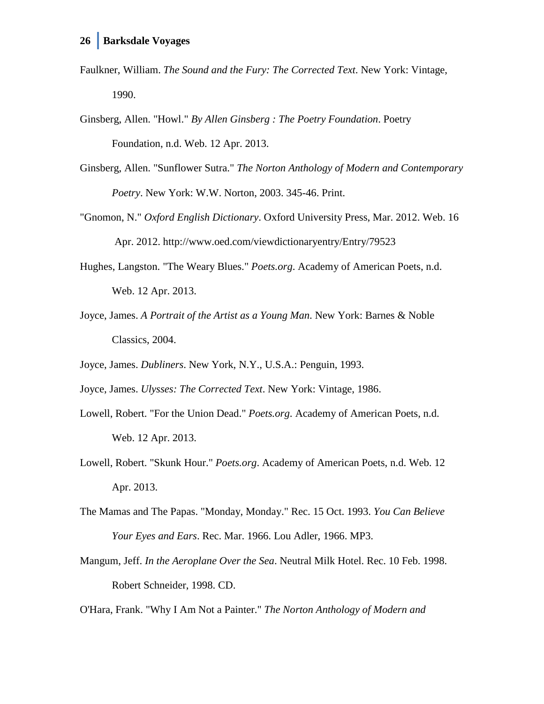- Faulkner, William. *The Sound and the Fury: The Corrected Text*. New York: Vintage, 1990.
- Ginsberg, Allen. "Howl." *By Allen Ginsberg : The Poetry Foundation*. Poetry Foundation, n.d. Web. 12 Apr. 2013.
- Ginsberg, Allen. "Sunflower Sutra." *The Norton Anthology of Modern and Contemporary Poetry*. New York: W.W. Norton, 2003. 345-46. Print.
- "Gnomon, N." *Oxford English Dictionary*. Oxford University Press, Mar. 2012. Web. 16 Apr. 2012. http://www.oed.com/viewdictionaryentry/Entry/79523
- Hughes, Langston. "The Weary Blues." *Poets.org*. Academy of American Poets, n.d. Web. 12 Apr. 2013.
- Joyce, James. *A Portrait of the Artist as a Young Man*. New York: Barnes & Noble Classics, 2004.
- Joyce, James. *Dubliners*. New York, N.Y., U.S.A.: Penguin, 1993.
- Joyce, James. *Ulysses: The Corrected Text*. New York: Vintage, 1986.
- Lowell, Robert. "For the Union Dead." *Poets.org*. Academy of American Poets, n.d. Web. 12 Apr. 2013.
- Lowell, Robert. "Skunk Hour." *Poets.org*. Academy of American Poets, n.d. Web. 12 Apr. 2013.
- The Mamas and The Papas. "Monday, Monday." Rec. 15 Oct. 1993. *You Can Believe Your Eyes and Ears*. Rec. Mar. 1966. Lou Adler, 1966. MP3.
- Mangum, Jeff. *In the Aeroplane Over the Sea*. Neutral Milk Hotel. Rec. 10 Feb. 1998. Robert Schneider, 1998. CD.

O'Hara, Frank. "Why I Am Not a Painter." *The Norton Anthology of Modern and*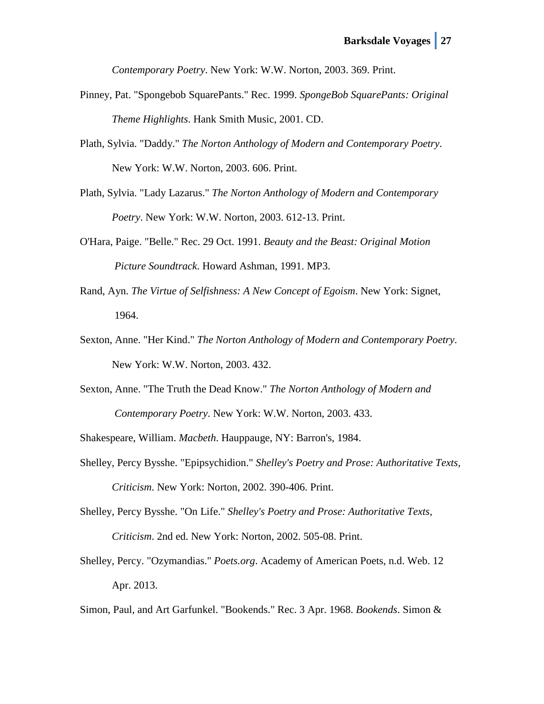*Contemporary Poetry*. New York: W.W. Norton, 2003. 369. Print.

- Pinney, Pat. "Spongebob SquarePants." Rec. 1999. *SpongeBob SquarePants: Original Theme Highlights*. Hank Smith Music, 2001. CD.
- Plath, Sylvia. "Daddy." *The Norton Anthology of Modern and Contemporary Poetry*. New York: W.W. Norton, 2003. 606. Print.
- Plath, Sylvia. "Lady Lazarus." *The Norton Anthology of Modern and Contemporary Poetry*. New York: W.W. Norton, 2003. 612-13. Print.
- O'Hara, Paige. "Belle." Rec. 29 Oct. 1991. *Beauty and the Beast: Original Motion Picture Soundtrack*. Howard Ashman, 1991. MP3.
- Rand, Ayn. *The Virtue of Selfishness: A New Concept of Egoism*. New York: Signet, 1964.
- Sexton, Anne. "Her Kind." *The Norton Anthology of Modern and Contemporary Poetry*. New York: W.W. Norton, 2003. 432.
- Sexton, Anne. "The Truth the Dead Know." *The Norton Anthology of Modern and Contemporary Poetry*. New York: W.W. Norton, 2003. 433.

Shakespeare, William. *Macbeth*. Hauppauge, NY: Barron's, 1984.

- Shelley, Percy Bysshe. "Epipsychidion." *Shelley's Poetry and Prose: Authoritative Texts, Criticism*. New York: Norton, 2002. 390-406. Print.
- Shelley, Percy Bysshe. "On Life." *Shelley's Poetry and Prose: Authoritative Texts, Criticism*. 2nd ed. New York: Norton, 2002. 505-08. Print.
- Shelley, Percy. "Ozymandias." *Poets.org*. Academy of American Poets, n.d. Web. 12 Apr. 2013.

Simon, Paul, and Art Garfunkel. "Bookends." Rec. 3 Apr. 1968. *Bookends*. Simon &